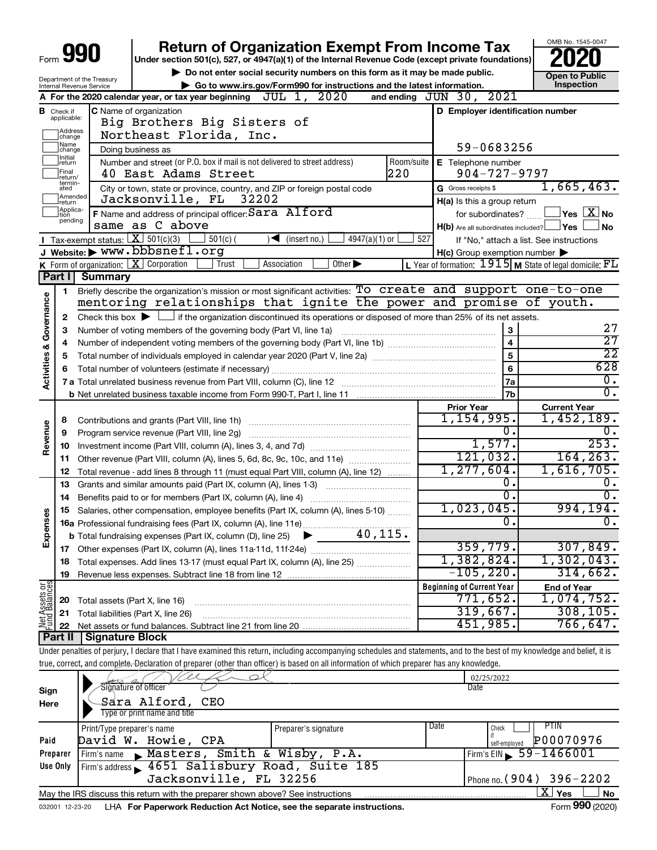| Form                                                                |                          | 990                                                    | <b>Return of Organization Exempt From Income Tax</b><br>Under section 501(c), 527, or 4947(a)(1) of the Internal Revenue Code (except private foundations)                 |                                                         | OMB No. 1545-0047                                           |
|---------------------------------------------------------------------|--------------------------|--------------------------------------------------------|----------------------------------------------------------------------------------------------------------------------------------------------------------------------------|---------------------------------------------------------|-------------------------------------------------------------|
|                                                                     |                          |                                                        | Do not enter social security numbers on this form as it may be made public.                                                                                                |                                                         |                                                             |
|                                                                     |                          | Department of the Treasury<br>Internal Revenue Service | Go to www.irs.gov/Form990 for instructions and the latest information.                                                                                                     |                                                         | <b>Open to Public</b><br>Inspection                         |
| A For the 2020 calendar year, or tax year beginning $JUL$ 1, $2020$ | and ending JUN 30, 2021  |                                                        |                                                                                                                                                                            |                                                         |                                                             |
|                                                                     | <b>B</b> Check if        | D Employer identification number                       |                                                                                                                                                                            |                                                         |                                                             |
|                                                                     | applicable:              |                                                        | <b>C</b> Name of organization<br>Big Brothers Big Sisters of                                                                                                               |                                                         |                                                             |
|                                                                     | ]Address<br>]change      |                                                        | Northeast Florida, Inc.                                                                                                                                                    |                                                         |                                                             |
|                                                                     | ]Name<br>]change         |                                                        | Doing business as                                                                                                                                                          | 59-0683256                                              |                                                             |
|                                                                     | <b>Initial</b><br>return |                                                        | Number and street (or P.O. box if mail is not delivered to street address)                                                                                                 | Room/suite<br>E Telephone number                        |                                                             |
|                                                                     | Final<br>return/         |                                                        | 220<br>40 East Adams Street                                                                                                                                                | $904 - 727 - 9797$                                      |                                                             |
|                                                                     | termin-<br>ated          |                                                        | City or town, state or province, country, and ZIP or foreign postal code                                                                                                   | G Gross receipts \$                                     | 1,665,463.                                                  |
|                                                                     | Amended<br>Ireturn       |                                                        | Jacksonville, FL<br>32202                                                                                                                                                  | H(a) Is this a group return                             |                                                             |
|                                                                     | Applica-<br>tion         |                                                        | F Name and address of principal officer: Sara Alford                                                                                                                       | for subordinates?                                       | $\Box$ Yes $\boxed{\mathrm{X}}$ No                          |
|                                                                     | pending                  |                                                        | same as C above                                                                                                                                                            | $H(b)$ Are all subordinates included? $\Box$ Yes $\Box$ | <b>No</b>                                                   |
|                                                                     |                          | Tax-exempt status: $X \over 301(c)(3)$                 | $501(c)$ (<br>$4947(a)(1)$ or<br>$\sqrt{\phantom{a}}$ (insert no.)                                                                                                         | 527                                                     | If "No," attach a list. See instructions                    |
|                                                                     |                          |                                                        | J Website: WWW.bbbsnefl.org                                                                                                                                                | $H(c)$ Group exemption number $\blacktriangleright$     |                                                             |
|                                                                     |                          | K Form of organization: X Corporation                  | Other $\blacktriangleright$<br>Trust<br>Association                                                                                                                        |                                                         | L Year of formation: $1915$ M State of legal domicile: $FL$ |
|                                                                     | Part I                   | <b>Summary</b>                                         |                                                                                                                                                                            |                                                         |                                                             |
|                                                                     | 1                        |                                                        | Briefly describe the organization's mission or most significant activities: To create and support one-to-one                                                               |                                                         |                                                             |
|                                                                     |                          |                                                        | mentoring relationships that ignite the power and promise of youth.                                                                                                        |                                                         |                                                             |
|                                                                     | 2                        |                                                        | Check this box $\blacktriangleright$ $\Box$ if the organization discontinued its operations or disposed of more than 25% of its net assets.                                |                                                         |                                                             |
|                                                                     | З                        |                                                        | Number of voting members of the governing body (Part VI, line 1a)                                                                                                          | 3                                                       | 27                                                          |
|                                                                     | 4                        |                                                        |                                                                                                                                                                            | $\overline{\mathbf{4}}$                                 | $\overline{27}$                                             |
|                                                                     | 5                        |                                                        |                                                                                                                                                                            | $\overline{5}$                                          | $\overline{2}\overline{2}$                                  |
|                                                                     |                          |                                                        |                                                                                                                                                                            | 6                                                       | 628                                                         |
| <b>Activities &amp; Governance</b>                                  |                          |                                                        |                                                                                                                                                                            | 7a                                                      | $\overline{0}$ .                                            |
|                                                                     |                          |                                                        |                                                                                                                                                                            | 7b                                                      | $\overline{0}$ .                                            |
|                                                                     |                          |                                                        |                                                                                                                                                                            | <b>Prior Year</b>                                       | <b>Current Year</b>                                         |
|                                                                     | 8                        |                                                        |                                                                                                                                                                            | 1,154,995.                                              | 1,452,189.                                                  |
| Revenue                                                             | 9                        |                                                        |                                                                                                                                                                            | Ο.                                                      | 0.                                                          |
|                                                                     | 10                       |                                                        |                                                                                                                                                                            | 1,577.                                                  | 253.                                                        |
|                                                                     | 11                       |                                                        | Other revenue (Part VIII, column (A), lines 5, 6d, 8c, 9c, 10c, and 11e)                                                                                                   | 121,032.                                                | 164, 263.                                                   |
|                                                                     | 12                       |                                                        | Total revenue - add lines 8 through 11 (must equal Part VIII, column (A), line 12)                                                                                         | 1, 277, 604.                                            | 1,616,705.                                                  |
|                                                                     | 13                       |                                                        | Grants and similar amounts paid (Part IX, column (A), lines 1-3)                                                                                                           | О.                                                      | 0.                                                          |
|                                                                     | 14                       |                                                        | Benefits paid to or for members (Part IX, column (A), line 4)                                                                                                              | 0.                                                      | $\overline{0}$ .                                            |
| 8                                                                   |                          |                                                        | 15 Salaries, other compensation, employee benefits (Part IX, column (A), lines 5-10)                                                                                       | 1,023,045.                                              | 994, 194.                                                   |
|                                                                     |                          |                                                        |                                                                                                                                                                            | 0.                                                      | 0.                                                          |
| Expense                                                             |                          |                                                        |                                                                                                                                                                            |                                                         |                                                             |
|                                                                     | 17                       |                                                        |                                                                                                                                                                            | 359,779.                                                | 307,849.                                                    |
|                                                                     | 18                       |                                                        | Total expenses. Add lines 13-17 (must equal Part IX, column (A), line 25)                                                                                                  | 1,382,824.                                              | 1,302,043.                                                  |
|                                                                     | 19                       |                                                        |                                                                                                                                                                            | $-105, 220$ .                                           | 314,662.                                                    |
| <b>Net Assets or</b><br>Fund Balances                               |                          |                                                        |                                                                                                                                                                            | <b>Beginning of Current Year</b>                        | <b>End of Year</b>                                          |
|                                                                     | 20                       | Total assets (Part X, line 16)                         |                                                                                                                                                                            | 771,652.                                                | 1,074,752.                                                  |
|                                                                     | 21                       |                                                        | Total liabilities (Part X, line 26)                                                                                                                                        | 319,667.                                                | 308, 105.                                                   |
|                                                                     | 22                       |                                                        |                                                                                                                                                                            | 451,985.                                                | 766,647.                                                    |
|                                                                     | Part II                  | Signature Block                                        |                                                                                                                                                                            |                                                         |                                                             |
|                                                                     |                          |                                                        | Under penalties of perjury, I declare that I have examined this return, including accompanying schedules and statements, and to the best of my knowledge and belief, it is |                                                         |                                                             |
|                                                                     |                          |                                                        | true, correct, and complete. Declaration of preparer (other than officer) is based on all information of which preparer has any knowledge.                                 |                                                         |                                                             |
|                                                                     |                          |                                                        |                                                                                                                                                                            | 02/25/2022                                              |                                                             |
| Sign                                                                |                          | Signature of officer                                   |                                                                                                                                                                            | Date                                                    |                                                             |

| Here     | Sara Alford, CEO                                                                                                         |                      |      |                             |  |  |  |  |  |
|----------|--------------------------------------------------------------------------------------------------------------------------|----------------------|------|-----------------------------|--|--|--|--|--|
|          | Type or print name and title                                                                                             |                      |      |                             |  |  |  |  |  |
|          | Print/Type preparer's name                                                                                               | Preparer's signature | Date | PIIN<br>Check               |  |  |  |  |  |
| Paid     | David W. Howie, CPA                                                                                                      |                      |      | P00070976<br>self-employed  |  |  |  |  |  |
| Preparer | Firm's name $\blacktriangleright$ Masters, Smith & Wisby, P.A.                                                           |                      |      | $Firm's EIN \ 59 - 1466001$ |  |  |  |  |  |
| Use Only | Firm's address 1651 Salisbury Road, Suite 185                                                                            |                      |      |                             |  |  |  |  |  |
|          | Jacksonville, FL 32256<br>Phone no. $(904)$ 396 - 2202                                                                   |                      |      |                             |  |  |  |  |  |
|          | x<br>No<br>Yes<br>May the IRS discuss this return with the preparer shown above? See instructions                        |                      |      |                             |  |  |  |  |  |
|          | $F_{\text{arm}}$ 000 (2020)<br>cocos de costa de la Librardia Dentro de Decembre de Matine est the conquete instructions |                      |      |                             |  |  |  |  |  |

032001 12-23-20 LHA **For Paperwork Reduction Act Notice, see the separate instructions.** Form 990 (2020)

#### Form **990** (2020)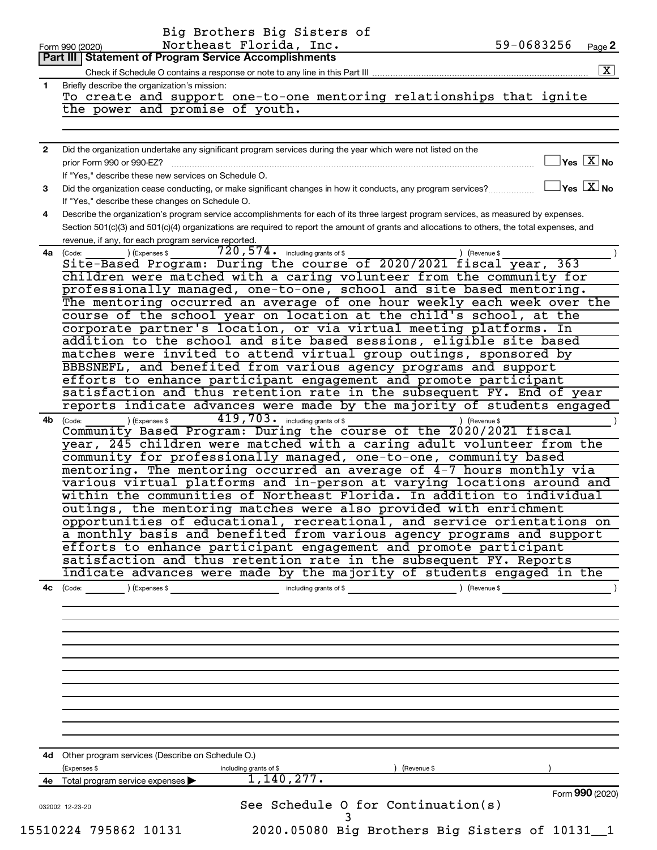|              | Big Brothers Big Sisters of<br>Northeast Florida, Inc.<br>59-0683256<br>Page 2<br>Form 990 (2020)                                                         |
|--------------|-----------------------------------------------------------------------------------------------------------------------------------------------------------|
|              | Part III   Statement of Program Service Accomplishments                                                                                                   |
|              | $\boxed{\textbf{X}}$<br>Check if Schedule O contains a response or note to any line in this Part III                                                      |
| $\mathbf 1$  | Briefly describe the organization's mission:                                                                                                              |
|              | To create and support one-to-one mentoring relationships that ignite                                                                                      |
|              | the power and promise of youth.                                                                                                                           |
|              |                                                                                                                                                           |
| $\mathbf{2}$ | Did the organization undertake any significant program services during the year which were not listed on the<br>$\overline{\ }$ Yes $\overline{\rm X}$ No |
|              | prior Form 990 or 990-EZ?                                                                                                                                 |
|              | If "Yes," describe these new services on Schedule O.                                                                                                      |
| 3            | $\Box$ Yes $[\overline{\mathrm{X}}]$ No<br>Did the organization cease conducting, or make significant changes in how it conducts, any program services?   |
|              | If "Yes," describe these changes on Schedule O.                                                                                                           |
| 4            | Describe the organization's program service accomplishments for each of its three largest program services, as measured by expenses.                      |
|              | Section 501(c)(3) and 501(c)(4) organizations are required to report the amount of grants and allocations to others, the total expenses, and              |
|              | revenue, if any, for each program service reported.                                                                                                       |
| 4a l         | $720, 574$ $\cdot$ including grants of \$<br>(Expenses \$<br>(Code:<br>(Revenue \$<br>Site-Based Program: During the course of 2020/2021 fiscal year, 363 |
|              |                                                                                                                                                           |
|              | children were matched with a caring volunteer from the community for                                                                                      |
|              | professionally managed, one-to-one, school and site based mentoring.<br>The mentoring occurred an average of one hour weekly each week over the           |
|              |                                                                                                                                                           |
|              | course of the school year on location at the child's school, at the                                                                                       |
|              | corporate partner's location, or via virtual meeting platforms. In                                                                                        |
|              | addition to the school and site based sessions, eligible site based                                                                                       |
|              | matches were invited to attend virtual group outings, sponsored by                                                                                        |
|              | BBBSNEFL, and benefited from various agency programs and support                                                                                          |
|              | efforts to enhance participant engagement and promote participant                                                                                         |
|              | satisfaction and thus retention rate in the subsequent FY. End of year                                                                                    |
|              | reports indicate advances were made by the majority of students engaged                                                                                   |
| 4b           | $419$ , $703$ $\cdot$ including grants of \$<br>) (Expenses \$<br>) (Revenue \$<br>(Code:                                                                 |
|              | Community Based Program: During the course of the 2020/2021 fiscal                                                                                        |
|              | year, 245 children were matched with a caring adult volunteer from the                                                                                    |
|              | community for professionally managed, one-to-one, community based<br>mentoring. The mentoring occurred an average of 4-7 hours monthly via                |
|              | various virtual platforms and in-person at varying locations around and                                                                                   |
|              |                                                                                                                                                           |
|              | within the communities of Northeast Florida. In addition to individual                                                                                    |
|              | outings, the mentoring matches were also provided with enrichment                                                                                         |
|              | opportunities of educational, recreational, and service orientations on                                                                                   |
|              | a monthly basis and benefited from various agency programs and support                                                                                    |
|              | efforts to enhance participant engagement and promote participant                                                                                         |
|              | satisfaction and thus retention rate in the subsequent FY. Reports                                                                                        |
|              | indicate advances were made by the majority of students engaged in the                                                                                    |
|              |                                                                                                                                                           |
|              |                                                                                                                                                           |
|              |                                                                                                                                                           |
|              |                                                                                                                                                           |
|              |                                                                                                                                                           |
|              |                                                                                                                                                           |
|              |                                                                                                                                                           |
|              |                                                                                                                                                           |
|              |                                                                                                                                                           |
|              |                                                                                                                                                           |
|              |                                                                                                                                                           |
|              | 4d Other program services (Describe on Schedule O.)                                                                                                       |
|              | (Expenses \$<br>) (Revenue \$<br>including grants of \$                                                                                                   |
|              | 1,140,277.<br>4e Total program service expenses ><br>Form 990 (2020)                                                                                      |
|              | See Schedule O for Continuation(s)<br>032002 12-23-20                                                                                                     |
|              | 15510224 795862 10131<br>2020.05080 Big Brothers Big Sisters of 10131_1                                                                                   |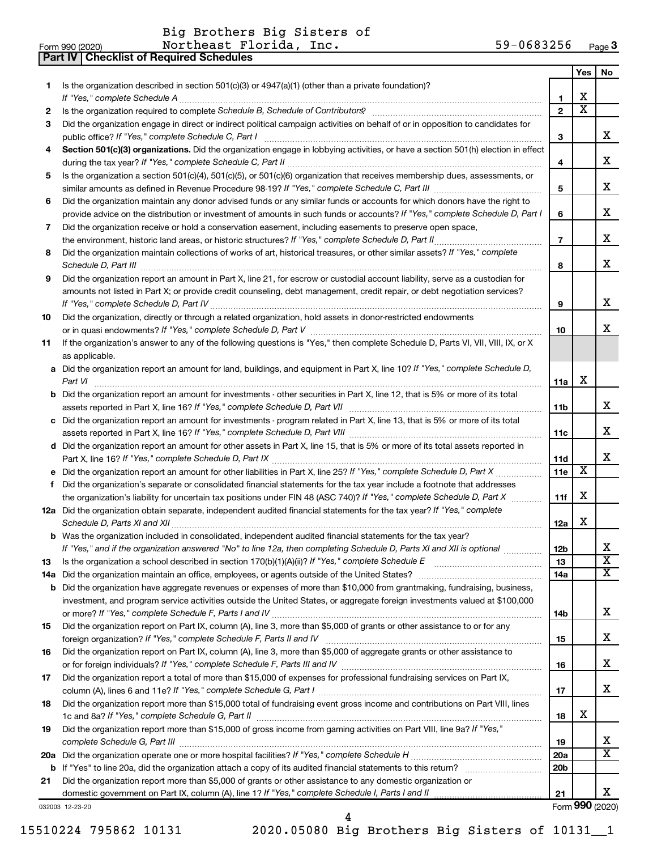**Part IV Checklist of Required Schedules**

Big Brothers Big Sisters of

|    |                                                                                                                                                                                                                                                                |                 | Yes                     | No                           |
|----|----------------------------------------------------------------------------------------------------------------------------------------------------------------------------------------------------------------------------------------------------------------|-----------------|-------------------------|------------------------------|
| 1. | Is the organization described in section 501(c)(3) or 4947(a)(1) (other than a private foundation)?                                                                                                                                                            | 1               | х                       |                              |
| 2  |                                                                                                                                                                                                                                                                | $\mathbf{2}$    | $\overline{\textbf{x}}$ |                              |
| 3  | Did the organization engage in direct or indirect political campaign activities on behalf of or in opposition to candidates for<br>public office? If "Yes," complete Schedule C, Part I                                                                        | 3               |                         | x                            |
| 4  | Section 501(c)(3) organizations. Did the organization engage in lobbying activities, or have a section 501(h) election in effect                                                                                                                               |                 |                         |                              |
|    |                                                                                                                                                                                                                                                                | 4               |                         | х                            |
| 5  | Is the organization a section 501(c)(4), 501(c)(5), or 501(c)(6) organization that receives membership dues, assessments, or                                                                                                                                   |                 |                         |                              |
|    |                                                                                                                                                                                                                                                                | 5               |                         | x                            |
| 6  | Did the organization maintain any donor advised funds or any similar funds or accounts for which donors have the right to                                                                                                                                      |                 |                         |                              |
|    | provide advice on the distribution or investment of amounts in such funds or accounts? If "Yes," complete Schedule D, Part I                                                                                                                                   | 6               |                         | x                            |
| 7  | Did the organization receive or hold a conservation easement, including easements to preserve open space,                                                                                                                                                      |                 |                         |                              |
|    |                                                                                                                                                                                                                                                                | $\overline{7}$  |                         | х                            |
| 8  | Did the organization maintain collections of works of art, historical treasures, or other similar assets? If "Yes," complete                                                                                                                                   |                 |                         |                              |
|    | Schedule D, Part III <b>Process Constructs</b> Construction and Technical Construction and Technical Construction and Technical Construction and Technical Construction and Technical Construction and Technical Construction and T                            | 8               |                         | x                            |
| 9  | Did the organization report an amount in Part X, line 21, for escrow or custodial account liability, serve as a custodian for                                                                                                                                  |                 |                         |                              |
|    | amounts not listed in Part X; or provide credit counseling, debt management, credit repair, or debt negotiation services?                                                                                                                                      | 9               |                         | х                            |
| 10 | Did the organization, directly or through a related organization, hold assets in donor-restricted endowments                                                                                                                                                   |                 |                         |                              |
|    |                                                                                                                                                                                                                                                                | 10              |                         | x                            |
| 11 | If the organization's answer to any of the following questions is "Yes," then complete Schedule D, Parts VI, VII, VIII, IX, or X<br>as applicable.                                                                                                             |                 |                         |                              |
|    | a Did the organization report an amount for land, buildings, and equipment in Part X, line 10? If "Yes," complete Schedule D,<br>Part VI                                                                                                                       | 11a             | х                       |                              |
|    | <b>b</b> Did the organization report an amount for investments - other securities in Part X, line 12, that is 5% or more of its total                                                                                                                          |                 |                         |                              |
|    |                                                                                                                                                                                                                                                                | 11b             |                         | x                            |
|    | c Did the organization report an amount for investments - program related in Part X, line 13, that is 5% or more of its total                                                                                                                                  |                 |                         |                              |
|    |                                                                                                                                                                                                                                                                | 11c             |                         | x                            |
|    | d Did the organization report an amount for other assets in Part X, line 15, that is 5% or more of its total assets reported in                                                                                                                                |                 |                         |                              |
|    |                                                                                                                                                                                                                                                                | 11d             |                         | х                            |
|    |                                                                                                                                                                                                                                                                | 11e             | х                       |                              |
| f  | Did the organization's separate or consolidated financial statements for the tax year include a footnote that addresses                                                                                                                                        |                 |                         |                              |
|    | the organization's liability for uncertain tax positions under FIN 48 (ASC 740)? If "Yes," complete Schedule D, Part X                                                                                                                                         | 11f             | х                       |                              |
|    | 12a Did the organization obtain separate, independent audited financial statements for the tax year? If "Yes," complete                                                                                                                                        | 12a             | х                       |                              |
|    | <b>b</b> Was the organization included in consolidated, independent audited financial statements for the tax year?                                                                                                                                             |                 |                         |                              |
|    | If "Yes," and if the organization answered "No" to line 12a, then completing Schedule D, Parts XI and XII is optional                                                                                                                                          | 12 <sub>b</sub> |                         | х<br>$\overline{\texttt{x}}$ |
| 13 |                                                                                                                                                                                                                                                                | 13              |                         | X                            |
|    |                                                                                                                                                                                                                                                                | 14a             |                         |                              |
|    | <b>b</b> Did the organization have aggregate revenues or expenses of more than \$10,000 from grantmaking, fundraising, business,<br>investment, and program service activities outside the United States, or aggregate foreign investments valued at \$100,000 |                 |                         |                              |
|    |                                                                                                                                                                                                                                                                | 14b             |                         | х                            |
| 15 | Did the organization report on Part IX, column (A), line 3, more than \$5,000 of grants or other assistance to or for any                                                                                                                                      |                 |                         |                              |
|    |                                                                                                                                                                                                                                                                | 15              |                         | х                            |
| 16 | Did the organization report on Part IX, column (A), line 3, more than \$5,000 of aggregate grants or other assistance to                                                                                                                                       |                 |                         |                              |
|    |                                                                                                                                                                                                                                                                | 16              |                         | х                            |
| 17 | Did the organization report a total of more than \$15,000 of expenses for professional fundraising services on Part IX,                                                                                                                                        |                 |                         |                              |
|    |                                                                                                                                                                                                                                                                | 17              |                         | x                            |
| 18 | Did the organization report more than \$15,000 total of fundraising event gross income and contributions on Part VIII, lines                                                                                                                                   | 18              | х                       |                              |
| 19 | Did the organization report more than \$15,000 of gross income from gaming activities on Part VIII, line 9a? If "Yes,"                                                                                                                                         | 19              |                         | x                            |
|    |                                                                                                                                                                                                                                                                | <b>20a</b>      |                         | $\overline{\mathbf{X}}$      |
|    |                                                                                                                                                                                                                                                                | 20 <sub>b</sub> |                         |                              |
| 21 | Did the organization report more than \$5,000 of grants or other assistance to any domestic organization or                                                                                                                                                    |                 |                         |                              |
|    |                                                                                                                                                                                                                                                                | 21              |                         | x                            |
|    | 032003 12-23-20                                                                                                                                                                                                                                                |                 |                         | Form 990 (2020)              |

15510224 795862 10131 2020.05080 Big Brothers Big Sisters of 10131\_\_1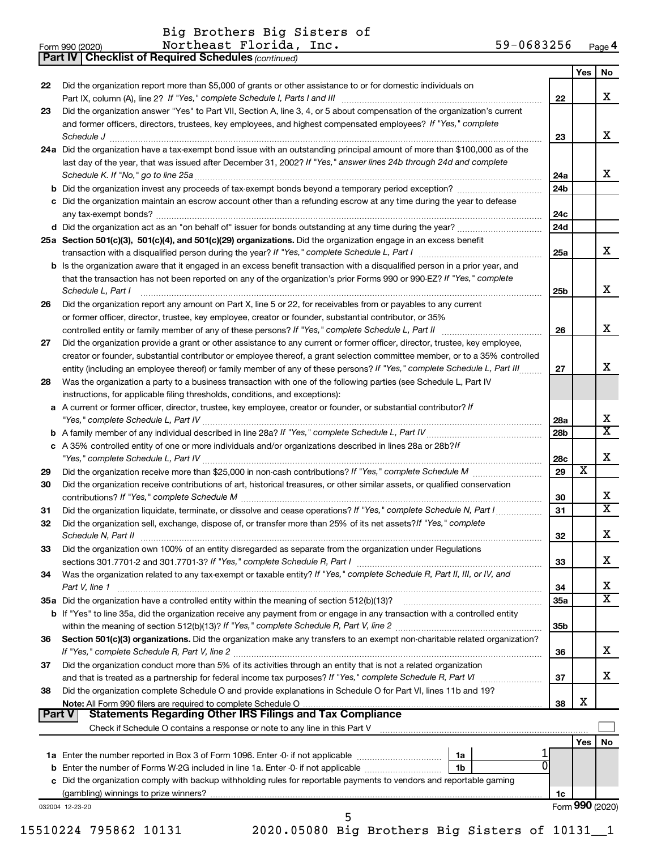*(continued)* **Part IV Checklist of Required Schedules**

Big Brothers Big Sisters of

| 22 | Did the organization report more than \$5,000 of grants or other assistance to or for domestic individuals on                                                                                                                                                |                 |                         |   |
|----|--------------------------------------------------------------------------------------------------------------------------------------------------------------------------------------------------------------------------------------------------------------|-----------------|-------------------------|---|
|    |                                                                                                                                                                                                                                                              | 22              |                         | x |
| 23 | Did the organization answer "Yes" to Part VII, Section A, line 3, 4, or 5 about compensation of the organization's current                                                                                                                                   |                 |                         |   |
|    | and former officers, directors, trustees, key employees, and highest compensated employees? If "Yes," complete                                                                                                                                               |                 |                         |   |
|    | Schedule J <b>Execute Schedule J Execute Schedule J Execute Schedule J Execute Schedule J</b>                                                                                                                                                                | 23              |                         | x |
|    | 24a Did the organization have a tax-exempt bond issue with an outstanding principal amount of more than \$100,000 as of the<br>last day of the year, that was issued after December 31, 2002? If "Yes," answer lines 24b through 24d and complete            |                 |                         |   |
|    |                                                                                                                                                                                                                                                              | 24a             |                         | x |
|    |                                                                                                                                                                                                                                                              | 24b             |                         |   |
|    | c Did the organization maintain an escrow account other than a refunding escrow at any time during the year to defease                                                                                                                                       |                 |                         |   |
|    |                                                                                                                                                                                                                                                              | 24с             |                         |   |
|    |                                                                                                                                                                                                                                                              | 24d             |                         |   |
|    | 25a Section 501(c)(3), 501(c)(4), and 501(c)(29) organizations. Did the organization engage in an excess benefit                                                                                                                                             |                 |                         |   |
|    |                                                                                                                                                                                                                                                              | 25a             |                         |   |
|    | <b>b</b> Is the organization aware that it engaged in an excess benefit transaction with a disqualified person in a prior year, and<br>that the transaction has not been reported on any of the organization's prior Forms 990 or 990-EZ? If "Yes," complete |                 |                         |   |
|    | Schedule L, Part I                                                                                                                                                                                                                                           | 25b             |                         |   |
| 26 | Did the organization report any amount on Part X, line 5 or 22, for receivables from or payables to any current                                                                                                                                              |                 |                         |   |
|    | or former officer, director, trustee, key employee, creator or founder, substantial contributor, or 35%                                                                                                                                                      | 26              |                         |   |
| 27 | Did the organization provide a grant or other assistance to any current or former officer, director, trustee, key employee,                                                                                                                                  |                 |                         |   |
|    | creator or founder, substantial contributor or employee thereof, a grant selection committee member, or to a 35% controlled                                                                                                                                  |                 |                         |   |
|    | entity (including an employee thereof) or family member of any of these persons? If "Yes," complete Schedule L, Part III                                                                                                                                     | 27              |                         |   |
| 28 | Was the organization a party to a business transaction with one of the following parties (see Schedule L, Part IV                                                                                                                                            |                 |                         |   |
|    | instructions, for applicable filing thresholds, conditions, and exceptions):                                                                                                                                                                                 |                 |                         |   |
|    | a A current or former officer, director, trustee, key employee, creator or founder, or substantial contributor? If                                                                                                                                           |                 |                         |   |
|    |                                                                                                                                                                                                                                                              | 28a             |                         |   |
|    |                                                                                                                                                                                                                                                              | 28b             |                         |   |
|    | c A 35% controlled entity of one or more individuals and/or organizations described in lines 28a or 28b?If                                                                                                                                                   |                 |                         |   |
|    |                                                                                                                                                                                                                                                              | 28c             |                         |   |
| 29 |                                                                                                                                                                                                                                                              | 29              | $\overline{\textbf{x}}$ |   |
| 30 | Did the organization receive contributions of art, historical treasures, or other similar assets, or qualified conservation                                                                                                                                  | 30              |                         |   |
| 31 | Did the organization liquidate, terminate, or dissolve and cease operations? If "Yes," complete Schedule N, Part I                                                                                                                                           | 31              |                         |   |
| 32 | Did the organization sell, exchange, dispose of, or transfer more than 25% of its net assets? If "Yes," complete                                                                                                                                             | 32              |                         |   |
| 33 | Did the organization own 100% of an entity disregarded as separate from the organization under Regulations                                                                                                                                                   |                 |                         |   |
|    |                                                                                                                                                                                                                                                              | 33              |                         |   |
| 34 | Was the organization related to any tax-exempt or taxable entity? If "Yes," complete Schedule R, Part II, III, or IV, and                                                                                                                                    |                 |                         |   |
|    | Part V, line 1                                                                                                                                                                                                                                               | 34              |                         |   |
|    | 35a Did the organization have a controlled entity within the meaning of section 512(b)(13)?                                                                                                                                                                  | 35a             |                         |   |
|    | b If "Yes" to line 35a, did the organization receive any payment from or engage in any transaction with a controlled entity                                                                                                                                  | 35 <sub>b</sub> |                         |   |
| 36 | Section 501(c)(3) organizations. Did the organization make any transfers to an exempt non-charitable related organization?                                                                                                                                   |                 |                         |   |
|    |                                                                                                                                                                                                                                                              | 36              |                         |   |
| 37 | Did the organization conduct more than 5% of its activities through an entity that is not a related organization                                                                                                                                             |                 |                         |   |
|    |                                                                                                                                                                                                                                                              | 37              |                         |   |
| 38 | Did the organization complete Schedule O and provide explanations in Schedule O for Part VI, lines 11b and 19?                                                                                                                                               |                 |                         |   |
|    | Note: All Form 990 filers are required to complete Schedule O.                                                                                                                                                                                               | 38              | X                       |   |
|    | Part V                                                                                                                                                                                                                                                       |                 |                         |   |
|    |                                                                                                                                                                                                                                                              |                 |                         |   |
|    |                                                                                                                                                                                                                                                              |                 | Yes I                   |   |
|    | 1a<br>0                                                                                                                                                                                                                                                      |                 |                         |   |
|    | 1b                                                                                                                                                                                                                                                           |                 |                         |   |
|    | c Did the organization comply with backup withholding rules for reportable payments to vendors and reportable gaming                                                                                                                                         |                 |                         |   |
|    |                                                                                                                                                                                                                                                              | 1c              |                         |   |
|    | 032004 12-23-20                                                                                                                                                                                                                                              |                 | Form 990 (2020)         |   |
|    | 2020.05080 Big Brothers Big Sisters of 10131_1<br>15510224 795862 10131                                                                                                                                                                                      |                 |                         |   |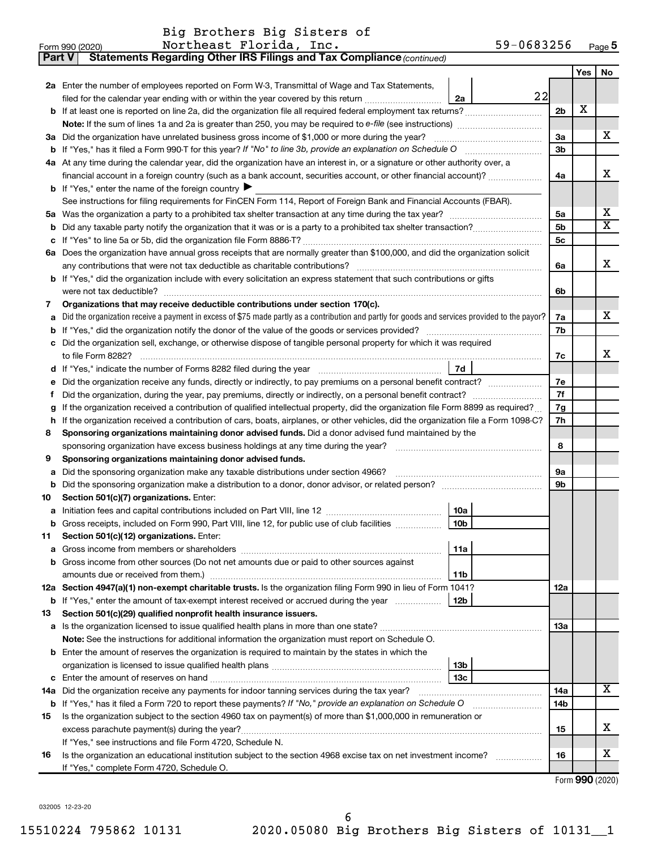| Part V | Statements Regarding Other IRS Filings and Tax Compliance (continued)                                                                                                                                                                                                            |                        |     |    |  |  |
|--------|----------------------------------------------------------------------------------------------------------------------------------------------------------------------------------------------------------------------------------------------------------------------------------|------------------------|-----|----|--|--|
|        |                                                                                                                                                                                                                                                                                  |                        | Yes | No |  |  |
|        | 2a Enter the number of employees reported on Form W-3, Transmittal of Wage and Tax Statements,                                                                                                                                                                                   |                        |     |    |  |  |
|        | 22<br>filed for the calendar year ending with or within the year covered by this return<br>2a                                                                                                                                                                                    |                        |     |    |  |  |
| b      |                                                                                                                                                                                                                                                                                  | 2 <sub>b</sub>         | X   |    |  |  |
|        | Note: If the sum of lines 1a and 2a is greater than 250, you may be required to e-file (see instructions) <i>marroummann</i>                                                                                                                                                     |                        |     |    |  |  |
|        | 3a Did the organization have unrelated business gross income of \$1,000 or more during the year?                                                                                                                                                                                 | За                     |     | x  |  |  |
| b      |                                                                                                                                                                                                                                                                                  | 3b                     |     |    |  |  |
|        | 4a At any time during the calendar year, did the organization have an interest in, or a signature or other authority over, a                                                                                                                                                     |                        |     |    |  |  |
|        | financial account in a foreign country (such as a bank account, securities account, or other financial account)?                                                                                                                                                                 | 4a                     |     | x  |  |  |
|        | <b>b</b> If "Yes," enter the name of the foreign country $\blacktriangleright$                                                                                                                                                                                                   |                        |     |    |  |  |
|        | See instructions for filing requirements for FinCEN Form 114, Report of Foreign Bank and Financial Accounts (FBAR).                                                                                                                                                              |                        |     |    |  |  |
| 5a     |                                                                                                                                                                                                                                                                                  | 5a                     |     | х  |  |  |
| b      |                                                                                                                                                                                                                                                                                  | 5 <sub>b</sub>         |     | X  |  |  |
|        |                                                                                                                                                                                                                                                                                  | 5c                     |     |    |  |  |
|        | 6a Does the organization have annual gross receipts that are normally greater than \$100,000, and did the organization solicit                                                                                                                                                   |                        |     |    |  |  |
|        |                                                                                                                                                                                                                                                                                  | 6a                     |     | x  |  |  |
|        | If "Yes," did the organization include with every solicitation an express statement that such contributions or gifts                                                                                                                                                             |                        |     |    |  |  |
|        | were not tax deductible?                                                                                                                                                                                                                                                         |                        |     |    |  |  |
| 7      | Organizations that may receive deductible contributions under section 170(c).                                                                                                                                                                                                    | 6b                     |     |    |  |  |
| a      | Did the organization receive a payment in excess of \$75 made partly as a contribution and partly for goods and services provided to the payor?                                                                                                                                  | 7a                     |     | х  |  |  |
| b      |                                                                                                                                                                                                                                                                                  | 7b                     |     |    |  |  |
|        | Did the organization sell, exchange, or otherwise dispose of tangible personal property for which it was required                                                                                                                                                                |                        |     |    |  |  |
|        | to file Form 8282?                                                                                                                                                                                                                                                               | 7c                     |     | x  |  |  |
| d      | 7d                                                                                                                                                                                                                                                                               |                        |     |    |  |  |
|        |                                                                                                                                                                                                                                                                                  | 7e                     |     |    |  |  |
|        |                                                                                                                                                                                                                                                                                  | 7f                     |     |    |  |  |
|        | f                                                                                                                                                                                                                                                                                |                        |     |    |  |  |
|        | If the organization received a contribution of qualified intellectual property, did the organization file Form 8899 as required?<br>g<br>If the organization received a contribution of cars, boats, airplanes, or other vehicles, did the organization file a Form 1098-C?<br>h |                        |     |    |  |  |
| 8      | Sponsoring organizations maintaining donor advised funds. Did a donor advised fund maintained by the                                                                                                                                                                             | 7h                     |     |    |  |  |
|        | sponsoring organization have excess business holdings at any time during the year? [11111111111111111111111111                                                                                                                                                                   | 8                      |     |    |  |  |
| 9      | Sponsoring organizations maintaining donor advised funds.                                                                                                                                                                                                                        |                        |     |    |  |  |
|        | Did the sponsoring organization make any taxable distributions under section 4966?                                                                                                                                                                                               | 9а                     |     |    |  |  |
| а<br>b |                                                                                                                                                                                                                                                                                  | 9b                     |     |    |  |  |
| 10     | Section 501(c)(7) organizations. Enter:                                                                                                                                                                                                                                          |                        |     |    |  |  |
|        | 10a                                                                                                                                                                                                                                                                              |                        |     |    |  |  |
| а      | 10 <sub>b</sub>                                                                                                                                                                                                                                                                  |                        |     |    |  |  |
|        | Gross receipts, included on Form 990, Part VIII, line 12, for public use of club facilities<br>Section 501(c)(12) organizations. Enter:                                                                                                                                          |                        |     |    |  |  |
| 11     | 11a                                                                                                                                                                                                                                                                              |                        |     |    |  |  |
| а<br>b | Gross income from other sources (Do not net amounts due or paid to other sources against                                                                                                                                                                                         |                        |     |    |  |  |
|        | 11b                                                                                                                                                                                                                                                                              |                        |     |    |  |  |
|        | 12a Section 4947(a)(1) non-exempt charitable trusts. Is the organization filing Form 990 in lieu of Form 1041?                                                                                                                                                                   | 12a                    |     |    |  |  |
|        | b If "Yes," enter the amount of tax-exempt interest received or accrued during the year<br>12b                                                                                                                                                                                   |                        |     |    |  |  |
| 13     | Section 501(c)(29) qualified nonprofit health insurance issuers.                                                                                                                                                                                                                 |                        |     |    |  |  |
|        | a Is the organization licensed to issue qualified health plans in more than one state?                                                                                                                                                                                           | 1За                    |     |    |  |  |
|        | <b>Note:</b> See the instructions for additional information the organization must report on Schedule O.                                                                                                                                                                         |                        |     |    |  |  |
|        |                                                                                                                                                                                                                                                                                  |                        |     |    |  |  |
| b      | Enter the amount of reserves the organization is required to maintain by the states in which the<br>13b                                                                                                                                                                          |                        |     |    |  |  |
|        | 13c                                                                                                                                                                                                                                                                              |                        |     |    |  |  |
| с      | 14a Did the organization receive any payments for indoor tanning services during the tax year?                                                                                                                                                                                   |                        |     | X. |  |  |
|        |                                                                                                                                                                                                                                                                                  | 14a<br>14 <sub>b</sub> |     |    |  |  |
|        | <b>b</b> If "Yes," has it filed a Form 720 to report these payments? If "No," provide an explanation on Schedule O                                                                                                                                                               |                        |     |    |  |  |
| 15     | Is the organization subject to the section 4960 tax on payment(s) of more than \$1,000,000 in remuneration or                                                                                                                                                                    |                        |     | x  |  |  |
|        |                                                                                                                                                                                                                                                                                  | 15                     |     |    |  |  |
|        | If "Yes," see instructions and file Form 4720, Schedule N.                                                                                                                                                                                                                       |                        |     | x  |  |  |
| 16     | Is the organization an educational institution subject to the section 4968 excise tax on net investment income?                                                                                                                                                                  | 16                     |     |    |  |  |
|        | If "Yes," complete Form 4720, Schedule O.                                                                                                                                                                                                                                        |                        |     |    |  |  |

Form (2020) **990**

032005 12-23-20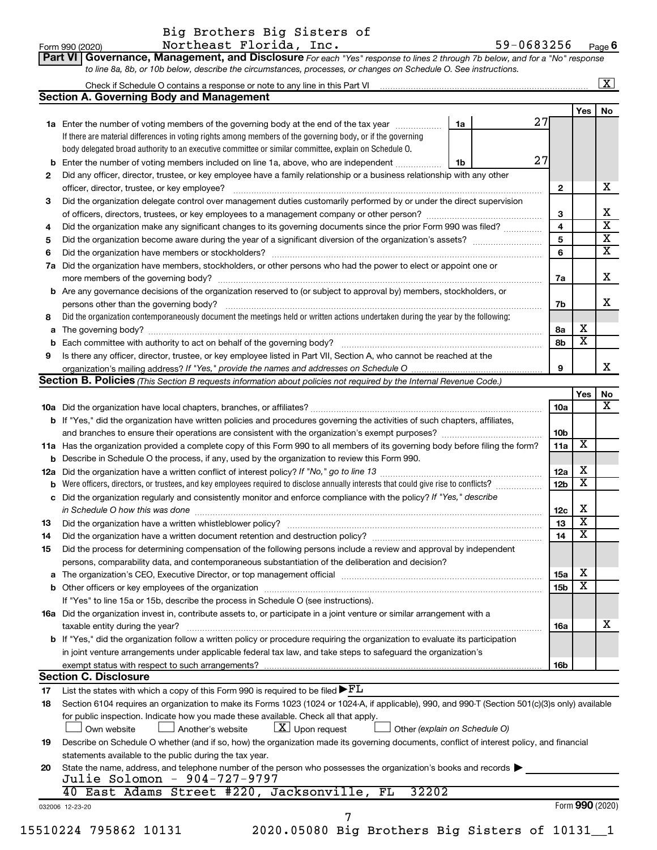|  | Form 990 (2020) |
|--|-----------------|
|  |                 |

Big Brothers Big Sisters of Northeast Florida, Inc. 59-0683256

 $\frac{1}{100}$  Form 990 (2020) NOT LIDE ASSEMBLE FLOTICIAL Research  $\frac{1}{100}$  . The set of  $\frac{1}{100}$  Page 59-0683256 Page 6

|    | Part VI Governance, Management, and Disclosure For each "Yes" response to lines 2 through 7b below, and for a "No" response                                                                                                         |    |    |                 |                         |                         |
|----|-------------------------------------------------------------------------------------------------------------------------------------------------------------------------------------------------------------------------------------|----|----|-----------------|-------------------------|-------------------------|
|    | to line 8a, 8b, or 10b below, describe the circumstances, processes, or changes on Schedule O. See instructions.                                                                                                                    |    |    |                 |                         |                         |
|    | Check if Schedule O contains a response or note to any line in this Part VI [11] [12] [12] Check if Schedule O contains a response or note to any line in this Part VI                                                              |    |    |                 |                         | $\boxed{\text{X}}$      |
|    | <b>Section A. Governing Body and Management</b>                                                                                                                                                                                     |    |    |                 |                         |                         |
|    |                                                                                                                                                                                                                                     |    | 27 |                 | <b>Yes</b>              | No                      |
|    | 1a Enter the number of voting members of the governing body at the end of the tax year<br>If there are material differences in voting rights among members of the governing body, or if the governing                               | 1a |    |                 |                         |                         |
|    | body delegated broad authority to an executive committee or similar committee, explain on Schedule O.                                                                                                                               |    |    |                 |                         |                         |
| b  | Enter the number of voting members included on line 1a, above, who are independent                                                                                                                                                  | 1b | 27 |                 |                         |                         |
| 2  | Did any officer, director, trustee, or key employee have a family relationship or a business relationship with any other                                                                                                            |    |    |                 |                         |                         |
|    |                                                                                                                                                                                                                                     |    |    | $\mathbf{2}$    |                         | x                       |
| 3  | Did the organization delegate control over management duties customarily performed by or under the direct supervision                                                                                                               |    |    |                 |                         |                         |
|    |                                                                                                                                                                                                                                     |    |    | 3               |                         | х                       |
| 4  | Did the organization make any significant changes to its governing documents since the prior Form 990 was filed?                                                                                                                    |    |    | 4               |                         | $\overline{\mathbf{x}}$ |
| 5  |                                                                                                                                                                                                                                     |    |    | 5               |                         | X                       |
| 6  |                                                                                                                                                                                                                                     |    |    | 6               |                         | X                       |
| 7a | Did the organization have members, stockholders, or other persons who had the power to elect or appoint one or                                                                                                                      |    |    |                 |                         |                         |
|    |                                                                                                                                                                                                                                     |    |    | 7a              |                         | х                       |
|    | <b>b</b> Are any governance decisions of the organization reserved to (or subject to approval by) members, stockholders, or                                                                                                         |    |    |                 |                         |                         |
|    |                                                                                                                                                                                                                                     |    |    | 7b              |                         | x                       |
| 8  | Did the organization contemporaneously document the meetings held or written actions undertaken during the year by the following:                                                                                                   |    |    |                 |                         |                         |
|    |                                                                                                                                                                                                                                     |    |    | 8а              | х                       |                         |
| b  |                                                                                                                                                                                                                                     |    |    | 8b              | X                       |                         |
| 9  | Is there any officer, director, trustee, or key employee listed in Part VII, Section A, who cannot be reached at the                                                                                                                |    |    |                 |                         |                         |
|    |                                                                                                                                                                                                                                     |    |    | 9               |                         | х                       |
|    | Section B. Policies (This Section B requests information about policies not required by the Internal Revenue Code.)                                                                                                                 |    |    |                 |                         |                         |
|    |                                                                                                                                                                                                                                     |    |    |                 | Yes                     | No                      |
|    |                                                                                                                                                                                                                                     |    |    | 10a             |                         | x                       |
|    | b If "Yes," did the organization have written policies and procedures governing the activities of such chapters, affiliates,                                                                                                        |    |    |                 |                         |                         |
|    | and branches to ensure their operations are consistent with the organization's exempt purposes? www.www.www.www.                                                                                                                    |    |    | 10 <sub>b</sub> | х                       |                         |
|    | 11a Has the organization provided a complete copy of this Form 990 to all members of its governing body before filing the form?                                                                                                     |    |    | 11a             |                         |                         |
|    | <b>b</b> Describe in Schedule O the process, if any, used by the organization to review this Form 990.                                                                                                                              |    |    | 12a             | х                       |                         |
|    | Were officers, directors, or trustees, and key employees required to disclose annually interests that could give rise to conflicts?                                                                                                 |    |    | 12 <sub>b</sub> | $\overline{\textbf{x}}$ |                         |
|    | c Did the organization regularly and consistently monitor and enforce compliance with the policy? If "Yes," describe                                                                                                                |    |    |                 |                         |                         |
|    | in Schedule O how this was done <b>construction and construction</b> of the state of the state of the state of the state of the state of the state of the state of the state of the state of the state of the state of the state of |    |    | 12c             | х                       |                         |
| 13 |                                                                                                                                                                                                                                     |    |    | 13              | $\overline{\textbf{X}}$ |                         |
| 14 | Did the organization have a written document retention and destruction policy? [111] [12] manument content and the organization have a written document retention and destruction policy?                                           |    |    | 14              | $\overline{\texttt{x}}$ |                         |
| 15 | Did the process for determining compensation of the following persons include a review and approval by independent                                                                                                                  |    |    |                 |                         |                         |
|    | persons, comparability data, and contemporaneous substantiation of the deliberation and decision?                                                                                                                                   |    |    |                 |                         |                         |
| a  |                                                                                                                                                                                                                                     |    |    | 15a             | х                       |                         |
|    |                                                                                                                                                                                                                                     |    |    | 15 <sub>b</sub> | х                       |                         |
|    | If "Yes" to line 15a or 15b, describe the process in Schedule O (see instructions).                                                                                                                                                 |    |    |                 |                         |                         |
|    | 16a Did the organization invest in, contribute assets to, or participate in a joint venture or similar arrangement with a                                                                                                           |    |    |                 |                         |                         |
|    | taxable entity during the year?                                                                                                                                                                                                     |    |    | 16a             |                         | х                       |
|    | b If "Yes," did the organization follow a written policy or procedure requiring the organization to evaluate its participation                                                                                                      |    |    |                 |                         |                         |
|    | in joint venture arrangements under applicable federal tax law, and take steps to safeguard the organization's                                                                                                                      |    |    |                 |                         |                         |
|    | exempt status with respect to such arrangements?                                                                                                                                                                                    |    |    | 16 <sub>b</sub> |                         |                         |
|    | <b>Section C. Disclosure</b>                                                                                                                                                                                                        |    |    |                 |                         |                         |
| 17 | List the states with which a copy of this Form 990 is required to be filed $\blacktriangleright$ FL                                                                                                                                 |    |    |                 |                         |                         |
| 18 | Section 6104 requires an organization to make its Forms 1023 (1024 or 1024-A, if applicable), 990, and 990-T (Section 501(c)(3)s only) available                                                                                    |    |    |                 |                         |                         |
|    | for public inspection. Indicate how you made these available. Check all that apply.                                                                                                                                                 |    |    |                 |                         |                         |
|    | $\lfloor x \rfloor$ Upon request<br>Own website<br>Another's website<br>Other (explain on Schedule O)                                                                                                                               |    |    |                 |                         |                         |
| 19 | Describe on Schedule O whether (and if so, how) the organization made its governing documents, conflict of interest policy, and financial                                                                                           |    |    |                 |                         |                         |
|    | statements available to the public during the tax year.                                                                                                                                                                             |    |    |                 |                         |                         |
| 20 | State the name, address, and telephone number of the person who possesses the organization's books and records<br>Julie Solomon - 904-727-9797                                                                                      |    |    |                 |                         |                         |
|    | 32202<br>40 East Adams Street #220, Jacksonville, FL                                                                                                                                                                                |    |    |                 |                         |                         |
|    |                                                                                                                                                                                                                                     |    |    |                 |                         |                         |

032006 12-23-20

15510224 795862 10131 2020.05080 Big Brothers Big Sisters of 10131\_\_1 7

Form (2020) **990**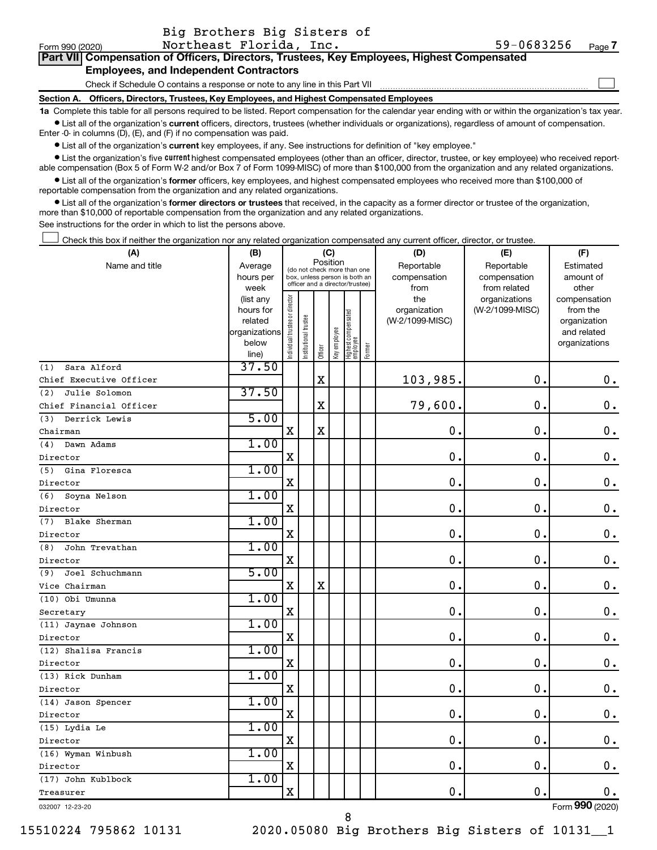$\Box$ 

| Part VII Compensation of Officers, Directors, Trustees, Key Employees, Highest Compensated |
|--------------------------------------------------------------------------------------------|
| <b>Employees, and Independent Contractors</b>                                              |

Check if Schedule O contains a response or note to any line in this Part VII

**Section A. Officers, Directors, Trustees, Key Employees, and Highest Compensated Employees**

**1a**  Complete this table for all persons required to be listed. Report compensation for the calendar year ending with or within the organization's tax year.  $\bullet$  List all of the organization's current officers, directors, trustees (whether individuals or organizations), regardless of amount of compensation.

Enter -0- in columns (D), (E), and (F) if no compensation was paid.

**•** List all of the organization's current key employees, if any. See instructions for definition of "key employee."

• List the organization's five *current* highest compensated employees (other than an officer, director, trustee, or key employee) who received reportable compensation (Box 5 of Form W-2 and/or Box 7 of Form 1099-MISC) of more than \$100,000 from the organization and any related organizations.

 $\bullet$  List all of the organization's former officers, key employees, and highest compensated employees who received more than \$100,000 of reportable compensation from the organization and any related organizations.

**•** List all of the organization's former directors or trustees that received, in the capacity as a former director or trustee of the organization, more than \$10,000 of reportable compensation from the organization and any related organizations.

See instructions for the order in which to list the persons above.

Check this box if neither the organization nor any related organization compensated any current officer, director, or trustee.  $\Box$ 

| (A)                     | (B)               |                               |                                                                  |             | (C)                                     |                                 |        | (D)             | (E)                           | (F)                   |
|-------------------------|-------------------|-------------------------------|------------------------------------------------------------------|-------------|-----------------------------------------|---------------------------------|--------|-----------------|-------------------------------|-----------------------|
| Name and title          | Average           |                               |                                                                  |             | Position<br>(do not check more than one |                                 |        | Reportable      | Reportable                    | Estimated             |
|                         | hours per         |                               | box, unless person is both an<br>officer and a director/trustee) |             |                                         |                                 |        | compensation    | compensation                  | amount of             |
|                         | week<br>(list any |                               |                                                                  |             |                                         |                                 |        | from<br>the     | from related<br>organizations | other<br>compensation |
|                         | hours for         |                               |                                                                  |             |                                         |                                 |        | organization    | (W-2/1099-MISC)               | from the              |
|                         | related           |                               |                                                                  |             |                                         |                                 |        | (W-2/1099-MISC) |                               | organization          |
|                         | organizations     |                               |                                                                  |             |                                         |                                 |        |                 |                               | and related           |
|                         | below             | ndividual trustee or director | nstitutional trustee                                             |             | Key employee                            | Highest compensated<br>employee | Former |                 |                               | organizations         |
|                         | line)             |                               |                                                                  | Officer     |                                         |                                 |        |                 |                               |                       |
| Sara Alford<br>(1)      | 37.50             |                               |                                                                  |             |                                         |                                 |        |                 |                               |                       |
| Chief Executive Officer |                   |                               |                                                                  | $\mathbf X$ |                                         |                                 |        | 103,985.        | $\mathbf 0$ .                 | 0.                    |
| Julie Solomon<br>(2)    | 37.50             |                               |                                                                  |             |                                         |                                 |        |                 |                               |                       |
| Chief Financial Officer |                   |                               |                                                                  | $\mathbf X$ |                                         |                                 |        | 79,600.         | $\mathbf 0$ .                 | $\mathbf 0$ .         |
| Derrick Lewis<br>(3)    | 5.00              |                               |                                                                  |             |                                         |                                 |        |                 |                               |                       |
| Chairman                |                   | $\mathbf X$                   |                                                                  | $\mathbf X$ |                                         |                                 |        | $\mathbf 0$     | $\mathbf 0$                   | 0.                    |
| (4)<br>Dawn Adams       | 1.00              |                               |                                                                  |             |                                         |                                 |        |                 |                               |                       |
| Director                |                   | X                             |                                                                  |             |                                         |                                 |        | $\mathbf 0$     | $\mathbf 0$ .                 | $\mathbf 0$ .         |
| (5)<br>Gina Floresca    | 1.00              |                               |                                                                  |             |                                         |                                 |        |                 |                               |                       |
| Director                |                   | X                             |                                                                  |             |                                         |                                 |        | 0               | $\mathbf 0$ .                 | $\mathbf 0$ .         |
| (6)<br>Soyna Nelson     | 1.00              |                               |                                                                  |             |                                         |                                 |        |                 |                               |                       |
| Director                |                   | X                             |                                                                  |             |                                         |                                 |        | $\mathbf 0$     | $\mathbf 0$ .                 | 0.                    |
| Blake Sherman<br>(7)    | 1.00              |                               |                                                                  |             |                                         |                                 |        |                 |                               |                       |
| Director                |                   | X                             |                                                                  |             |                                         |                                 |        | $\mathbf 0$ .   | $\mathbf 0$                   | $\mathbf 0$ .         |
| (8)<br>John Trevathan   | 1.00              |                               |                                                                  |             |                                         |                                 |        |                 |                               |                       |
| Director                |                   | X                             |                                                                  |             |                                         |                                 |        | $\mathbf 0$     | $\mathbf 0$ .                 | $\mathbf 0$ .         |
| Joel Schuchmann<br>(9)  | 5.00              |                               |                                                                  |             |                                         |                                 |        |                 |                               |                       |
| Vice Chairman           |                   | $\mathbf X$                   |                                                                  | $\mathbf X$ |                                         |                                 |        | $\mathbf 0$ .   | $\mathbf 0$ .                 | $\mathbf 0$ .         |
| (10) Obi Umunna         | 1.00              |                               |                                                                  |             |                                         |                                 |        |                 |                               |                       |
| Secretary               |                   | $\mathbf X$                   |                                                                  |             |                                         |                                 |        | $\mathbf 0$ .   | $\mathbf 0$ .                 | 0.                    |
| (11) Jaynae Johnson     | 1.00              |                               |                                                                  |             |                                         |                                 |        |                 |                               |                       |
| Director                |                   | $\mathbf X$                   |                                                                  |             |                                         |                                 |        | $\mathbf 0$     | $\mathbf 0$                   | $\mathbf 0$ .         |
| (12) Shalisa Francis    | 1.00              |                               |                                                                  |             |                                         |                                 |        |                 |                               |                       |
| Director                |                   | X                             |                                                                  |             |                                         |                                 |        | $\mathbf 0$     | $\mathbf 0$ .                 | $\mathbf 0$ .         |
| (13) Rick Dunham        | 1.00              |                               |                                                                  |             |                                         |                                 |        |                 |                               |                       |
| Director                |                   | X                             |                                                                  |             |                                         |                                 |        | $\mathbf 0$     | $\mathbf 0$ .                 | $\mathbf 0$ .         |
| (14) Jason Spencer      | 1.00              |                               |                                                                  |             |                                         |                                 |        |                 |                               |                       |
| Director                |                   | $\mathbf X$                   |                                                                  |             |                                         |                                 |        | $\mathbf 0$ .   | $\mathbf 0$ .                 | $\mathbf 0$ .         |
| (15) Lydia Le           | 1.00              |                               |                                                                  |             |                                         |                                 |        |                 |                               |                       |
| Director                |                   | X                             |                                                                  |             |                                         |                                 |        | $\mathbf 0$     | $\mathbf 0$                   | $\mathbf 0$ .         |
| (16) Wyman Winbush      | 1.00              |                               |                                                                  |             |                                         |                                 |        |                 |                               |                       |
| Director                |                   | X                             |                                                                  |             |                                         |                                 |        | $\mathbf 0$ .   | $\mathbf 0$ .                 | $\mathbf 0$ .         |
| (17) John Kublbock      | 1.00              |                               |                                                                  |             |                                         |                                 |        |                 |                               |                       |
| Treasurer               |                   | X                             |                                                                  |             |                                         |                                 |        | 0.              | $\mathbf 0$ .                 | $0$ .                 |
| 032007 12-23-20         |                   |                               |                                                                  |             |                                         |                                 |        |                 |                               | Form 990 (2020)       |

15510224 795862 10131 2020.05080 Big Brothers Big Sisters of 10131\_\_1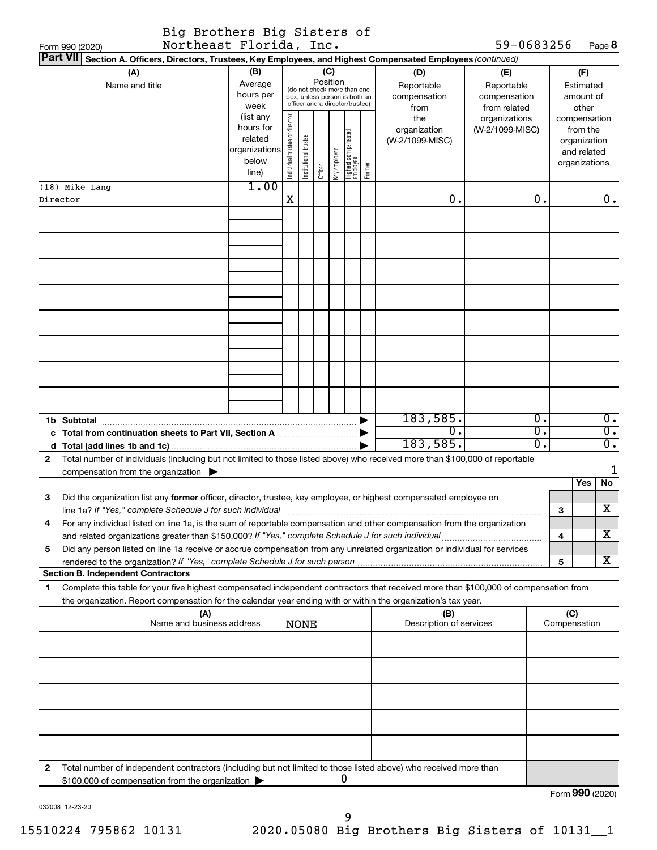|  |  | Big Brothers Big Sisters of |  |
|--|--|-----------------------------|--|
|  |  | Northeast Florida Inc.      |  |

| 59-0683256 | Page 8 |
|------------|--------|
|------------|--------|

|                 | Northeast Florida, Inc.<br>Form 990 (2020)                                                                                                                                                                                                |                                                                      |                                                                                                                    |                       |         |              |                                   |        |                                           | 59-0683256                                        |          |                     |                                                          | Page 8                               |
|-----------------|-------------------------------------------------------------------------------------------------------------------------------------------------------------------------------------------------------------------------------------------|----------------------------------------------------------------------|--------------------------------------------------------------------------------------------------------------------|-----------------------|---------|--------------|-----------------------------------|--------|-------------------------------------------|---------------------------------------------------|----------|---------------------|----------------------------------------------------------|--------------------------------------|
| <b>Part VII</b> | Section A. Officers, Directors, Trustees, Key Employees, and Highest Compensated Employees (continued)                                                                                                                                    |                                                                      |                                                                                                                    |                       |         |              |                                   |        |                                           |                                                   |          |                     |                                                          |                                      |
|                 | (A)<br>Name and title                                                                                                                                                                                                                     | (B)<br>Average<br>hours per<br>week                                  | (C)<br>Position<br>(do not check more than one<br>box, unless person is both an<br>officer and a director/trustee) |                       |         |              |                                   |        | (D)<br>Reportable<br>compensation<br>from | (E)<br>Reportable<br>compensation<br>from related |          |                     | (F)<br>Estimated<br>amount of<br>other                   |                                      |
|                 |                                                                                                                                                                                                                                           | (list any<br>hours for<br>related<br>organizations<br>below<br>line) | Individual trustee or director                                                                                     | Institutional trustee | Officer | Key employee | Highest compensated<br>  employee | Former | the<br>organization<br>(W-2/1099-MISC)    | organizations<br>(W-2/1099-MISC)                  |          | compensation        | from the<br>organization<br>and related<br>organizations |                                      |
|                 | (18) Mike Lang                                                                                                                                                                                                                            | 1.00                                                                 |                                                                                                                    |                       |         |              |                                   |        |                                           |                                                   |          |                     |                                                          |                                      |
| Director        |                                                                                                                                                                                                                                           |                                                                      | X                                                                                                                  |                       |         |              |                                   |        | 0.                                        |                                                   | 0.       |                     |                                                          | $0$ .                                |
|                 |                                                                                                                                                                                                                                           |                                                                      |                                                                                                                    |                       |         |              |                                   |        |                                           |                                                   |          |                     |                                                          |                                      |
|                 |                                                                                                                                                                                                                                           |                                                                      |                                                                                                                    |                       |         |              |                                   |        |                                           |                                                   |          |                     |                                                          |                                      |
|                 |                                                                                                                                                                                                                                           |                                                                      |                                                                                                                    |                       |         |              |                                   |        |                                           |                                                   |          |                     |                                                          |                                      |
|                 |                                                                                                                                                                                                                                           |                                                                      |                                                                                                                    |                       |         |              |                                   |        |                                           |                                                   |          |                     |                                                          |                                      |
|                 | 1b Subtotal                                                                                                                                                                                                                               |                                                                      |                                                                                                                    |                       |         |              |                                   |        | 183,585.                                  |                                                   | 0.       |                     |                                                          | $\overline{0}$ .                     |
|                 | c Total from continuation sheets to Part VII, Section A                                                                                                                                                                                   |                                                                      |                                                                                                                    |                       |         |              |                                   |        | $\overline{0}$ .<br>183,585.              |                                                   | σ.<br>σ. |                     |                                                          | $\overline{0}$ .<br>$\overline{0}$ . |
| 2               | Total number of individuals (including but not limited to those listed above) who received more than \$100,000 of reportable                                                                                                              |                                                                      |                                                                                                                    |                       |         |              |                                   |        |                                           |                                                   |          |                     |                                                          |                                      |
|                 | compensation from the organization $\blacktriangleright$                                                                                                                                                                                  |                                                                      |                                                                                                                    |                       |         |              |                                   |        |                                           |                                                   |          |                     |                                                          | 1                                    |
| 3               | Did the organization list any former officer, director, trustee, key employee, or highest compensated employee on                                                                                                                         |                                                                      |                                                                                                                    |                       |         |              |                                   |        |                                           |                                                   |          |                     | Yes                                                      | No                                   |
|                 | line 1a? If "Yes," complete Schedule J for such individual manufacture content to the content of the complete<br>For any individual listed on line 1a, is the sum of reportable compensation and other compensation from the organization |                                                                      |                                                                                                                    |                       |         |              |                                   |        |                                           |                                                   |          | 3                   |                                                          | х                                    |
|                 | and related organizations greater than \$150,000? If "Yes," complete Schedule J for such individual                                                                                                                                       |                                                                      |                                                                                                                    |                       |         |              |                                   |        |                                           |                                                   |          | 4                   |                                                          | х                                    |
| 5               | Did any person listed on line 1a receive or accrue compensation from any unrelated organization or individual for services                                                                                                                |                                                                      |                                                                                                                    |                       |         |              |                                   |        |                                           |                                                   |          |                     |                                                          | х                                    |
|                 | <b>Section B. Independent Contractors</b>                                                                                                                                                                                                 |                                                                      |                                                                                                                    |                       |         |              |                                   |        |                                           |                                                   |          | 5                   |                                                          |                                      |
| 1.              | Complete this table for your five highest compensated independent contractors that received more than \$100,000 of compensation from                                                                                                      |                                                                      |                                                                                                                    |                       |         |              |                                   |        |                                           |                                                   |          |                     |                                                          |                                      |
|                 | the organization. Report compensation for the calendar year ending with or within the organization's tax year.                                                                                                                            |                                                                      |                                                                                                                    |                       |         |              |                                   |        |                                           |                                                   |          |                     |                                                          |                                      |
|                 | (A)<br>Name and business address                                                                                                                                                                                                          |                                                                      |                                                                                                                    | <b>NONE</b>           |         |              |                                   |        | (B)<br>Description of services            |                                                   |          | (C)<br>Compensation |                                                          |                                      |
|                 |                                                                                                                                                                                                                                           |                                                                      |                                                                                                                    |                       |         |              |                                   |        |                                           |                                                   |          |                     |                                                          |                                      |
|                 |                                                                                                                                                                                                                                           |                                                                      |                                                                                                                    |                       |         |              |                                   |        |                                           |                                                   |          |                     |                                                          |                                      |
|                 |                                                                                                                                                                                                                                           |                                                                      |                                                                                                                    |                       |         |              |                                   |        |                                           |                                                   |          |                     |                                                          |                                      |
|                 |                                                                                                                                                                                                                                           |                                                                      |                                                                                                                    |                       |         |              |                                   |        |                                           |                                                   |          |                     |                                                          |                                      |
|                 |                                                                                                                                                                                                                                           |                                                                      |                                                                                                                    |                       |         |              |                                   |        |                                           |                                                   |          |                     |                                                          |                                      |
| 2               | Total number of independent contractors (including but not limited to those listed above) who received more than<br>\$100,000 of compensation from the organization                                                                       |                                                                      |                                                                                                                    |                       |         |              | 0                                 |        |                                           |                                                   |          | Form 990 (2020)     |                                                          |                                      |
|                 |                                                                                                                                                                                                                                           |                                                                      |                                                                                                                    |                       |         |              |                                   |        |                                           |                                                   |          |                     |                                                          |                                      |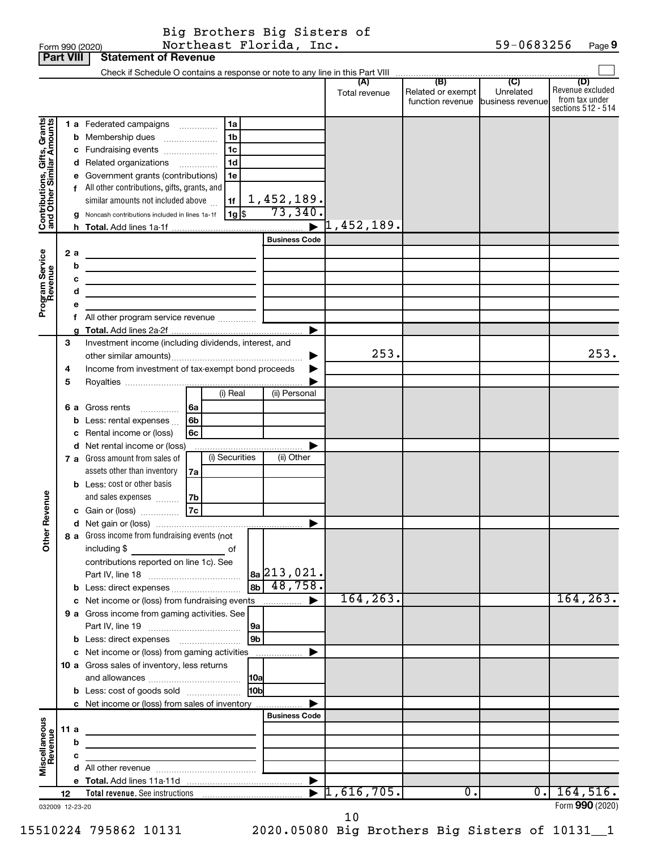**Part VIII Statement of Part VIII Statement** 

# Big Brothers Big Sisters of

|                                                           | Part VIII |    | <b>Statement or Revenue</b>                                                     |                      |               |                   |                  |                                      |
|-----------------------------------------------------------|-----------|----|---------------------------------------------------------------------------------|----------------------|---------------|-------------------|------------------|--------------------------------------|
|                                                           |           |    |                                                                                 |                      | (A)           | (B)               | (C)              | (D)                                  |
|                                                           |           |    |                                                                                 |                      | Total revenue | Related or exempt | Unrelated        | Revenue excluded                     |
|                                                           |           |    |                                                                                 |                      |               | function revenue  | business revenue | from tax under<br>sections 512 - 514 |
|                                                           |           |    | 1 a Federated campaigns<br>1a                                                   |                      |               |                   |                  |                                      |
| Contributions, Gifts, Grants<br>and Other Similar Amounts |           |    | 1 <sub>b</sub><br><b>b</b> Membership dues                                      |                      |               |                   |                  |                                      |
|                                                           |           |    | 1c<br>c Fundraising events                                                      |                      |               |                   |                  |                                      |
|                                                           |           |    | 1 <sub>d</sub><br>d Related organizations                                       |                      |               |                   |                  |                                      |
|                                                           |           |    | e Government grants (contributions)<br>1e                                       |                      |               |                   |                  |                                      |
|                                                           |           |    | f All other contributions, gifts, grants, and                                   |                      |               |                   |                  |                                      |
|                                                           |           |    | similar amounts not included above<br>1f                                        | 1,452,189.           |               |                   |                  |                                      |
|                                                           |           | g  | $1g$ \$<br>Noncash contributions included in lines 1a-1f                        | 73,340.              |               |                   |                  |                                      |
|                                                           |           |    |                                                                                 |                      | $1,452,189$ . |                   |                  |                                      |
|                                                           |           |    |                                                                                 | <b>Business Code</b> |               |                   |                  |                                      |
|                                                           |           | 2a |                                                                                 |                      |               |                   |                  |                                      |
|                                                           |           | b  | the control of the control of the control of the control of the control of      |                      |               |                   |                  |                                      |
| Program Service<br>Revenue                                |           |    | the contract of the contract of the contract of the contract of the contract of |                      |               |                   |                  |                                      |
|                                                           |           | d  | the control of the control of the control of the control of the control of      |                      |               |                   |                  |                                      |
|                                                           |           |    |                                                                                 |                      |               |                   |                  |                                      |
|                                                           |           | f  | All other program service revenue                                               |                      |               |                   |                  |                                      |
|                                                           |           | a  |                                                                                 | ▶                    |               |                   |                  |                                      |
|                                                           | 3         |    | Investment income (including dividends, interest, and                           |                      |               |                   |                  |                                      |
|                                                           |           |    |                                                                                 | ▶                    | 253.          |                   |                  | 253.                                 |
|                                                           | 4         |    | Income from investment of tax-exempt bond proceeds                              | ▶                    |               |                   |                  |                                      |
|                                                           | 5         |    |                                                                                 |                      |               |                   |                  |                                      |
|                                                           |           |    | (i) Real                                                                        | (ii) Personal        |               |                   |                  |                                      |
|                                                           |           |    | 6a<br>6 a Gross rents                                                           |                      |               |                   |                  |                                      |
|                                                           |           |    | <b>b</b> Less: rental expenses<br>6b                                            |                      |               |                   |                  |                                      |
|                                                           |           |    | c Rental income or (loss)<br>6с                                                 |                      |               |                   |                  |                                      |
|                                                           |           |    | d Net rental income or (loss)<br>(i) Securities                                 | (ii) Other           |               |                   |                  |                                      |
|                                                           |           |    | 7 a Gross amount from sales of                                                  |                      |               |                   |                  |                                      |
|                                                           |           |    | assets other than inventory<br><b>7a</b>                                        |                      |               |                   |                  |                                      |
|                                                           |           |    | <b>b</b> Less: cost or other basis                                              |                      |               |                   |                  |                                      |
| Revenue                                                   |           |    | 7b<br>and sales expenses<br> 7c                                                 |                      |               |                   |                  |                                      |
|                                                           |           |    | c Gain or (loss)                                                                | ▶                    |               |                   |                  |                                      |
| ৯                                                         |           |    | 8 a Gross income from fundraising events (not                                   |                      |               |                   |                  |                                      |
| हैं                                                       |           |    | of                                                                              |                      |               |                   |                  |                                      |
|                                                           |           |    | including \$ ______________________<br>contributions reported on line 1c). See  |                      |               |                   |                  |                                      |
|                                                           |           |    |                                                                                 | $ a_2 $ 213,021.     |               |                   |                  |                                      |
|                                                           |           |    | 8 <sub>b</sub><br><b>b</b> Less: direct expenses                                | 48,758.              |               |                   |                  |                                      |
|                                                           |           |    | c Net income or (loss) from fundraising events                                  | ▶<br>.               | 164, 263.     |                   |                  | 164, 263.                            |
|                                                           |           |    | 9 a Gross income from gaming activities. See                                    |                      |               |                   |                  |                                      |
|                                                           |           |    | 9a                                                                              |                      |               |                   |                  |                                      |
|                                                           |           |    | 9b                                                                              |                      |               |                   |                  |                                      |
|                                                           |           |    | c Net income or (loss) from gaming activities                                   |                      |               |                   |                  |                                      |
|                                                           |           |    | 10 a Gross sales of inventory, less returns                                     |                      |               |                   |                  |                                      |
|                                                           |           |    | 10a                                                                             |                      |               |                   |                  |                                      |
|                                                           |           |    | <b>b</b> Less: cost of goods sold<br>10b                                        |                      |               |                   |                  |                                      |
|                                                           |           |    | c Net income or (loss) from sales of inventory                                  |                      |               |                   |                  |                                      |
|                                                           |           |    |                                                                                 | <b>Business Code</b> |               |                   |                  |                                      |
|                                                           | 11 a      |    |                                                                                 |                      |               |                   |                  |                                      |
|                                                           |           | b  |                                                                                 |                      |               |                   |                  |                                      |
|                                                           |           | с  |                                                                                 |                      |               |                   |                  |                                      |
| Miscellaneous<br>Revenue                                  |           |    |                                                                                 |                      |               |                   |                  |                                      |
|                                                           |           |    |                                                                                 | ▶                    |               |                   |                  |                                      |
|                                                           | 12        |    |                                                                                 |                      | 1,616,705.    | 0.                | 0.1              | 164,516.                             |
| 032009 12-23-20                                           |           |    |                                                                                 |                      |               |                   |                  | Form 990 (2020)                      |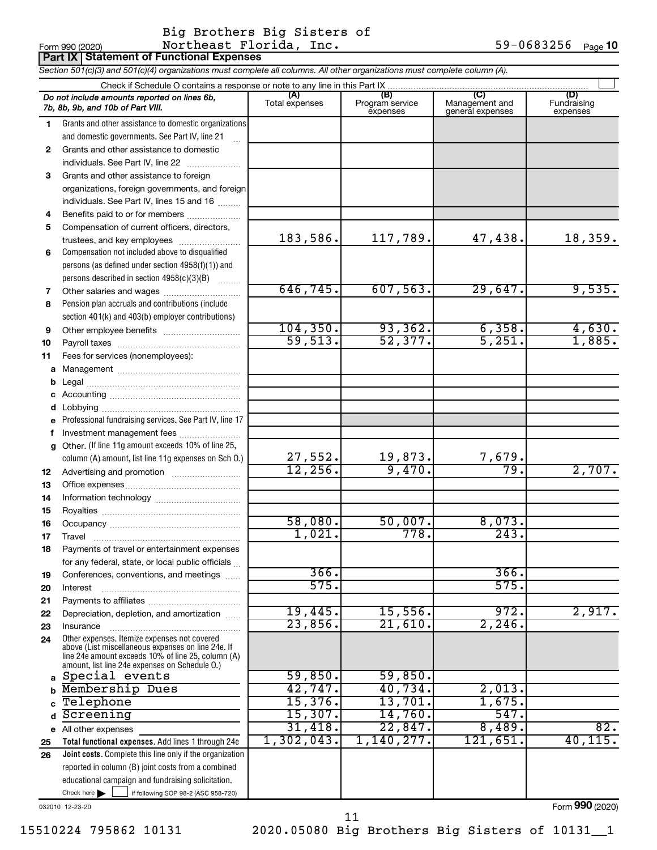|                 | Big Brothers Big Sisters of |                     |
|-----------------|-----------------------------|---------------------|
| Form 990 (2020) | Northeast Florida, Inc.     | $59 - 0683256$ Page |

59-0683256 Page 10

|          | <b>Part IX Statement of Functional Expenses</b>                                                                            |                       |                                    |                                           |                                |  |  |  |  |
|----------|----------------------------------------------------------------------------------------------------------------------------|-----------------------|------------------------------------|-------------------------------------------|--------------------------------|--|--|--|--|
|          | Section 501(c)(3) and 501(c)(4) organizations must complete all columns. All other organizations must complete column (A). |                       |                                    |                                           |                                |  |  |  |  |
|          |                                                                                                                            |                       |                                    |                                           |                                |  |  |  |  |
|          | Do not include amounts reported on lines 6b,<br>7b, 8b, 9b, and 10b of Part VIII.                                          | (A)<br>Total expenses | (B)<br>Program service<br>expenses | (C)<br>Management and<br>general expenses | (D)<br>Fundraising<br>expenses |  |  |  |  |
| 1.       | Grants and other assistance to domestic organizations                                                                      |                       |                                    |                                           |                                |  |  |  |  |
|          | and domestic governments. See Part IV, line 21                                                                             |                       |                                    |                                           |                                |  |  |  |  |
| 2        | Grants and other assistance to domestic                                                                                    |                       |                                    |                                           |                                |  |  |  |  |
|          | individuals. See Part IV, line 22<br>$\mathcal{L} = \{1, 2, \ldots, n\}$                                                   |                       |                                    |                                           |                                |  |  |  |  |
| 3        | Grants and other assistance to foreign                                                                                     |                       |                                    |                                           |                                |  |  |  |  |
|          | organizations, foreign governments, and foreign                                                                            |                       |                                    |                                           |                                |  |  |  |  |
|          | individuals. See Part IV, lines 15 and 16                                                                                  |                       |                                    |                                           |                                |  |  |  |  |
| 4        | Benefits paid to or for members                                                                                            |                       |                                    |                                           |                                |  |  |  |  |
| 5        | Compensation of current officers, directors,                                                                               |                       |                                    |                                           |                                |  |  |  |  |
|          |                                                                                                                            | 183,586.              | 117,789.                           | 47,438.                                   | 18,359.                        |  |  |  |  |
| 6        | Compensation not included above to disqualified                                                                            |                       |                                    |                                           |                                |  |  |  |  |
|          | persons (as defined under section $4958(f)(1)$ ) and                                                                       |                       |                                    |                                           |                                |  |  |  |  |
|          | persons described in section 4958(c)(3)(B)                                                                                 |                       |                                    |                                           |                                |  |  |  |  |
| 7        | Other salaries and wages                                                                                                   | 646, 745.             | 607,563.                           | 29,647.                                   | 9,535.                         |  |  |  |  |
| 8        | Pension plan accruals and contributions (include                                                                           |                       |                                    |                                           |                                |  |  |  |  |
|          | section 401(k) and 403(b) employer contributions)                                                                          |                       |                                    |                                           |                                |  |  |  |  |
| 9        |                                                                                                                            | 104, 350.             | 93, 362.                           | 6,358.                                    | 4,630.                         |  |  |  |  |
| 10       |                                                                                                                            | $\overline{59,513.}$  | 52,377.                            | 5,251.                                    | 1,885.                         |  |  |  |  |
| 11       | Fees for services (nonemployees):                                                                                          |                       |                                    |                                           |                                |  |  |  |  |
| a        |                                                                                                                            |                       |                                    |                                           |                                |  |  |  |  |
| b        |                                                                                                                            |                       |                                    |                                           |                                |  |  |  |  |
| С        |                                                                                                                            |                       |                                    |                                           |                                |  |  |  |  |
| d        | Lobbying                                                                                                                   |                       |                                    |                                           |                                |  |  |  |  |
|          | Professional fundraising services. See Part IV, line 17                                                                    |                       |                                    |                                           |                                |  |  |  |  |
| f        | Investment management fees                                                                                                 |                       |                                    |                                           |                                |  |  |  |  |
| a        | Other. (If line 11g amount exceeds 10% of line 25,                                                                         |                       |                                    |                                           |                                |  |  |  |  |
|          | column (A) amount, list line 11g expenses on Sch O.)                                                                       | 27,552.               | $\frac{19,873}{9,470}$             | 7,679.<br>$\overline{79}$                 |                                |  |  |  |  |
| 12       | Advertising and promotion <i>manually contained</i>                                                                        | 12,256.               |                                    |                                           | 2,707.                         |  |  |  |  |
| 13       |                                                                                                                            |                       |                                    |                                           |                                |  |  |  |  |
| 14       |                                                                                                                            |                       |                                    |                                           |                                |  |  |  |  |
| 15       |                                                                                                                            | 58,080.               |                                    |                                           |                                |  |  |  |  |
| 16       |                                                                                                                            | 1,021.                | 50,007.<br>778.                    | 8,073.<br>243.                            |                                |  |  |  |  |
| 17       | Travel                                                                                                                     |                       |                                    |                                           |                                |  |  |  |  |
| 18       | Payments of travel or entertainment expenses                                                                               |                       |                                    |                                           |                                |  |  |  |  |
|          | for any federal, state, or local public officials                                                                          | 366.                  |                                    | 366.                                      |                                |  |  |  |  |
| 19       | Conferences, conventions, and meetings                                                                                     | 575.                  |                                    | 575.                                      |                                |  |  |  |  |
| 20       | Interest                                                                                                                   |                       |                                    |                                           |                                |  |  |  |  |
| 21       | Depreciation, depletion, and amortization                                                                                  | 19,445.               | 15,556.                            | 972.                                      | 2,917.                         |  |  |  |  |
| 22       |                                                                                                                            | 23,856.               | 21,610.                            | 2, 246.                                   |                                |  |  |  |  |
| 23<br>24 | Insurance<br>Other expenses. Itemize expenses not covered                                                                  |                       |                                    |                                           |                                |  |  |  |  |
|          | above (List miscellaneous expenses on line 24e. If                                                                         |                       |                                    |                                           |                                |  |  |  |  |
|          | line 24e amount exceeds 10% of line 25, column (A)<br>amount, list line 24e expenses on Schedule O.)                       |                       |                                    |                                           |                                |  |  |  |  |
| a        | Special events                                                                                                             | 59,850.               | 59,850.                            |                                           |                                |  |  |  |  |
| b        | Membership Dues                                                                                                            | 42,747.               | 40,734.                            | 2,013.                                    |                                |  |  |  |  |
|          | Telephone                                                                                                                  | 15,376.               | 13,701.                            | 1,675.                                    |                                |  |  |  |  |
| d        | Screening                                                                                                                  | 15,307.               | 14,760.                            | 547.                                      |                                |  |  |  |  |
|          | e All other expenses                                                                                                       | 31,418.               | 22,847.                            | 8,489.                                    | 82.                            |  |  |  |  |
| 25       | Total functional expenses. Add lines 1 through 24e                                                                         | 1,302,043.            | 1,140,277.                         | 121,651.                                  | 40, 115.                       |  |  |  |  |
| 26       | Joint costs. Complete this line only if the organization                                                                   |                       |                                    |                                           |                                |  |  |  |  |
|          | reported in column (B) joint costs from a combined                                                                         |                       |                                    |                                           |                                |  |  |  |  |
|          | educational campaign and fundraising solicitation.                                                                         |                       |                                    |                                           |                                |  |  |  |  |
|          | Check here $\blacktriangleright$<br>if following SOP 98-2 (ASC 958-720)                                                    |                       |                                    |                                           |                                |  |  |  |  |

032010 12-23-20

15510224 795862 10131 2020.05080 Big Brothers Big Sisters of 10131\_\_1

11

Form (2020) **990**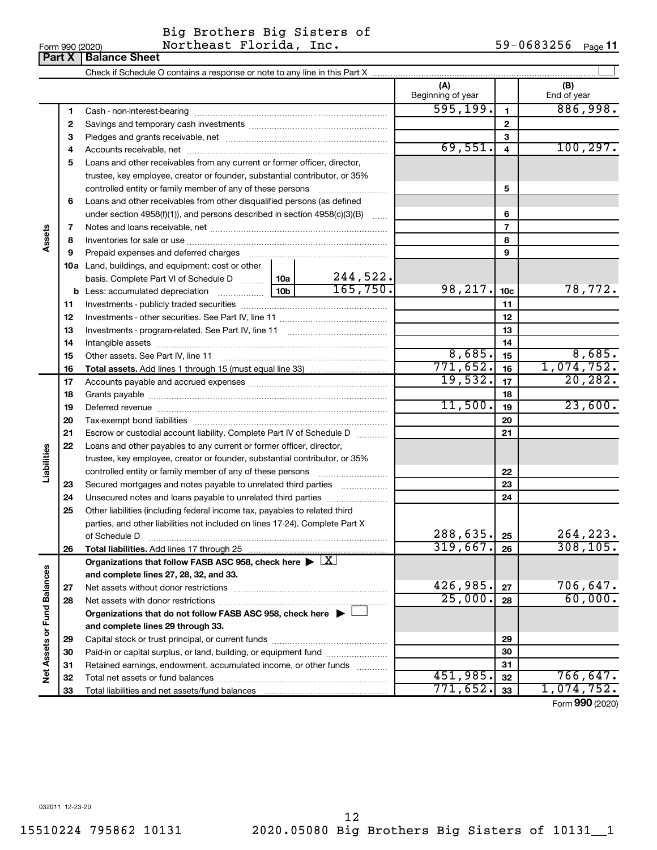Big Brothers Big Sisters of Northeast Florida, Inc. 59-0683256

 $\frac{1}{2}$ Form 990 (2020) NOTTNeast Florida, Inc.  $59-0683256$  Page 59-0683256 Page 11

|                             | Part X | <b>Balance Sheet</b>                                                                                   |           |              |                          |                 |                    |
|-----------------------------|--------|--------------------------------------------------------------------------------------------------------|-----------|--------------|--------------------------|-----------------|--------------------|
|                             |        |                                                                                                        |           |              |                          |                 |                    |
|                             |        |                                                                                                        |           |              | (A)<br>Beginning of year |                 | (B)<br>End of year |
|                             | 1      |                                                                                                        | 595, 199. | 1            | 886,998.                 |                 |                    |
|                             | 2      |                                                                                                        |           | $\mathbf{2}$ |                          |                 |                    |
|                             | 3      |                                                                                                        |           | 3            |                          |                 |                    |
|                             | 4      |                                                                                                        | 69,551.   | 4            | 100, 297.                |                 |                    |
|                             | 5      | Loans and other receivables from any current or former officer, director,                              |           |              |                          |                 |                    |
|                             |        | trustee, key employee, creator or founder, substantial contributor, or 35%                             |           |              |                          |                 |                    |
|                             |        |                                                                                                        |           | 5            |                          |                 |                    |
|                             | 6      | Loans and other receivables from other disqualified persons (as defined                                |           |              |                          |                 |                    |
|                             |        | under section 4958(f)(1)), and persons described in section 4958(c)(3)(B)                              |           |              | 6                        |                 |                    |
|                             | 7      |                                                                                                        |           |              |                          | 7               |                    |
| Assets                      | 8      |                                                                                                        |           |              |                          | 8               |                    |
|                             | 9      |                                                                                                        |           |              |                          | 9               |                    |
|                             |        | <b>10a</b> Land, buildings, and equipment: cost or other                                               |           |              |                          |                 |                    |
|                             |        | basis. Complete Part VI of Schedule D  10a                                                             |           | 244,522.     |                          |                 |                    |
|                             |        |                                                                                                        |           | 165, 750.    | 98,217.                  | 10 <sub>c</sub> | 78,772.            |
|                             | 11     |                                                                                                        |           |              |                          | 11              |                    |
|                             | 12     |                                                                                                        |           | 12           |                          |                 |                    |
|                             | 13     |                                                                                                        |           | 13           |                          |                 |                    |
|                             | 14     |                                                                                                        |           | 14           |                          |                 |                    |
|                             | 15     |                                                                                                        |           |              | 8,685.                   | 15              | 8,685.             |
|                             | 16     |                                                                                                        |           |              | 771,652.                 | 16              | 1,074,752.         |
|                             | 17     |                                                                                                        |           |              | 19,532.                  | 17              | 20, 282.           |
|                             | 18     |                                                                                                        |           | 18           |                          |                 |                    |
|                             | 19     |                                                                                                        |           |              | 11,500.                  | 19              | 23,600.            |
|                             | 20     |                                                                                                        |           |              |                          | 20              |                    |
|                             | 21     | Escrow or custodial account liability. Complete Part IV of Schedule D                                  |           |              |                          | 21              |                    |
| Liabilities                 | 22     | Loans and other payables to any current or former officer, director,                                   |           |              |                          |                 |                    |
|                             |        | trustee, key employee, creator or founder, substantial contributor, or 35%                             |           |              |                          |                 |                    |
|                             |        |                                                                                                        |           |              |                          | 22              |                    |
|                             | 23     | Secured mortgages and notes payable to unrelated third parties                                         |           |              |                          | 23              |                    |
|                             | 24     | Unsecured notes and loans payable to unrelated third parties                                           |           |              |                          | 24              |                    |
|                             | 25     | Other liabilities (including federal income tax, payables to related third                             |           |              |                          |                 |                    |
|                             |        | parties, and other liabilities not included on lines 17-24). Complete Part X<br>of Schedule D          |           |              | 288,635.                 | 25              | 264,223.           |
|                             | 26     | Total liabilities. Add lines 17 through 25                                                             |           |              | 319,667.                 | 26              | 308, 105.          |
|                             |        | Organizations that follow FASB ASC 958, check here $\blacktriangleright \lfloor \underline{X} \rfloor$ |           |              |                          |                 |                    |
|                             |        | and complete lines 27, 28, 32, and 33.                                                                 |           |              |                          |                 |                    |
|                             | 27     |                                                                                                        |           |              | 426,985.                 | 27              | 706,647.           |
|                             | 28     |                                                                                                        |           |              | 25,000.                  | 28              | 60,000.            |
|                             |        | Organizations that do not follow FASB ASC 958, check here $\blacktriangleright$                        |           |              |                          |                 |                    |
|                             |        | and complete lines 29 through 33.                                                                      |           |              |                          |                 |                    |
|                             | 29     |                                                                                                        |           |              |                          | 29              |                    |
|                             | 30     | Paid-in or capital surplus, or land, building, or equipment fund                                       |           |              |                          | 30              |                    |
|                             | 31     | Retained earnings, endowment, accumulated income, or other funds                                       |           |              |                          | 31              |                    |
| Net Assets or Fund Balances | 32     |                                                                                                        |           |              | 451,985.                 | 32              | 766, 647.          |
|                             | 33     |                                                                                                        |           |              | 771,652.                 | 33              | 1,074,752.         |
|                             |        |                                                                                                        |           |              |                          |                 | Form 990 (2020)    |

Form 990 (2020) **990**

032011 12-23-20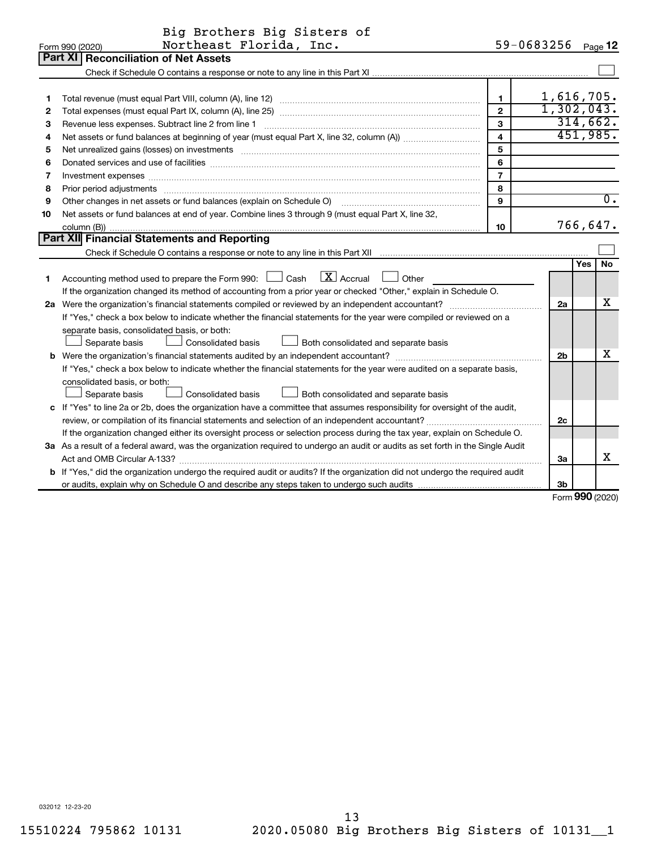|    | Big Brothers Big Sisters of<br>Northeast Florida, Inc.<br>Form 990 (2020)                                                       |                         | 59-0683256 Page 12 |     |                     |
|----|---------------------------------------------------------------------------------------------------------------------------------|-------------------------|--------------------|-----|---------------------|
|    | <b>Reconciliation of Net Assets</b><br>Part XI                                                                                  |                         |                    |     |                     |
|    |                                                                                                                                 |                         |                    |     |                     |
|    |                                                                                                                                 |                         |                    |     |                     |
| 1  |                                                                                                                                 | $\mathbf{1}$            | 1,616,705.         |     |                     |
| 2  |                                                                                                                                 | $\mathbf{2}$            | 1,302,043.         |     |                     |
| З  | Revenue less expenses. Subtract line 2 from line 1                                                                              | 3                       |                    |     | 314,662.            |
| 4  |                                                                                                                                 | $\overline{\mathbf{4}}$ |                    |     | 451,985.            |
| 5  |                                                                                                                                 | 5                       |                    |     |                     |
| 6  |                                                                                                                                 | 6                       |                    |     |                     |
| 7  | Investment expenses www.communication.com/www.communication.com/www.communication.com/www.com                                   | $\overline{7}$          |                    |     |                     |
| 8  |                                                                                                                                 | 8                       |                    |     |                     |
| 9  | Other changes in net assets or fund balances (explain on Schedule O)                                                            | 9                       |                    |     | $\overline{0}$ .    |
| 10 | Net assets or fund balances at end of year. Combine lines 3 through 9 (must equal Part X, line 32,                              |                         |                    |     | 766,647.            |
| 10 |                                                                                                                                 |                         |                    |     |                     |
|    | Part XII Financial Statements and Reporting                                                                                     |                         |                    |     |                     |
|    |                                                                                                                                 |                         |                    |     |                     |
|    |                                                                                                                                 |                         |                    | Yes | No                  |
| 1  | $\boxed{\mathbf{X}}$ Accrual<br>Accounting method used to prepare the Form 990: [1635] Cash<br>Other                            |                         |                    |     |                     |
|    | If the organization changed its method of accounting from a prior year or checked "Other," explain in Schedule O.               |                         |                    |     |                     |
|    |                                                                                                                                 |                         | 2a                 |     | х                   |
|    | If "Yes," check a box below to indicate whether the financial statements for the year were compiled or reviewed on a            |                         |                    |     |                     |
|    | separate basis, consolidated basis, or both:                                                                                    |                         |                    |     |                     |
|    | Separate basis<br><b>Consolidated basis</b><br>Both consolidated and separate basis                                             |                         |                    |     |                     |
|    | <b>b</b> Were the organization's financial statements audited by an independent accountant?                                     |                         | 2 <sub>b</sub>     |     | х                   |
|    | If "Yes," check a box below to indicate whether the financial statements for the year were audited on a separate basis,         |                         |                    |     |                     |
|    | consolidated basis, or both:                                                                                                    |                         |                    |     |                     |
|    | Separate basis<br>Consolidated basis<br>Both consolidated and separate basis                                                    |                         |                    |     |                     |
|    | c If "Yes" to line 2a or 2b, does the organization have a committee that assumes responsibility for oversight of the audit,     |                         |                    |     |                     |
|    |                                                                                                                                 |                         | 2c                 |     |                     |
|    | If the organization changed either its oversight process or selection process during the tax year, explain on Schedule O.       |                         |                    |     |                     |
|    | 3a As a result of a federal award, was the organization required to undergo an audit or audits as set forth in the Single Audit |                         |                    |     |                     |
|    |                                                                                                                                 |                         | За                 |     | x                   |
|    | b If "Yes," did the organization undergo the required audit or audits? If the organization did not undergo the required audit   |                         |                    |     |                     |
|    |                                                                                                                                 |                         | 3b                 |     | $000 \text{ hours}$ |

Form (2020) **990**

032012 12-23-20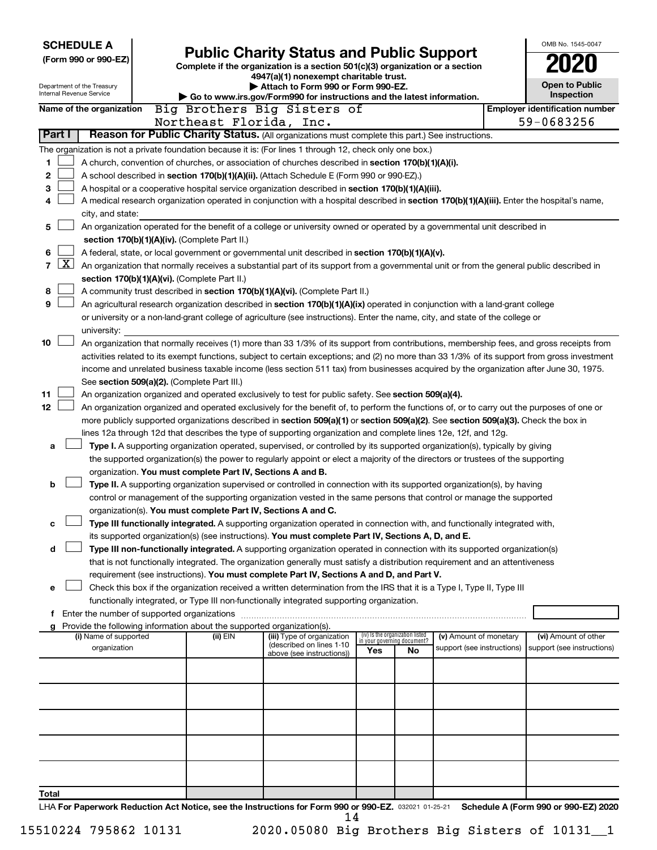| <b>SCHEDULE A</b>                                                                                         |                                                                        |                                                                                                                                                                                                                                                    |     |                                                                |                            | OMB No. 1545-0047                     |
|-----------------------------------------------------------------------------------------------------------|------------------------------------------------------------------------|----------------------------------------------------------------------------------------------------------------------------------------------------------------------------------------------------------------------------------------------------|-----|----------------------------------------------------------------|----------------------------|---------------------------------------|
| (Form 990 or 990-EZ)                                                                                      |                                                                        | <b>Public Charity Status and Public Support</b><br>Complete if the organization is a section 501(c)(3) organization or a section                                                                                                                   |     |                                                                |                            |                                       |
|                                                                                                           |                                                                        | 4947(a)(1) nonexempt charitable trust.                                                                                                                                                                                                             |     |                                                                |                            |                                       |
| Department of the Treasury                                                                                |                                                                        | Attach to Form 990 or Form 990-EZ.                                                                                                                                                                                                                 |     |                                                                |                            | <b>Open to Public</b>                 |
| Internal Revenue Service                                                                                  |                                                                        | ► Go to www.irs.gov/Form990 for instructions and the latest information.                                                                                                                                                                           |     |                                                                |                            | Inspection                            |
| Name of the organization                                                                                  |                                                                        | Big Brothers Big Sisters of                                                                                                                                                                                                                        |     |                                                                |                            | <b>Employer identification number</b> |
|                                                                                                           | Northeast Florida, Inc.                                                |                                                                                                                                                                                                                                                    |     |                                                                |                            | 59-0683256                            |
| Part I                                                                                                    |                                                                        | Reason for Public Charity Status. (All organizations must complete this part.) See instructions.                                                                                                                                                   |     |                                                                |                            |                                       |
| The organization is not a private foundation because it is: (For lines 1 through 12, check only one box.) |                                                                        |                                                                                                                                                                                                                                                    |     |                                                                |                            |                                       |
| 1                                                                                                         |                                                                        | A church, convention of churches, or association of churches described in section 170(b)(1)(A)(i).                                                                                                                                                 |     |                                                                |                            |                                       |
| 2                                                                                                         |                                                                        | A school described in section 170(b)(1)(A)(ii). (Attach Schedule E (Form 990 or 990-EZ).)                                                                                                                                                          |     |                                                                |                            |                                       |
| 3                                                                                                         |                                                                        | A hospital or a cooperative hospital service organization described in section 170(b)(1)(A)(iii).                                                                                                                                                  |     |                                                                |                            |                                       |
| 4<br>city, and state:                                                                                     |                                                                        | A medical research organization operated in conjunction with a hospital described in section 170(b)(1)(A)(iii). Enter the hospital's name,                                                                                                         |     |                                                                |                            |                                       |
| 5                                                                                                         |                                                                        | An organization operated for the benefit of a college or university owned or operated by a governmental unit described in                                                                                                                          |     |                                                                |                            |                                       |
|                                                                                                           | section 170(b)(1)(A)(iv). (Complete Part II.)                          |                                                                                                                                                                                                                                                    |     |                                                                |                            |                                       |
| 6                                                                                                         |                                                                        | A federal, state, or local government or governmental unit described in section 170(b)(1)(A)(v).                                                                                                                                                   |     |                                                                |                            |                                       |
| $\lfloor x \rfloor$<br>7                                                                                  |                                                                        | An organization that normally receives a substantial part of its support from a governmental unit or from the general public described in                                                                                                          |     |                                                                |                            |                                       |
|                                                                                                           | section 170(b)(1)(A)(vi). (Complete Part II.)                          |                                                                                                                                                                                                                                                    |     |                                                                |                            |                                       |
| 8                                                                                                         |                                                                        | A community trust described in section 170(b)(1)(A)(vi). (Complete Part II.)                                                                                                                                                                       |     |                                                                |                            |                                       |
| 9                                                                                                         |                                                                        | An agricultural research organization described in section 170(b)(1)(A)(ix) operated in conjunction with a land-grant college                                                                                                                      |     |                                                                |                            |                                       |
|                                                                                                           |                                                                        | or university or a non-land-grant college of agriculture (see instructions). Enter the name, city, and state of the college or                                                                                                                     |     |                                                                |                            |                                       |
| university:                                                                                               |                                                                        |                                                                                                                                                                                                                                                    |     |                                                                |                            |                                       |
| 10                                                                                                        |                                                                        | An organization that normally receives (1) more than 33 1/3% of its support from contributions, membership fees, and gross receipts from                                                                                                           |     |                                                                |                            |                                       |
|                                                                                                           |                                                                        | activities related to its exempt functions, subject to certain exceptions; and (2) no more than 33 1/3% of its support from gross investment                                                                                                       |     |                                                                |                            |                                       |
|                                                                                                           |                                                                        | income and unrelated business taxable income (less section 511 tax) from businesses acquired by the organization after June 30, 1975.                                                                                                              |     |                                                                |                            |                                       |
| 11                                                                                                        | See section 509(a)(2). (Complete Part III.)                            |                                                                                                                                                                                                                                                    |     |                                                                |                            |                                       |
| 12                                                                                                        |                                                                        | An organization organized and operated exclusively to test for public safety. See section 509(a)(4).<br>An organization organized and operated exclusively for the benefit of, to perform the functions of, or to carry out the purposes of one or |     |                                                                |                            |                                       |
|                                                                                                           |                                                                        | more publicly supported organizations described in section 509(a)(1) or section 509(a)(2). See section 509(a)(3). Check the box in                                                                                                                 |     |                                                                |                            |                                       |
|                                                                                                           |                                                                        | lines 12a through 12d that describes the type of supporting organization and complete lines 12e, 12f, and 12g.                                                                                                                                     |     |                                                                |                            |                                       |
| a                                                                                                         |                                                                        | Type I. A supporting organization operated, supervised, or controlled by its supported organization(s), typically by giving                                                                                                                        |     |                                                                |                            |                                       |
|                                                                                                           |                                                                        | the supported organization(s) the power to regularly appoint or elect a majority of the directors or trustees of the supporting                                                                                                                    |     |                                                                |                            |                                       |
|                                                                                                           | organization. You must complete Part IV, Sections A and B.             |                                                                                                                                                                                                                                                    |     |                                                                |                            |                                       |
| b                                                                                                         |                                                                        | Type II. A supporting organization supervised or controlled in connection with its supported organization(s), by having                                                                                                                            |     |                                                                |                            |                                       |
|                                                                                                           |                                                                        | control or management of the supporting organization vested in the same persons that control or manage the supported                                                                                                                               |     |                                                                |                            |                                       |
|                                                                                                           | organization(s). You must complete Part IV, Sections A and C.          |                                                                                                                                                                                                                                                    |     |                                                                |                            |                                       |
| с                                                                                                         |                                                                        | Type III functionally integrated. A supporting organization operated in connection with, and functionally integrated with,                                                                                                                         |     |                                                                |                            |                                       |
|                                                                                                           |                                                                        | its supported organization(s) (see instructions). You must complete Part IV, Sections A, D, and E.                                                                                                                                                 |     |                                                                |                            |                                       |
| d                                                                                                         |                                                                        | Type III non-functionally integrated. A supporting organization operated in connection with its supported organization(s)                                                                                                                          |     |                                                                |                            |                                       |
|                                                                                                           |                                                                        | that is not functionally integrated. The organization generally must satisfy a distribution requirement and an attentiveness<br>requirement (see instructions). You must complete Part IV, Sections A and D, and Part V.                           |     |                                                                |                            |                                       |
| е                                                                                                         |                                                                        | Check this box if the organization received a written determination from the IRS that it is a Type I, Type II, Type III                                                                                                                            |     |                                                                |                            |                                       |
|                                                                                                           |                                                                        | functionally integrated, or Type III non-functionally integrated supporting organization.                                                                                                                                                          |     |                                                                |                            |                                       |
| f Enter the number of supported organizations                                                             |                                                                        |                                                                                                                                                                                                                                                    |     |                                                                |                            |                                       |
|                                                                                                           | Provide the following information about the supported organization(s). |                                                                                                                                                                                                                                                    |     |                                                                |                            |                                       |
| (i) Name of supported                                                                                     | (ii) EIN                                                               | (iii) Type of organization<br>(described on lines 1-10                                                                                                                                                                                             |     | (iv) Is the organization listed<br>in your governing document? | (v) Amount of monetary     | (vi) Amount of other                  |
| organization                                                                                              |                                                                        | above (see instructions))                                                                                                                                                                                                                          | Yes | No.                                                            | support (see instructions) | support (see instructions)            |
|                                                                                                           |                                                                        |                                                                                                                                                                                                                                                    |     |                                                                |                            |                                       |
|                                                                                                           |                                                                        |                                                                                                                                                                                                                                                    |     |                                                                |                            |                                       |
|                                                                                                           |                                                                        |                                                                                                                                                                                                                                                    |     |                                                                |                            |                                       |
|                                                                                                           |                                                                        |                                                                                                                                                                                                                                                    |     |                                                                |                            |                                       |
|                                                                                                           |                                                                        |                                                                                                                                                                                                                                                    |     |                                                                |                            |                                       |
|                                                                                                           |                                                                        |                                                                                                                                                                                                                                                    |     |                                                                |                            |                                       |
|                                                                                                           |                                                                        |                                                                                                                                                                                                                                                    |     |                                                                |                            |                                       |
|                                                                                                           |                                                                        |                                                                                                                                                                                                                                                    |     |                                                                |                            |                                       |
|                                                                                                           |                                                                        |                                                                                                                                                                                                                                                    |     |                                                                |                            |                                       |
| <b>Total</b>                                                                                              |                                                                        |                                                                                                                                                                                                                                                    |     |                                                                |                            |                                       |
| LHA For Paperwork Reduction Act Notice, see the Instructions for Form 990 or 990-EZ. 032021 01-25-21      |                                                                        |                                                                                                                                                                                                                                                    |     |                                                                |                            | Schedule A (Form 990 or 990-EZ) 2020  |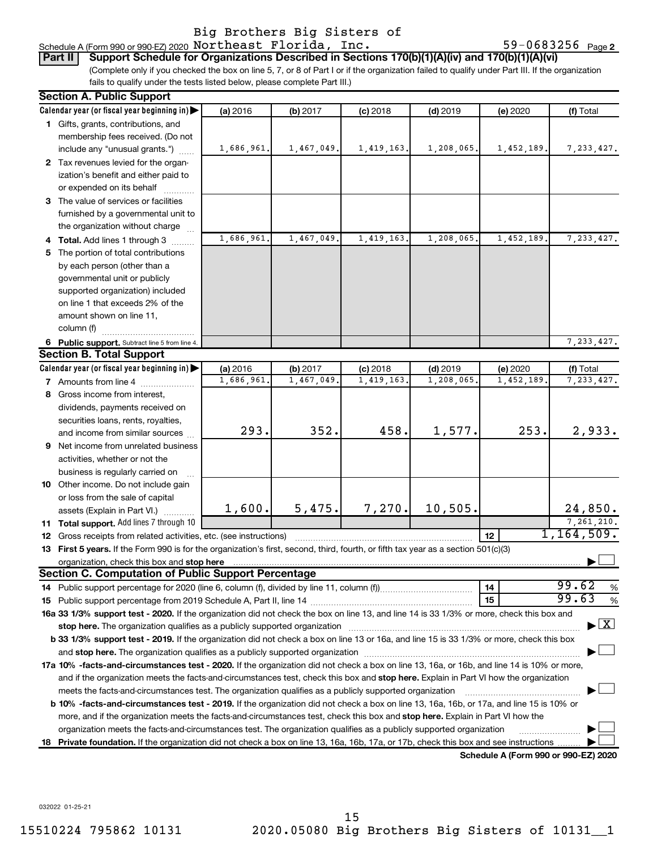# Schedule A (Form 990 or 990-EZ) 2020 Page Northeast Florida, Inc. 59-0683256

59-0683256 Page 2

(Complete only if you checked the box on line 5, 7, or 8 of Part I or if the organization failed to qualify under Part III. If the organization fails to qualify under the tests listed below, please complete Part III.) **Part II Support Schedule for Organizations Described in Sections 170(b)(1)(A)(iv) and 170(b)(1)(A)(vi)**

| <b>Section A. Public Support</b>                                                                                                                                                                                               |            |            |            |            |                                      |                                          |
|--------------------------------------------------------------------------------------------------------------------------------------------------------------------------------------------------------------------------------|------------|------------|------------|------------|--------------------------------------|------------------------------------------|
| Calendar year (or fiscal year beginning in)                                                                                                                                                                                    | (a) 2016   | (b) 2017   | $(c)$ 2018 | $(d)$ 2019 | (e) 2020                             | (f) Total                                |
| 1 Gifts, grants, contributions, and                                                                                                                                                                                            |            |            |            |            |                                      |                                          |
| membership fees received. (Do not                                                                                                                                                                                              |            |            |            |            |                                      |                                          |
| include any "unusual grants.")                                                                                                                                                                                                 | 1,686,961. | 1,467,049. | 1,419,163. | 1,208,065. | 1,452,189.                           | 7,233,427.                               |
| 2 Tax revenues levied for the organ-                                                                                                                                                                                           |            |            |            |            |                                      |                                          |
| ization's benefit and either paid to                                                                                                                                                                                           |            |            |            |            |                                      |                                          |
| or expended on its behalf                                                                                                                                                                                                      |            |            |            |            |                                      |                                          |
| 3 The value of services or facilities                                                                                                                                                                                          |            |            |            |            |                                      |                                          |
| furnished by a governmental unit to                                                                                                                                                                                            |            |            |            |            |                                      |                                          |
| the organization without charge                                                                                                                                                                                                |            |            |            |            |                                      |                                          |
| 4 Total. Add lines 1 through 3                                                                                                                                                                                                 | 1,686,961. | 1,467,049  | 1,419,163  | 1,208,065  | 1,452,189                            | 7,233,427.                               |
| 5 The portion of total contributions                                                                                                                                                                                           |            |            |            |            |                                      |                                          |
| by each person (other than a                                                                                                                                                                                                   |            |            |            |            |                                      |                                          |
| governmental unit or publicly                                                                                                                                                                                                  |            |            |            |            |                                      |                                          |
| supported organization) included                                                                                                                                                                                               |            |            |            |            |                                      |                                          |
| on line 1 that exceeds 2% of the                                                                                                                                                                                               |            |            |            |            |                                      |                                          |
| amount shown on line 11,                                                                                                                                                                                                       |            |            |            |            |                                      |                                          |
| column (f)                                                                                                                                                                                                                     |            |            |            |            |                                      |                                          |
| 6 Public support. Subtract line 5 from line 4.                                                                                                                                                                                 |            |            |            |            |                                      | 7,233,427.                               |
| <b>Section B. Total Support</b>                                                                                                                                                                                                |            |            |            |            |                                      |                                          |
| Calendar year (or fiscal year beginning in)                                                                                                                                                                                    | (a) 2016   | (b) 2017   | $(c)$ 2018 | $(d)$ 2019 | (e) 2020                             | (f) Total                                |
| <b>7</b> Amounts from line 4                                                                                                                                                                                                   | 1,686,961  | 1,467,049  | 1,419,163  | 1,208,065  | 1,452,189                            | 7,233,427.                               |
| 8 Gross income from interest,                                                                                                                                                                                                  |            |            |            |            |                                      |                                          |
| dividends, payments received on                                                                                                                                                                                                |            |            |            |            |                                      |                                          |
| securities loans, rents, royalties,                                                                                                                                                                                            |            |            |            |            |                                      |                                          |
| and income from similar sources                                                                                                                                                                                                | 293.       | 352.       | 458.       | 1,577.     | 253.                                 | 2,933.                                   |
| 9 Net income from unrelated business                                                                                                                                                                                           |            |            |            |            |                                      |                                          |
| activities, whether or not the                                                                                                                                                                                                 |            |            |            |            |                                      |                                          |
| business is regularly carried on                                                                                                                                                                                               |            |            |            |            |                                      |                                          |
| 10 Other income. Do not include gain                                                                                                                                                                                           |            |            |            |            |                                      |                                          |
| or loss from the sale of capital                                                                                                                                                                                               |            |            |            |            |                                      |                                          |
| assets (Explain in Part VI.)                                                                                                                                                                                                   | 1,600.     | 5,475.     | 7,270.     | 10,505.    |                                      | 24,850.                                  |
| 11 Total support. Add lines 7 through 10                                                                                                                                                                                       |            |            |            |            |                                      | 7,261,210.                               |
| <b>12</b> Gross receipts from related activities, etc. (see instructions)                                                                                                                                                      |            |            |            |            | 12                                   | 1,164,509.                               |
| 13 First 5 years. If the Form 990 is for the organization's first, second, third, fourth, or fifth tax year as a section 501(c)(3)                                                                                             |            |            |            |            |                                      |                                          |
|                                                                                                                                                                                                                                |            |            |            |            |                                      |                                          |
| <b>Section C. Computation of Public Support Percentage</b>                                                                                                                                                                     |            |            |            |            |                                      |                                          |
|                                                                                                                                                                                                                                |            |            |            |            | 14                                   | 99.62<br>$\%$                            |
|                                                                                                                                                                                                                                |            |            |            |            | 15                                   | 99.63<br>$\%$                            |
| 16a 33 1/3% support test - 2020. If the organization did not check the box on line 13, and line 14 is 33 1/3% or more, check this box and                                                                                      |            |            |            |            |                                      |                                          |
| stop here. The organization qualifies as a publicly supported organization manufactured content and the support of the state of the state of the state of the state of the state of the state of the state of the state of the |            |            |            |            |                                      | $\blacktriangleright$ $\boxed{\text{X}}$ |
| b 33 1/3% support test - 2019. If the organization did not check a box on line 13 or 16a, and line 15 is 33 1/3% or more, check this box                                                                                       |            |            |            |            |                                      |                                          |
|                                                                                                                                                                                                                                |            |            |            |            |                                      |                                          |
| 17a 10% -facts-and-circumstances test - 2020. If the organization did not check a box on line 13, 16a, or 16b, and line 14 is 10% or more,                                                                                     |            |            |            |            |                                      |                                          |
| and if the organization meets the facts-and-circumstances test, check this box and stop here. Explain in Part VI how the organization                                                                                          |            |            |            |            |                                      |                                          |
| meets the facts-and-circumstances test. The organization qualifies as a publicly supported organization                                                                                                                        |            |            |            |            |                                      |                                          |
| <b>b 10%</b> -facts-and-circumstances test - 2019. If the organization did not check a box on line 13, 16a, 16b, or 17a, and line 15 is 10% or                                                                                 |            |            |            |            |                                      |                                          |
| more, and if the organization meets the facts-and-circumstances test, check this box and <b>stop here.</b> Explain in Part VI how the                                                                                          |            |            |            |            |                                      |                                          |
| organization meets the facts-and-circumstances test. The organization qualifies as a publicly supported organization                                                                                                           |            |            |            |            |                                      |                                          |
| 18 Private foundation. If the organization did not check a box on line 13, 16a, 16b, 17a, or 17b, check this box and see instructions                                                                                          |            |            |            |            |                                      |                                          |
|                                                                                                                                                                                                                                |            |            |            |            | Schedule A (Form 990 or 990-F7) 2020 |                                          |

**Schedule A (Form 990 or 990-EZ) 2020**

032022 01-25-21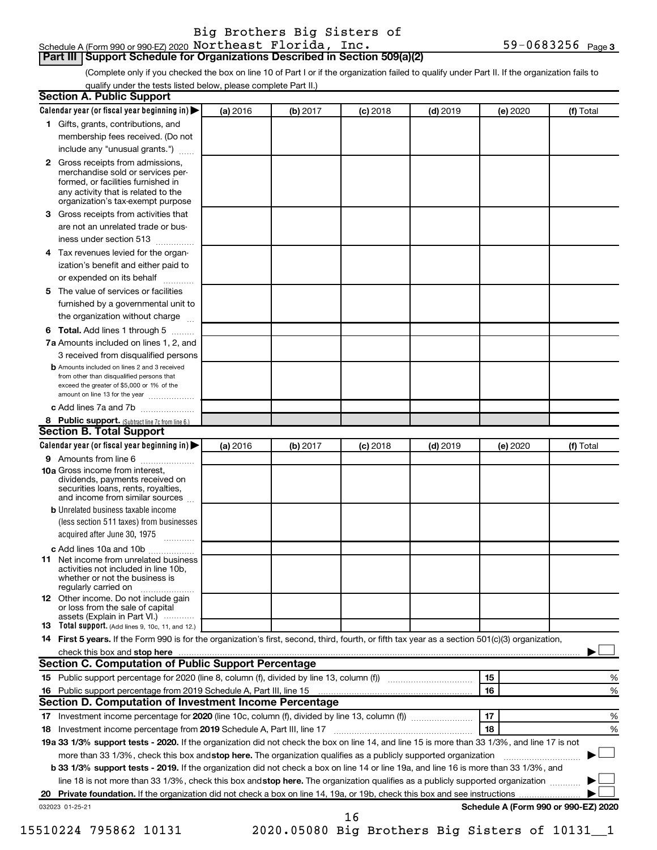|  | Big Brothers Big Sisters of |  |  |  |
|--|-----------------------------|--|--|--|
|--|-----------------------------|--|--|--|

## **Part III Support Schedule for Organizations Described in Section 509(a)(2)**

(Complete only if you checked the box on line 10 of Part I or if the organization failed to qualify under Part II. If the organization fails to qualify under the tests listed below, please complete Part II.)

|              | Calendar year (or fiscal year beginning in)                                                                                                         | (a) 2016 | (b) 2017 | $(c)$ 2018 | $(d)$ 2019 | (e) 2020 | (f) Total                                      |
|--------------|-----------------------------------------------------------------------------------------------------------------------------------------------------|----------|----------|------------|------------|----------|------------------------------------------------|
|              | 1 Gifts, grants, contributions, and                                                                                                                 |          |          |            |            |          |                                                |
|              | membership fees received. (Do not                                                                                                                   |          |          |            |            |          |                                                |
|              | include any "unusual grants.")                                                                                                                      |          |          |            |            |          |                                                |
| $\mathbf{2}$ | Gross receipts from admissions,<br>merchandise sold or services per-<br>formed, or facilities furnished in                                          |          |          |            |            |          |                                                |
|              | any activity that is related to the<br>organization's tax-exempt purpose                                                                            |          |          |            |            |          |                                                |
| 3            | Gross receipts from activities that                                                                                                                 |          |          |            |            |          |                                                |
|              | are not an unrelated trade or bus-                                                                                                                  |          |          |            |            |          |                                                |
|              | iness under section 513                                                                                                                             |          |          |            |            |          |                                                |
| 4            | Tax revenues levied for the organ-                                                                                                                  |          |          |            |            |          |                                                |
|              | ization's benefit and either paid to                                                                                                                |          |          |            |            |          |                                                |
|              | or expended on its behalf<br>.                                                                                                                      |          |          |            |            |          |                                                |
| 5            | The value of services or facilities                                                                                                                 |          |          |            |            |          |                                                |
|              | furnished by a governmental unit to                                                                                                                 |          |          |            |            |          |                                                |
|              | the organization without charge                                                                                                                     |          |          |            |            |          |                                                |
| 6            | Total. Add lines 1 through 5                                                                                                                        |          |          |            |            |          |                                                |
|              | 7a Amounts included on lines 1, 2, and                                                                                                              |          |          |            |            |          |                                                |
|              | 3 received from disqualified persons                                                                                                                |          |          |            |            |          |                                                |
|              | <b>b</b> Amounts included on lines 2 and 3 received<br>from other than disqualified persons that                                                    |          |          |            |            |          |                                                |
|              | exceed the greater of \$5,000 or 1% of the<br>amount on line 13 for the year                                                                        |          |          |            |            |          |                                                |
|              | c Add lines 7a and 7b                                                                                                                               |          |          |            |            |          |                                                |
|              | 8 Public support. (Subtract line 7c from line 6.)                                                                                                   |          |          |            |            |          |                                                |
|              | <b>Section B. Total Support</b>                                                                                                                     |          |          |            |            |          |                                                |
|              | Calendar year (or fiscal year beginning in)                                                                                                         | (a) 2016 | (b) 2017 | $(c)$ 2018 | $(d)$ 2019 | (e) 2020 | (f) Total                                      |
|              | 9 Amounts from line 6                                                                                                                               |          |          |            |            |          |                                                |
|              | <b>10a</b> Gross income from interest,<br>dividends, payments received on<br>securities loans, rents, royalties,<br>and income from similar sources |          |          |            |            |          |                                                |
|              | <b>b</b> Unrelated business taxable income                                                                                                          |          |          |            |            |          |                                                |
|              | (less section 511 taxes) from businesses<br>acquired after June 30, 1975                                                                            |          |          |            |            |          |                                                |
|              |                                                                                                                                                     |          |          |            |            |          |                                                |
| 11           | c Add lines 10a and 10b<br>Net income from unrelated business<br>activities not included in line 10b.<br>whether or not the business is             |          |          |            |            |          |                                                |
|              | regularly carried on<br><b>12</b> Other income. Do not include gain                                                                                 |          |          |            |            |          |                                                |
|              | or loss from the sale of capital<br>assets (Explain in Part VI.)                                                                                    |          |          |            |            |          |                                                |
|              | <b>13</b> Total support. (Add lines 9, 10c, 11, and 12.)                                                                                            |          |          |            |            |          |                                                |
|              | 14 First 5 years. If the Form 990 is for the organization's first, second, third, fourth, or fifth tax year as a section 501(c)(3) organization,    |          |          |            |            |          |                                                |
|              |                                                                                                                                                     |          |          |            |            |          |                                                |
|              | <b>Section C. Computation of Public Support Percentage</b>                                                                                          |          |          |            |            |          |                                                |
|              |                                                                                                                                                     |          |          |            |            | 15       | %                                              |
|              |                                                                                                                                                     |          |          |            |            | 16       | %                                              |
|              | Section D. Computation of Investment Income Percentage                                                                                              |          |          |            |            |          |                                                |
|              |                                                                                                                                                     |          |          |            |            | 17       | %                                              |
|              |                                                                                                                                                     |          |          |            |            | 18       | %                                              |
|              | 19a 33 1/3% support tests - 2020. If the organization did not check the box on line 14, and line 15 is more than 33 1/3%, and line 17 is not        |          |          |            |            |          |                                                |
|              | more than 33 1/3%, check this box and stop here. The organization qualifies as a publicly supported organization                                    |          |          |            |            |          |                                                |
|              | <b>b 33 1/3% support tests - 2019.</b> If the organization did not check a box on line 14 or line 19a, and line 16 is more than 33 1/3%, and        |          |          |            |            |          |                                                |
|              | line 18 is not more than 33 1/3%, check this box and stop here. The organization qualifies as a publicly supported organization                     |          |          |            |            |          |                                                |
|              |                                                                                                                                                     |          |          |            |            |          |                                                |
|              | 032023 01-25-21                                                                                                                                     |          |          |            |            |          | Schedule A (Form 990 or 990-EZ) 2020           |
|              |                                                                                                                                                     |          |          | 16         |            |          |                                                |
|              | 15510224 795862 10131                                                                                                                               |          |          |            |            |          | 2020.05080 Big Brothers Big Sisters of 10131_1 |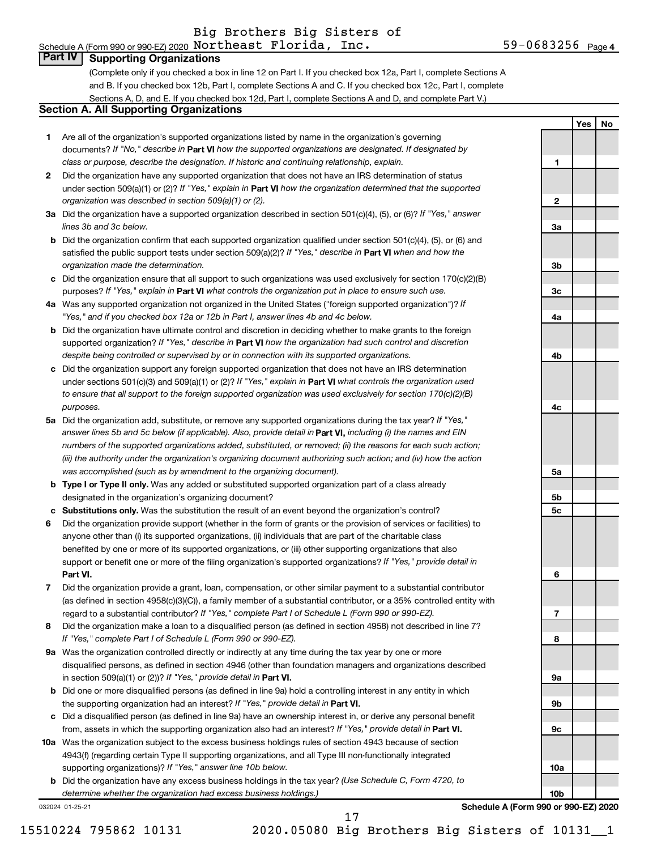### Schedule A (Form 990 or 990-EZ) 2020 Page Northeast Florida, Inc. 59-0683256

**1**

**2**

**3a**

**3b**

**3c**

**4a**

**4b**

**4c**

**5a**

**5b 5c**

**6**

**7**

**8**

**9a**

**9b**

**9c**

**10a**

**10b**

**Yes No**

#### **Part IV Supporting Organizations**

(Complete only if you checked a box in line 12 on Part I. If you checked box 12a, Part I, complete Sections A and B. If you checked box 12b, Part I, complete Sections A and C. If you checked box 12c, Part I, complete Sections A, D, and E. If you checked box 12d, Part I, complete Sections A and D, and complete Part V.)

### **Section A. All Supporting Organizations**

- **1** Are all of the organization's supported organizations listed by name in the organization's governing documents? If "No," describe in Part VI how the supported organizations are designated. If designated by *class or purpose, describe the designation. If historic and continuing relationship, explain.*
- **2** Did the organization have any supported organization that does not have an IRS determination of status under section 509(a)(1) or (2)? If "Yes," explain in Part **VI** how the organization determined that the supported *organization was described in section 509(a)(1) or (2).*
- **3a** Did the organization have a supported organization described in section 501(c)(4), (5), or (6)? If "Yes," answer *lines 3b and 3c below.*
- **b** Did the organization confirm that each supported organization qualified under section 501(c)(4), (5), or (6) and satisfied the public support tests under section 509(a)(2)? If "Yes," describe in Part VI when and how the *organization made the determination.*
- **c** Did the organization ensure that all support to such organizations was used exclusively for section 170(c)(2)(B) purposes? If "Yes," explain in Part VI what controls the organization put in place to ensure such use.
- **4 a** *If* Was any supported organization not organized in the United States ("foreign supported organization")? *"Yes," and if you checked box 12a or 12b in Part I, answer lines 4b and 4c below.*
- **b** Did the organization have ultimate control and discretion in deciding whether to make grants to the foreign supported organization? If "Yes," describe in Part VI how the organization had such control and discretion *despite being controlled or supervised by or in connection with its supported organizations.*
- **c** Did the organization support any foreign supported organization that does not have an IRS determination under sections 501(c)(3) and 509(a)(1) or (2)? If "Yes," explain in Part VI what controls the organization used *to ensure that all support to the foreign supported organization was used exclusively for section 170(c)(2)(B) purposes.*
- **5a** Did the organization add, substitute, or remove any supported organizations during the tax year? If "Yes," answer lines 5b and 5c below (if applicable). Also, provide detail in **Part VI,** including (i) the names and EIN *numbers of the supported organizations added, substituted, or removed; (ii) the reasons for each such action; (iii) the authority under the organization's organizing document authorizing such action; and (iv) how the action was accomplished (such as by amendment to the organizing document).*
- **b Type I or Type II only.** Was any added or substituted supported organization part of a class already designated in the organization's organizing document?
- **c Substitutions only.**  Was the substitution the result of an event beyond the organization's control?
- **6** Did the organization provide support (whether in the form of grants or the provision of services or facilities) to **Part VI.** support or benefit one or more of the filing organization's supported organizations? If "Yes," provide detail in anyone other than (i) its supported organizations, (ii) individuals that are part of the charitable class benefited by one or more of its supported organizations, or (iii) other supporting organizations that also
- **7** Did the organization provide a grant, loan, compensation, or other similar payment to a substantial contributor regard to a substantial contributor? If "Yes," complete Part I of Schedule L (Form 990 or 990-EZ). (as defined in section 4958(c)(3)(C)), a family member of a substantial contributor, or a 35% controlled entity with
- **8** Did the organization make a loan to a disqualified person (as defined in section 4958) not described in line 7? *If "Yes," complete Part I of Schedule L (Form 990 or 990-EZ).*
- **9 a** Was the organization controlled directly or indirectly at any time during the tax year by one or more in section 509(a)(1) or (2))? If "Yes," provide detail in **Part VI.** disqualified persons, as defined in section 4946 (other than foundation managers and organizations described
- **b** Did one or more disqualified persons (as defined in line 9a) hold a controlling interest in any entity in which the supporting organization had an interest? If "Yes," provide detail in Part VI.
- **c** Did a disqualified person (as defined in line 9a) have an ownership interest in, or derive any personal benefit from, assets in which the supporting organization also had an interest? If "Yes," provide detail in Part VI.
- **10 a** Was the organization subject to the excess business holdings rules of section 4943 because of section supporting organizations)? If "Yes," answer line 10b below. 4943(f) (regarding certain Type II supporting organizations, and all Type III non-functionally integrated
	- **b** Did the organization have any excess business holdings in the tax year? (Use Schedule C, Form 4720, to *determine whether the organization had excess business holdings.)*

032024 01-25-21

**Schedule A (Form 990 or 990-EZ) 2020**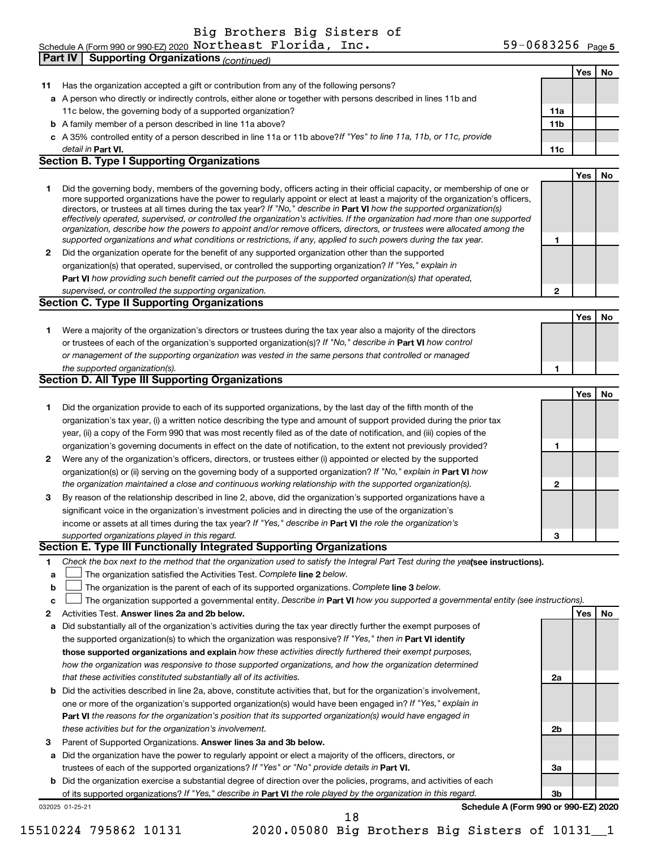### Schedule A (Form 990 or 990-EZ) 2020 Page Northeast Florida, Inc. 59-0683256 **Part IV Supporting Organizations** *(continued)*

|              |                                                                                                                                                                                                                                                           |     | Yes | No |
|--------------|-----------------------------------------------------------------------------------------------------------------------------------------------------------------------------------------------------------------------------------------------------------|-----|-----|----|
| 11           | Has the organization accepted a gift or contribution from any of the following persons?                                                                                                                                                                   |     |     |    |
|              | a A person who directly or indirectly controls, either alone or together with persons described in lines 11b and                                                                                                                                          |     |     |    |
|              | 11c below, the governing body of a supported organization?                                                                                                                                                                                                | 11a |     |    |
|              | <b>b</b> A family member of a person described in line 11a above?                                                                                                                                                                                         | 11b |     |    |
|              | c A 35% controlled entity of a person described in line 11a or 11b above?If "Yes" to line 11a, 11b, or 11c, provide                                                                                                                                       |     |     |    |
|              | detail in Part VI.                                                                                                                                                                                                                                        | 11c |     |    |
|              | <b>Section B. Type I Supporting Organizations</b>                                                                                                                                                                                                         |     |     |    |
|              |                                                                                                                                                                                                                                                           |     | Yes | No |
| 1.           | Did the governing body, members of the governing body, officers acting in their official capacity, or membership of one or                                                                                                                                |     |     |    |
|              | more supported organizations have the power to regularly appoint or elect at least a majority of the organization's officers,                                                                                                                             |     |     |    |
|              | directors, or trustees at all times during the tax year? If "No," describe in Part VI how the supported organization(s)<br>effectively operated, supervised, or controlled the organization's activities. If the organization had more than one supported |     |     |    |
|              | organization, describe how the powers to appoint and/or remove officers, directors, or trustees were allocated among the                                                                                                                                  |     |     |    |
|              | supported organizations and what conditions or restrictions, if any, applied to such powers during the tax year.                                                                                                                                          | 1   |     |    |
| $\mathbf{2}$ | Did the organization operate for the benefit of any supported organization other than the supported                                                                                                                                                       |     |     |    |
|              | organization(s) that operated, supervised, or controlled the supporting organization? If "Yes," explain in                                                                                                                                                |     |     |    |
|              | Part VI how providing such benefit carried out the purposes of the supported organization(s) that operated,                                                                                                                                               |     |     |    |
|              | supervised, or controlled the supporting organization.                                                                                                                                                                                                    | 2   |     |    |
|              | <b>Section C. Type II Supporting Organizations</b>                                                                                                                                                                                                        |     |     |    |
|              |                                                                                                                                                                                                                                                           |     | Yes | No |
| 1.           | Were a majority of the organization's directors or trustees during the tax year also a majority of the directors                                                                                                                                          |     |     |    |
|              | or trustees of each of the organization's supported organization(s)? If "No," describe in Part VI how control                                                                                                                                             |     |     |    |
|              | or management of the supporting organization was vested in the same persons that controlled or managed                                                                                                                                                    |     |     |    |
|              | the supported organization(s).                                                                                                                                                                                                                            | 1   |     |    |
|              | Section D. All Type III Supporting Organizations                                                                                                                                                                                                          |     |     |    |
|              |                                                                                                                                                                                                                                                           |     | Yes | No |
| 1.           | Did the organization provide to each of its supported organizations, by the last day of the fifth month of the                                                                                                                                            |     |     |    |
|              | organization's tax year, (i) a written notice describing the type and amount of support provided during the prior tax                                                                                                                                     |     |     |    |
|              | year, (ii) a copy of the Form 990 that was most recently filed as of the date of notification, and (iii) copies of the                                                                                                                                    |     |     |    |
|              | organization's governing documents in effect on the date of notification, to the extent not previously provided?                                                                                                                                          | 1   |     |    |
| 2            | Were any of the organization's officers, directors, or trustees either (i) appointed or elected by the supported                                                                                                                                          |     |     |    |
|              | organization(s) or (ii) serving on the governing body of a supported organization? If "No," explain in Part VI how                                                                                                                                        |     |     |    |
|              | the organization maintained a close and continuous working relationship with the supported organization(s).                                                                                                                                               | 2   |     |    |
| 3            | By reason of the relationship described in line 2, above, did the organization's supported organizations have a                                                                                                                                           |     |     |    |
|              | significant voice in the organization's investment policies and in directing the use of the organization's                                                                                                                                                |     |     |    |
|              | income or assets at all times during the tax year? If "Yes," describe in Part VI the role the organization's                                                                                                                                              |     |     |    |
|              | supported organizations played in this regard.                                                                                                                                                                                                            | З   |     |    |
|              | Section E. Type III Functionally Integrated Supporting Organizations                                                                                                                                                                                      |     |     |    |
| 1            | Check the box next to the method that the organization used to satisfy the Integral Part Test during the yealsee instructions).                                                                                                                           |     |     |    |
| a            | The organization satisfied the Activities Test. Complete line 2 below.                                                                                                                                                                                    |     |     |    |
| b            | The organization is the parent of each of its supported organizations. Complete line 3 below.                                                                                                                                                             |     |     |    |
| c            | The organization supported a governmental entity. Describe in Part VI how you supported a governmental entity (see instructions).                                                                                                                         |     |     |    |
| 2            | Activities Test. Answer lines 2a and 2b below.                                                                                                                                                                                                            |     | Yes | No |
| a            | Did substantially all of the organization's activities during the tax year directly further the exempt purposes of                                                                                                                                        |     |     |    |
|              | the supported organization(s) to which the organization was responsive? If "Yes," then in Part VI identify                                                                                                                                                |     |     |    |
|              | those supported organizations and explain how these activities directly furthered their exempt purposes,                                                                                                                                                  |     |     |    |
|              | how the organization was responsive to those supported organizations, and how the organization determined                                                                                                                                                 |     |     |    |
|              | that these activities constituted substantially all of its activities.                                                                                                                                                                                    | 2a  |     |    |
| b            | Did the activities described in line 2a, above, constitute activities that, but for the organization's involvement,                                                                                                                                       |     |     |    |
|              | one or more of the organization's supported organization(s) would have been engaged in? If "Yes," explain in                                                                                                                                              |     |     |    |
|              | <b>Part VI</b> the reasons for the organization's position that its supported organization(s) would have engaged in                                                                                                                                       |     |     |    |
|              | these activities but for the organization's involvement.                                                                                                                                                                                                  | 2b  |     |    |
| 3            | Parent of Supported Organizations. Answer lines 3a and 3b below.                                                                                                                                                                                          |     |     |    |
| а            | Did the organization have the power to regularly appoint or elect a majority of the officers, directors, or                                                                                                                                               |     |     |    |
|              | trustees of each of the supported organizations? If "Yes" or "No" provide details in Part VI.                                                                                                                                                             | За  |     |    |
| b            | Did the organization exercise a substantial degree of direction over the policies, programs, and activities of each                                                                                                                                       |     |     |    |
|              | of its supported organizations? If "Yes," describe in Part VI the role played by the organization in this regard.                                                                                                                                         | Зb  |     |    |
|              | Schedule A (Form 990 or 990-EZ) 2020<br>032025 01-25-21                                                                                                                                                                                                   |     |     |    |

15510224 795862 10131 2020.05080 Big Brothers Big Sisters of 10131\_\_1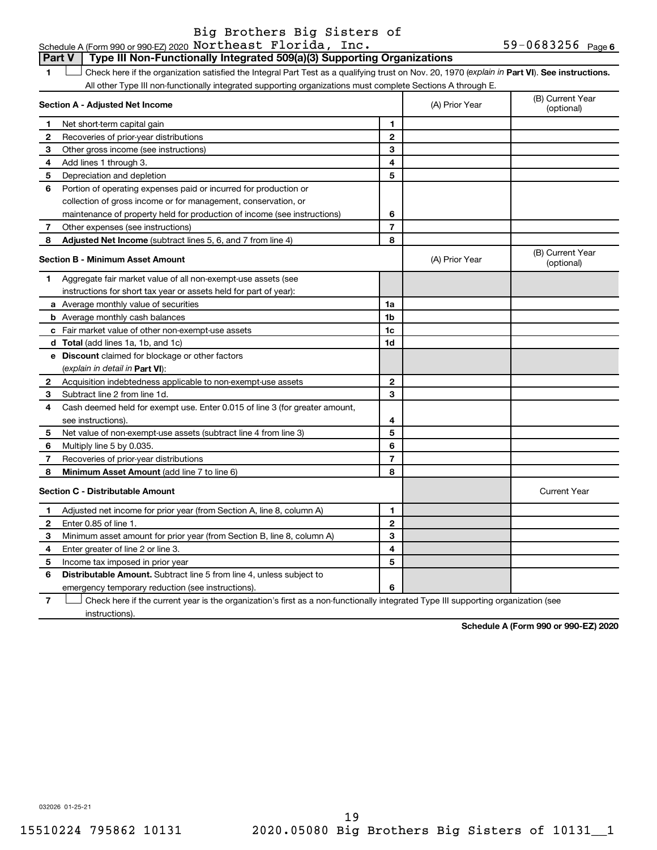59-0683256 Page 6 Schedule A (Form 990 or 990-EZ) 2020 Page Northeast Florida, Inc. 59-0683256

#### **Part V Type III Non-Functionally Integrated 509(a)(3) Supporting Organizations**

1 **Letter See instructions.** Check here if the organization satisfied the Integral Part Test as a qualifying trust on Nov. 20, 1970 (*explain in* Part **VI**). See instructions. All other Type III non-functionally integrated supporting organizations must complete Sections A through E.

|   | Section A - Adjusted Net Income                                             |                | (A) Prior Year | (B) Current Year<br>(optional) |
|---|-----------------------------------------------------------------------------|----------------|----------------|--------------------------------|
| 1 | Net short-term capital gain                                                 | 1              |                |                                |
| 2 | Recoveries of prior-year distributions                                      | $\overline{2}$ |                |                                |
| 3 | Other gross income (see instructions)                                       | 3              |                |                                |
| 4 | Add lines 1 through 3.                                                      | 4              |                |                                |
| 5 | Depreciation and depletion                                                  | 5              |                |                                |
| 6 | Portion of operating expenses paid or incurred for production or            |                |                |                                |
|   | collection of gross income or for management, conservation, or              |                |                |                                |
|   | maintenance of property held for production of income (see instructions)    | 6              |                |                                |
| 7 | Other expenses (see instructions)                                           | $\overline{7}$ |                |                                |
| 8 | Adjusted Net Income (subtract lines 5, 6, and 7 from line 4)                | 8              |                |                                |
|   | <b>Section B - Minimum Asset Amount</b>                                     |                | (A) Prior Year | (B) Current Year<br>(optional) |
| 1 | Aggregate fair market value of all non-exempt-use assets (see               |                |                |                                |
|   | instructions for short tax year or assets held for part of year):           |                |                |                                |
|   | a Average monthly value of securities                                       | 1a             |                |                                |
|   | <b>b</b> Average monthly cash balances                                      | 1 <sub>b</sub> |                |                                |
|   | c Fair market value of other non-exempt-use assets                          | 1c             |                |                                |
|   | <b>d</b> Total (add lines 1a, 1b, and 1c)                                   | 1d             |                |                                |
|   | e Discount claimed for blockage or other factors                            |                |                |                                |
|   | (explain in detail in <b>Part VI</b> ):                                     |                |                |                                |
| 2 | Acquisition indebtedness applicable to non-exempt-use assets                | $\mathbf{2}$   |                |                                |
| З | Subtract line 2 from line 1d.                                               | 3              |                |                                |
| 4 | Cash deemed held for exempt use. Enter 0.015 of line 3 (for greater amount, |                |                |                                |
|   | see instructions)                                                           | 4              |                |                                |
| 5 | Net value of non-exempt-use assets (subtract line 4 from line 3)            | 5              |                |                                |
| 6 | Multiply line 5 by 0.035.                                                   | 6              |                |                                |
| 7 | Recoveries of prior-year distributions                                      | $\overline{7}$ |                |                                |
| 8 | Minimum Asset Amount (add line 7 to line 6)                                 | 8              |                |                                |
|   | <b>Section C - Distributable Amount</b>                                     |                |                | <b>Current Year</b>            |
| 1 | Adjusted net income for prior year (from Section A, line 8, column A)       | 1              |                |                                |
| 2 | Enter 0.85 of line 1.                                                       | $\overline{2}$ |                |                                |
| З | Minimum asset amount for prior year (from Section B, line 8, column A)      | 3              |                |                                |
| 4 | Enter greater of line 2 or line 3.                                          | 4              |                |                                |
| 5 | Income tax imposed in prior year                                            | 5              |                |                                |
| 6 | Distributable Amount. Subtract line 5 from line 4, unless subject to        |                |                |                                |
|   | emergency temporary reduction (see instructions).                           | 6              |                |                                |
|   |                                                                             |                |                |                                |

**7** Check here if the current year is the organization's first as a non-functionally integrated Type III supporting organization (see † instructions).

**Schedule A (Form 990 or 990-EZ) 2020**

032026 01-25-21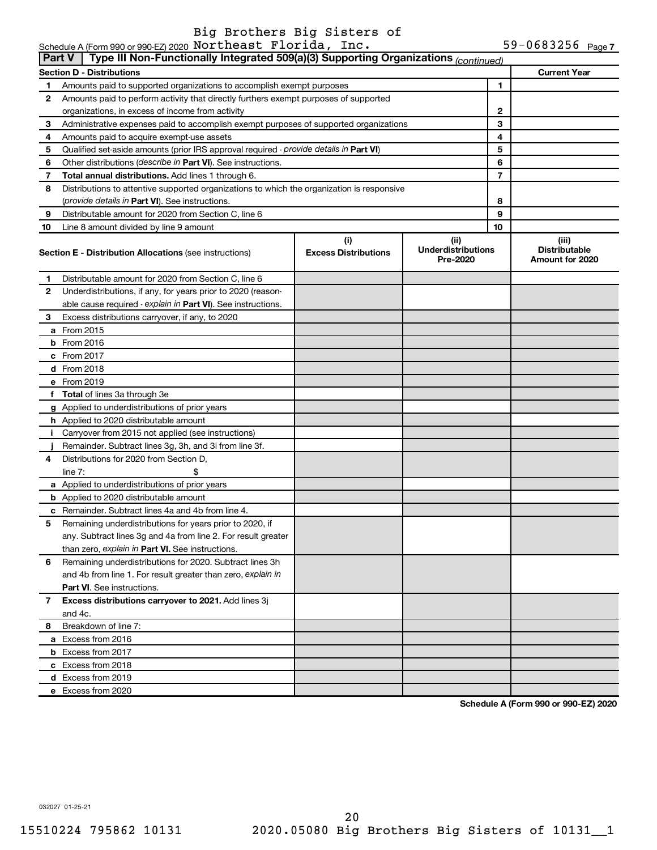|    | Type III Non-Functionally Integrated 509(a)(3) Supporting Organizations (continued)<br>Part V                             |                                    |                                                |                                                  |  |  |  |
|----|---------------------------------------------------------------------------------------------------------------------------|------------------------------------|------------------------------------------------|--------------------------------------------------|--|--|--|
|    | <b>Section D - Distributions</b>                                                                                          |                                    |                                                | <b>Current Year</b>                              |  |  |  |
| 1  | Amounts paid to supported organizations to accomplish exempt purposes                                                     |                                    | 1                                              |                                                  |  |  |  |
| 2  | Amounts paid to perform activity that directly furthers exempt purposes of supported                                      |                                    |                                                |                                                  |  |  |  |
|    | organizations, in excess of income from activity                                                                          |                                    | 2                                              |                                                  |  |  |  |
| 3  | Administrative expenses paid to accomplish exempt purposes of supported organizations                                     |                                    | 3                                              |                                                  |  |  |  |
| 4  | Amounts paid to acquire exempt-use assets                                                                                 |                                    | 4                                              |                                                  |  |  |  |
| 5  | Qualified set-aside amounts (prior IRS approval required - provide details in Part VI)                                    |                                    | 5                                              |                                                  |  |  |  |
| 6  | Other distributions (describe in Part VI). See instructions.                                                              |                                    | 6                                              |                                                  |  |  |  |
| 7  | Total annual distributions. Add lines 1 through 6.                                                                        |                                    | 7                                              |                                                  |  |  |  |
| 8  | Distributions to attentive supported organizations to which the organization is responsive                                |                                    |                                                |                                                  |  |  |  |
|    | (provide details in Part VI). See instructions.                                                                           |                                    | 8                                              |                                                  |  |  |  |
| 9  | Distributable amount for 2020 from Section C, line 6                                                                      |                                    | 9                                              |                                                  |  |  |  |
| 10 | Line 8 amount divided by line 9 amount                                                                                    |                                    | 10                                             |                                                  |  |  |  |
|    | <b>Section E - Distribution Allocations (see instructions)</b>                                                            | (i)<br><b>Excess Distributions</b> | (iii)<br><b>Underdistributions</b><br>Pre-2020 | (iii)<br><b>Distributable</b><br>Amount for 2020 |  |  |  |
| 1  | Distributable amount for 2020 from Section C, line 6                                                                      |                                    |                                                |                                                  |  |  |  |
| 2  | Underdistributions, if any, for years prior to 2020 (reason-                                                              |                                    |                                                |                                                  |  |  |  |
|    | able cause required - explain in Part VI). See instructions.                                                              |                                    |                                                |                                                  |  |  |  |
| 3  | Excess distributions carryover, if any, to 2020                                                                           |                                    |                                                |                                                  |  |  |  |
|    | a From 2015                                                                                                               |                                    |                                                |                                                  |  |  |  |
|    | <b>b</b> From 2016                                                                                                        |                                    |                                                |                                                  |  |  |  |
|    | c From 2017                                                                                                               |                                    |                                                |                                                  |  |  |  |
|    | d From 2018                                                                                                               |                                    |                                                |                                                  |  |  |  |
|    | e From 2019                                                                                                               |                                    |                                                |                                                  |  |  |  |
|    | f Total of lines 3a through 3e                                                                                            |                                    |                                                |                                                  |  |  |  |
|    | g Applied to underdistributions of prior years                                                                            |                                    |                                                |                                                  |  |  |  |
|    | <b>h</b> Applied to 2020 distributable amount                                                                             |                                    |                                                |                                                  |  |  |  |
|    | <i>i</i> Carryover from 2015 not applied (see instructions)                                                               |                                    |                                                |                                                  |  |  |  |
|    | Remainder. Subtract lines 3g, 3h, and 3i from line 3f.                                                                    |                                    |                                                |                                                  |  |  |  |
| 4  | Distributions for 2020 from Section D,                                                                                    |                                    |                                                |                                                  |  |  |  |
|    | \$<br>line $7:$                                                                                                           |                                    |                                                |                                                  |  |  |  |
|    | a Applied to underdistributions of prior years                                                                            |                                    |                                                |                                                  |  |  |  |
|    | <b>b</b> Applied to 2020 distributable amount                                                                             |                                    |                                                |                                                  |  |  |  |
|    | c Remainder. Subtract lines 4a and 4b from line 4.                                                                        |                                    |                                                |                                                  |  |  |  |
| 5  | Remaining underdistributions for years prior to 2020, if<br>any. Subtract lines 3g and 4a from line 2. For result greater |                                    |                                                |                                                  |  |  |  |
|    | than zero, explain in Part VI. See instructions.                                                                          |                                    |                                                |                                                  |  |  |  |
| 6  | Remaining underdistributions for 2020. Subtract lines 3h                                                                  |                                    |                                                |                                                  |  |  |  |
|    | and 4b from line 1. For result greater than zero, explain in                                                              |                                    |                                                |                                                  |  |  |  |
|    | <b>Part VI.</b> See instructions.                                                                                         |                                    |                                                |                                                  |  |  |  |
| 7  | Excess distributions carryover to 2021. Add lines 3j                                                                      |                                    |                                                |                                                  |  |  |  |
|    | and 4c.                                                                                                                   |                                    |                                                |                                                  |  |  |  |
| 8  | Breakdown of line 7:                                                                                                      |                                    |                                                |                                                  |  |  |  |
|    | a Excess from 2016                                                                                                        |                                    |                                                |                                                  |  |  |  |
|    | <b>b</b> Excess from 2017                                                                                                 |                                    |                                                |                                                  |  |  |  |
|    | c Excess from 2018                                                                                                        |                                    |                                                |                                                  |  |  |  |
|    | d Excess from 2019                                                                                                        |                                    |                                                |                                                  |  |  |  |
|    | e Excess from 2020                                                                                                        |                                    |                                                |                                                  |  |  |  |
|    |                                                                                                                           |                                    |                                                |                                                  |  |  |  |

**Schedule A (Form 990 or 990-EZ) 2020**

032027 01-25-21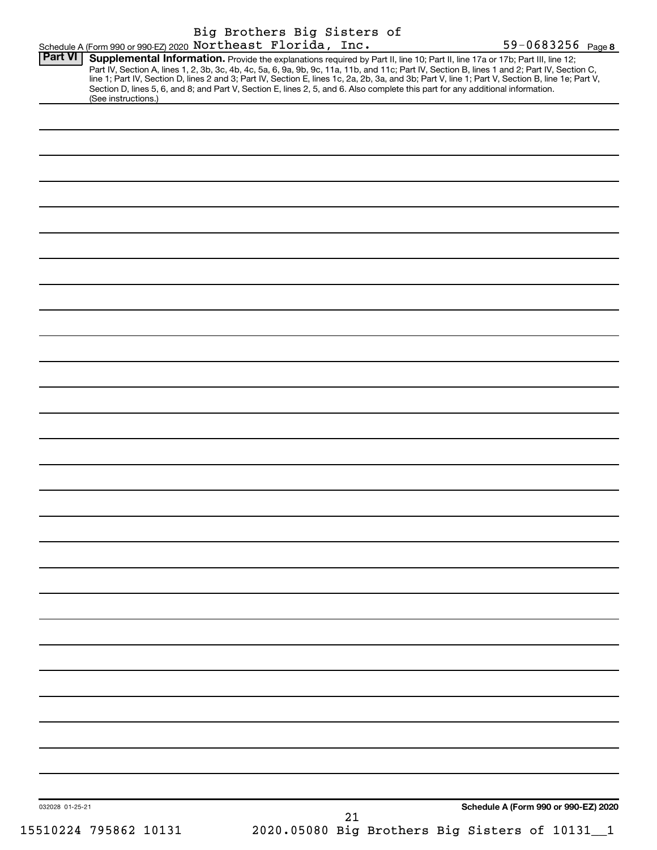| Schedule A (Form 990 or 990-EZ) 2020 Northeast Florida, Inc. |    | 59-0683256 Page 8                                                                                                                                                                                                                                                                                                                                                                                                                                                                                                                                                                                            |
|--------------------------------------------------------------|----|--------------------------------------------------------------------------------------------------------------------------------------------------------------------------------------------------------------------------------------------------------------------------------------------------------------------------------------------------------------------------------------------------------------------------------------------------------------------------------------------------------------------------------------------------------------------------------------------------------------|
|                                                              |    |                                                                                                                                                                                                                                                                                                                                                                                                                                                                                                                                                                                                              |
|                                                              |    |                                                                                                                                                                                                                                                                                                                                                                                                                                                                                                                                                                                                              |
|                                                              |    |                                                                                                                                                                                                                                                                                                                                                                                                                                                                                                                                                                                                              |
|                                                              |    |                                                                                                                                                                                                                                                                                                                                                                                                                                                                                                                                                                                                              |
|                                                              |    |                                                                                                                                                                                                                                                                                                                                                                                                                                                                                                                                                                                                              |
|                                                              |    |                                                                                                                                                                                                                                                                                                                                                                                                                                                                                                                                                                                                              |
|                                                              |    |                                                                                                                                                                                                                                                                                                                                                                                                                                                                                                                                                                                                              |
|                                                              |    |                                                                                                                                                                                                                                                                                                                                                                                                                                                                                                                                                                                                              |
|                                                              |    |                                                                                                                                                                                                                                                                                                                                                                                                                                                                                                                                                                                                              |
|                                                              |    |                                                                                                                                                                                                                                                                                                                                                                                                                                                                                                                                                                                                              |
|                                                              |    |                                                                                                                                                                                                                                                                                                                                                                                                                                                                                                                                                                                                              |
|                                                              |    |                                                                                                                                                                                                                                                                                                                                                                                                                                                                                                                                                                                                              |
|                                                              |    |                                                                                                                                                                                                                                                                                                                                                                                                                                                                                                                                                                                                              |
|                                                              |    |                                                                                                                                                                                                                                                                                                                                                                                                                                                                                                                                                                                                              |
|                                                              |    |                                                                                                                                                                                                                                                                                                                                                                                                                                                                                                                                                                                                              |
|                                                              |    |                                                                                                                                                                                                                                                                                                                                                                                                                                                                                                                                                                                                              |
|                                                              |    |                                                                                                                                                                                                                                                                                                                                                                                                                                                                                                                                                                                                              |
|                                                              |    |                                                                                                                                                                                                                                                                                                                                                                                                                                                                                                                                                                                                              |
|                                                              |    |                                                                                                                                                                                                                                                                                                                                                                                                                                                                                                                                                                                                              |
|                                                              |    |                                                                                                                                                                                                                                                                                                                                                                                                                                                                                                                                                                                                              |
|                                                              |    |                                                                                                                                                                                                                                                                                                                                                                                                                                                                                                                                                                                                              |
|                                                              |    |                                                                                                                                                                                                                                                                                                                                                                                                                                                                                                                                                                                                              |
|                                                              |    |                                                                                                                                                                                                                                                                                                                                                                                                                                                                                                                                                                                                              |
|                                                              |    |                                                                                                                                                                                                                                                                                                                                                                                                                                                                                                                                                                                                              |
|                                                              |    |                                                                                                                                                                                                                                                                                                                                                                                                                                                                                                                                                                                                              |
|                                                              |    |                                                                                                                                                                                                                                                                                                                                                                                                                                                                                                                                                                                                              |
|                                                              |    |                                                                                                                                                                                                                                                                                                                                                                                                                                                                                                                                                                                                              |
|                                                              |    |                                                                                                                                                                                                                                                                                                                                                                                                                                                                                                                                                                                                              |
|                                                              |    |                                                                                                                                                                                                                                                                                                                                                                                                                                                                                                                                                                                                              |
|                                                              |    |                                                                                                                                                                                                                                                                                                                                                                                                                                                                                                                                                                                                              |
|                                                              |    |                                                                                                                                                                                                                                                                                                                                                                                                                                                                                                                                                                                                              |
|                                                              |    |                                                                                                                                                                                                                                                                                                                                                                                                                                                                                                                                                                                                              |
|                                                              |    |                                                                                                                                                                                                                                                                                                                                                                                                                                                                                                                                                                                                              |
|                                                              |    |                                                                                                                                                                                                                                                                                                                                                                                                                                                                                                                                                                                                              |
|                                                              |    |                                                                                                                                                                                                                                                                                                                                                                                                                                                                                                                                                                                                              |
|                                                              | 21 |                                                                                                                                                                                                                                                                                                                                                                                                                                                                                                                                                                                                              |
|                                                              |    | Supplemental Information. Provide the explanations required by Part II, line 10; Part II, line 17a or 17b; Part III, line 12;<br>Part IV, Section A, lines 1, 2, 3b, 3c, 4b, 4c, 5a, 6, 9a, 9b, 9c, 11a, 11b, and 11c; Part IV, Section B, lines 1 and 2; Part IV, Section C,<br>line 1; Part IV, Section D, lines 2 and 3; Part IV, Section E, lines 1c, 2a, 2b, 3a, and 3b; Part V, line 1; Part V, Section B, line 1e; Part V,<br>Section D, lines 5, 6, and 8; and Part V, Section E, lines 2, 5, and 6. Also complete this part for any additional information.<br>Schedule A (Form 990 or 990-EZ) 2020 |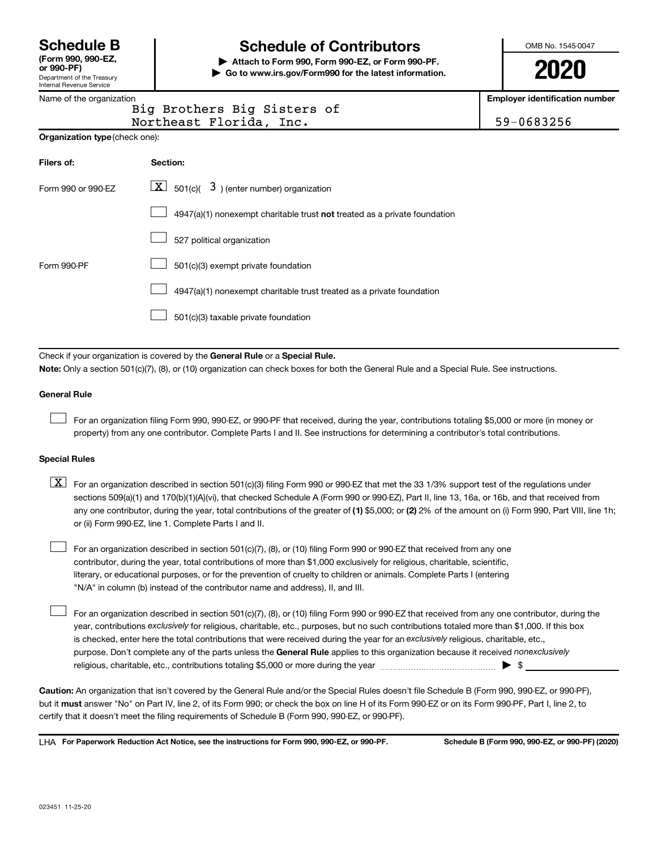| <b>Schedule B</b>                                                |  |
|------------------------------------------------------------------|--|
| $I_{\rm Form}$ QQ $\Omega_{\rm Q}$ QQ $\Omega_{\rm L}$ $\square$ |  |

#### Department of the Treasury Internal Revenue Service **(Form 990, 990-EZ,**

## Name of the organization

**Organization type** (check one):

# **Schedule of Contributors**

**or 990-PF) | Attach to Form 990, Form 990-EZ, or Form 990-PF. | Go to www.irs.gov/Form990 for the latest information.** OMB No. 1545-0047

**2020**

**Employer identification number**

| Big Brothers Big Sisters of |                 |
|-----------------------------|-----------------|
| Northeast Florida, Inc.     | $159 - 0683256$ |

| Filers of:         | Section:                                                                  |
|--------------------|---------------------------------------------------------------------------|
| Form 990 or 990-FZ | $\lfloor x \rfloor$ 501(c)( 3) (enter number) organization                |
|                    | 4947(a)(1) nonexempt charitable trust not treated as a private foundation |
|                    | 527 political organization                                                |
| Form 990-PF        | 501(c)(3) exempt private foundation                                       |
|                    | 4947(a)(1) nonexempt charitable trust treated as a private foundation     |
|                    | 501(c)(3) taxable private foundation                                      |

Check if your organization is covered by the General Rule or a Special Rule.

**Note:**  Only a section 501(c)(7), (8), or (10) organization can check boxes for both the General Rule and a Special Rule. See instructions.

#### **General Rule**

 $\Box$ 

 $\Box$ 

For an organization filing Form 990, 990-EZ, or 990-PF that received, during the year, contributions totaling \$5,000 or more (in money or property) from any one contributor. Complete Parts I and II. See instructions for determining a contributor's total contributions.

#### **Special Rules**

any one contributor, during the year, total contributions of the greater of (1) \$5,000; or (2) 2% of the amount on (i) Form 990, Part VIII, line 1h;  $\boxed{\text{X}}$  For an organization described in section 501(c)(3) filing Form 990 or 990-EZ that met the 33 1/3% support test of the regulations under sections 509(a)(1) and 170(b)(1)(A)(vi), that checked Schedule A (Form 990 or 990-EZ), Part II, line 13, 16a, or 16b, and that received from or (ii) Form 990-EZ, line 1. Complete Parts I and II.

For an organization described in section 501(c)(7), (8), or (10) filing Form 990 or 990-EZ that received from any one contributor, during the year, total contributions of more than \$1,000 exclusively for religious, charitable, scientific, literary, or educational purposes, or for the prevention of cruelty to children or animals. Complete Parts I (entering "N/A" in column (b) instead of the contributor name and address), II, and III.  $\Box$ 

purpose. Don't complete any of the parts unless the General Rule applies to this organization because it received nonexclusively year, contributions exclusively for religious, charitable, etc., purposes, but no such contributions totaled more than \$1,000. If this box is checked, enter here the total contributions that were received during the year for an exclusively religious, charitable, etc., For an organization described in section 501(c)(7), (8), or (10) filing Form 990 or 990-EZ that received from any one contributor, during the religious, charitable, etc., contributions totaling \$5,000 or more during the year  $~\ldots\ldots\ldots\ldots\ldots\ldots\ldots\ldots\blacktriangleright~$ \$

**Caution:**  An organization that isn't covered by the General Rule and/or the Special Rules doesn't file Schedule B (Form 990, 990-EZ, or 990-PF),  **must** but it answer "No" on Part IV, line 2, of its Form 990; or check the box on line H of its Form 990-EZ or on its Form 990-PF, Part I, line 2, to certify that it doesn't meet the filing requirements of Schedule B (Form 990, 990-EZ, or 990-PF).

**For Paperwork Reduction Act Notice, see the instructions for Form 990, 990-EZ, or 990-PF. Schedule B (Form 990, 990-EZ, or 990-PF) (2020)** LHA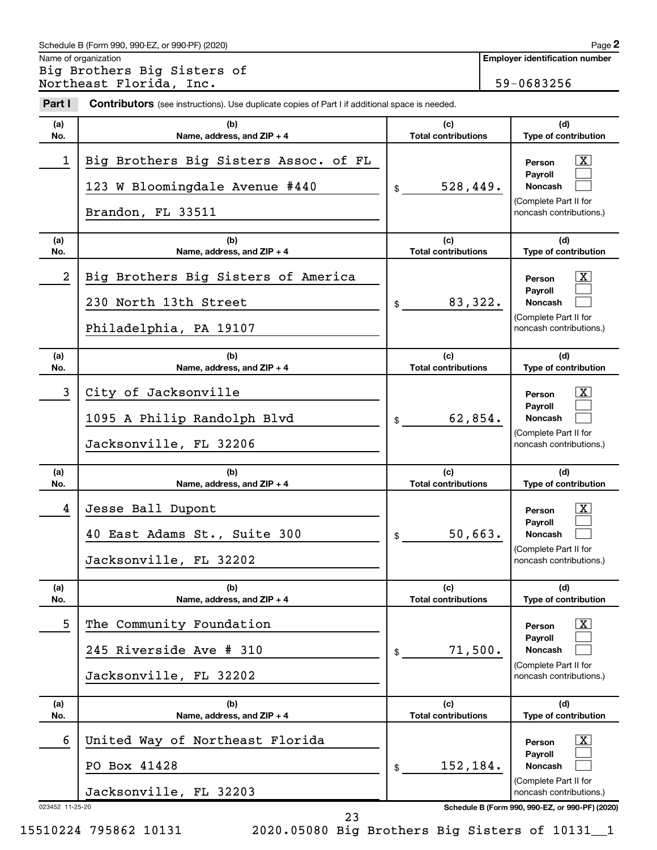#### Schedule B (Form 990, 990-EZ, or 990-PF) (2020)

Name of organization

Big Brothers Big Sisters of Northeast Florida, Inc. 59-0683256

| Part I          | <b>Contributors</b> (see instructions). Use duplicate copies of Part I if additional space is needed. |                                   |                                                                                                                           |
|-----------------|-------------------------------------------------------------------------------------------------------|-----------------------------------|---------------------------------------------------------------------------------------------------------------------------|
| (a)<br>No.      | (b)<br>Name, address, and ZIP + 4                                                                     | (c)<br><b>Total contributions</b> | (d)<br>Type of contribution                                                                                               |
| 1               | Big Brothers Big Sisters Assoc. of FL<br>123 W Bloomingdale Avenue #440<br>Brandon, FL 33511          | 528,449.<br>\$                    | $\mathbf{X}$<br>Person<br>Payroll<br><b>Noncash</b><br>(Complete Part II for<br>noncash contributions.)                   |
| (a)<br>No.      | (b)<br>Name, address, and ZIP + 4                                                                     | (c)<br><b>Total contributions</b> | (d)<br>Type of contribution                                                                                               |
| 2               | Big Brothers Big Sisters of America<br>230 North 13th Street<br>Philadelphia, PA 19107                | 83,322.<br>\$                     | $\boxed{\textbf{X}}$<br>Person<br>Payroll<br><b>Noncash</b><br>(Complete Part II for<br>noncash contributions.)           |
| (a)<br>No.      | (b)<br>Name, address, and ZIP + 4                                                                     | (c)<br><b>Total contributions</b> | (d)<br>Type of contribution                                                                                               |
| 3               | City of Jacksonville<br>1095 A Philip Randolph Blvd<br>Jacksonville, FL 32206                         | 62,854.<br>\$                     | $\boxed{\textbf{X}}$<br>Person<br>Payroll<br><b>Noncash</b><br>(Complete Part II for<br>noncash contributions.)           |
| (a)<br>No.      | (b)<br>Name, address, and ZIP + 4                                                                     | (c)<br><b>Total contributions</b> | (d)<br>Type of contribution                                                                                               |
| 4               | Jesse Ball Dupont<br>40 East Adams St., Suite 300<br>Jacksonville, FL 32202                           | 50,663.<br>\$                     | $\boxed{\mathbf{X}}$<br>Person<br>Pavroll<br><b>Noncash</b><br>(Complete Part II for<br>noncash contributions.)           |
| (a)<br>No.      | (b)<br>Name, address, and ZIP + 4                                                                     | (c)<br><b>Total contributions</b> | (d)<br>Type of contribution                                                                                               |
| 5               | The Community Foundation<br>245 Riverside Ave # 310<br>Jacksonville, FL 32202                         | 71,500.<br>\$                     | $\mathbf{X}$<br>Person<br>Payroll<br><b>Noncash</b><br>(Complete Part II for<br>noncash contributions.)                   |
| (a)<br>No.      | (b)<br>Name, address, and ZIP + 4                                                                     | (c)<br><b>Total contributions</b> | (d)<br>Type of contribution                                                                                               |
| 6               | United Way of Northeast Florida<br>PO Box 41428<br>Jacksonville, FL 32203                             | 152,184.<br>\$                    | $\overline{\mathbf{X}}$<br>Person<br><b>Payroll</b><br><b>Noncash</b><br>(Complete Part II for<br>noncash contributions.) |
| 023452 11-25-20 |                                                                                                       |                                   | Schedule B (Form 990, 990-EZ, or 990-PF) (2020)                                                                           |

15510224 795862 10131 2020.05080 Big Brothers Big Sisters of 10131\_\_1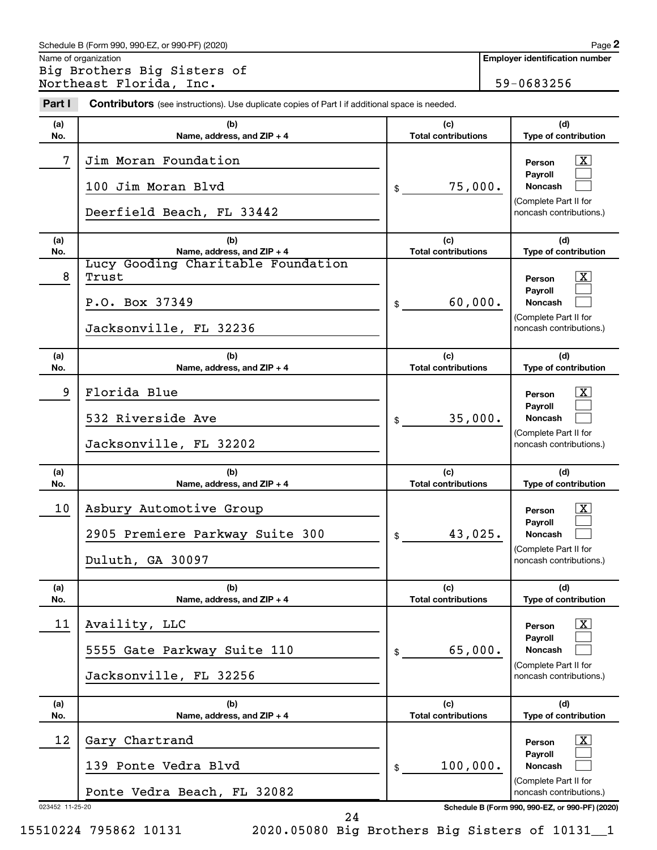#### Schedule B (Form 990, 990-EZ, or 990-PF) (2020)

Name of organization

Big Brothers Big Sisters of Northeast Florida, Inc. 59-0683256

| Part I          | <b>Contributors</b> (see instructions). Use duplicate copies of Part I if additional space is needed.                 |                                             |                                                                                                                                 |
|-----------------|-----------------------------------------------------------------------------------------------------------------------|---------------------------------------------|---------------------------------------------------------------------------------------------------------------------------------|
| (a)             | (b)                                                                                                                   | (c)                                         | (d)                                                                                                                             |
| No.<br>7        | Name, address, and ZIP + 4<br>Jim Moran Foundation<br>100 Jim Moran Blvd<br>Deerfield Beach, FL 33442                 | <b>Total contributions</b><br>75,000.<br>\$ | Type of contribution<br>$\mathbf{X}$<br>Person<br>Payroll<br><b>Noncash</b><br>(Complete Part II for<br>noncash contributions.) |
| (a)             | (b)                                                                                                                   | (c)                                         | (d)                                                                                                                             |
| No.<br>8        | Name, address, and ZIP + 4<br>Lucy Gooding Charitable Foundation<br>Trust<br>P.O. Box 37349<br>Jacksonville, FL 32236 | <b>Total contributions</b><br>60,000.<br>\$ | Type of contribution<br>$\mathbf{X}$<br>Person<br>Payroll<br><b>Noncash</b><br>(Complete Part II for<br>noncash contributions.) |
| (a)<br>No.      | (b)<br>Name, address, and ZIP + 4                                                                                     | (c)<br><b>Total contributions</b>           | (d)<br>Type of contribution                                                                                                     |
| 9               | Florida Blue<br>532 Riverside Ave<br>Jacksonville, FL 32202                                                           | 35,000.<br>\$                               | $\mathbf{X}$<br>Person<br><b>Payroll</b><br><b>Noncash</b><br>(Complete Part II for<br>noncash contributions.)                  |
| (a)<br>No.      | (b)<br>Name, address, and ZIP + 4                                                                                     | (c)<br><b>Total contributions</b>           | (d)<br>Type of contribution                                                                                                     |
| 10              | Asbury Automotive Group<br>2905 Premiere Parkway Suite 300<br>Duluth, GA 30097                                        | 43,025.<br>\$                               | $\mathbf{X}$<br>Person<br>Payroll<br><b>Noncash</b><br>(Complete Part II for<br>noncash contributions.)                         |
| (a)<br>No.      | (b)<br>Name, address, and ZIP + 4                                                                                     | (c)<br><b>Total contributions</b>           | (d)<br>Type of contribution                                                                                                     |
| 11              | Availity, LLC<br>5555 Gate Parkway Suite 110<br>Jacksonville, FL 32256                                                | 65,000.<br>\$                               | $\mathbf{X}$<br>Person<br>Payroll<br><b>Noncash</b><br>(Complete Part II for<br>noncash contributions.)                         |
| (a)<br>No.      | (b)<br>Name, address, and ZIP + 4                                                                                     | (c)<br><b>Total contributions</b>           | (d)<br>Type of contribution                                                                                                     |
| 12              | Gary Chartrand<br>139 Ponte Vedra Blvd<br>Ponte Vedra Beach, FL 32082                                                 | 100,000.<br>\$                              | $\mathbf{X}$<br>Person<br>Payroll<br><b>Noncash</b><br>(Complete Part II for<br>noncash contributions.)                         |
| 023452 11-25-20 |                                                                                                                       |                                             | Schedule B (Form 990, 990-EZ, or 990-PF) (2020)                                                                                 |

15510224 795862 10131 2020.05080 Big Brothers Big Sisters of 10131\_\_1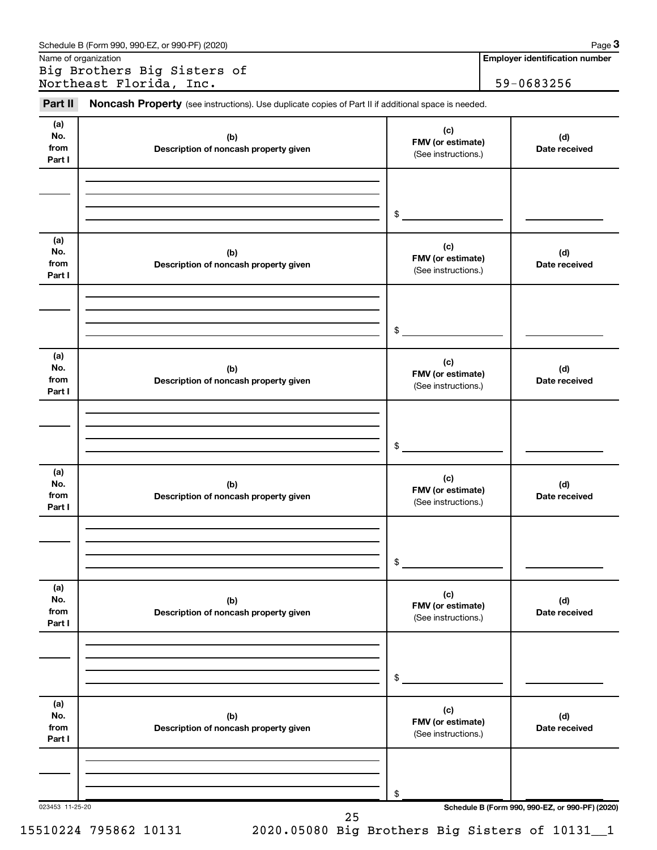| Noncash Property (see instructions). Use duplicate copies of Part II if additional space is needed. |                                                 |                                          |
|-----------------------------------------------------------------------------------------------------|-------------------------------------------------|------------------------------------------|
| (b)<br>Description of noncash property given                                                        | (c)<br>FMV (or estimate)<br>(See instructions.) | (d)<br>Date received                     |
|                                                                                                     | \$                                              |                                          |
| (b)<br>Description of noncash property given                                                        | (c)<br>FMV (or estimate)<br>(See instructions.) | (d)<br>Date received                     |
|                                                                                                     | \$                                              |                                          |
| (b)<br>Description of noncash property given                                                        | (c)<br>FMV (or estimate)<br>(See instructions.) | (d)<br>Date received                     |
|                                                                                                     | \$                                              |                                          |
| (b)<br>Description of noncash property given                                                        | (c)<br>FMV (or estimate)<br>(See instructions.) | (d)<br>Date received                     |
|                                                                                                     | \$                                              |                                          |
| (b)<br>Description of noncash property given                                                        | (c)<br>FMV (or estimate)<br>(See instructions.) | (d)<br>Date received                     |
|                                                                                                     | \$                                              |                                          |
| (b)<br>Description of noncash property given                                                        | (c)<br>FMV (or estimate)<br>(See instructions.) | (d)<br>Date received                     |
|                                                                                                     | \$                                              |                                          |
|                                                                                                     | 023453 11-25-20                                 | Schedule B (Form 990, 990-EZ, or 990-PF) |

Schedule B (Form 990, 990-EZ, or 990-PF) (2020)

Name of organization

Big Brothers Big Sisters of Northeast Florida, Inc. 59-0683256

**Employer identification number**

**3**

023453 11-25-20 **Schedule B (Form 990, 990-EZ, or 990-PF) (2020)**

<sup>15510224 795862 10131 2020.05080</sup> Big Brothers Big Sisters of 10131\_\_1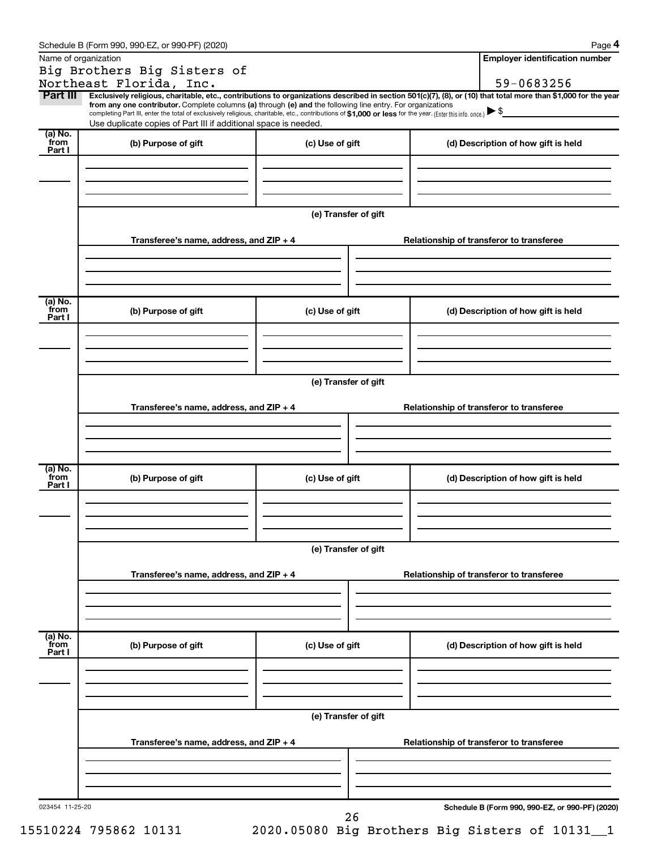| F) (2020)<br>Schedule B (Form 990,<br>or 990-PF <sup>\</sup><br>.990-EZ<br>Paɑe |
|---------------------------------------------------------------------------------|
|---------------------------------------------------------------------------------|

**4**

|                           | Name of organization                                                                                                                                                          |                      | <b>Employer identification number</b>                                                                                                                                                                                                                                                                                                               |
|---------------------------|-------------------------------------------------------------------------------------------------------------------------------------------------------------------------------|----------------------|-----------------------------------------------------------------------------------------------------------------------------------------------------------------------------------------------------------------------------------------------------------------------------------------------------------------------------------------------------|
|                           | Big Brothers Big Sisters of<br>Northeast Florida, Inc.                                                                                                                        |                      | 59-0683256                                                                                                                                                                                                                                                                                                                                          |
| Part III                  | from any one contributor. Complete columns (a) through (e) and the following line entry. For organizations<br>Use duplicate copies of Part III if additional space is needed. |                      | Exclusively religious, charitable, etc., contributions to organizations described in section 501(c)(7), (8), or (10) that total more than \$1,000 for the year<br>completing Part III, enter the total of exclusively religious, charitable, etc., contributions of \$1,000 or less for the year. (Enter this info. once.) $\blacktriangleright$ \$ |
| (a) No.<br>from<br>Part I | (b) Purpose of gift                                                                                                                                                           | (c) Use of gift      | (d) Description of how gift is held                                                                                                                                                                                                                                                                                                                 |
|                           |                                                                                                                                                                               |                      |                                                                                                                                                                                                                                                                                                                                                     |
|                           |                                                                                                                                                                               | (e) Transfer of gift |                                                                                                                                                                                                                                                                                                                                                     |
|                           | Transferee's name, address, and $ZIP + 4$                                                                                                                                     |                      | Relationship of transferor to transferee                                                                                                                                                                                                                                                                                                            |
|                           |                                                                                                                                                                               |                      |                                                                                                                                                                                                                                                                                                                                                     |
| (a) No.<br>from<br>Part I | (b) Purpose of gift                                                                                                                                                           | (c) Use of gift      | (d) Description of how gift is held                                                                                                                                                                                                                                                                                                                 |
|                           |                                                                                                                                                                               |                      |                                                                                                                                                                                                                                                                                                                                                     |
|                           |                                                                                                                                                                               | (e) Transfer of gift |                                                                                                                                                                                                                                                                                                                                                     |
|                           | Transferee's name, address, and ZIP + 4                                                                                                                                       |                      | Relationship of transferor to transferee                                                                                                                                                                                                                                                                                                            |
|                           |                                                                                                                                                                               |                      |                                                                                                                                                                                                                                                                                                                                                     |
| (a) No.<br>from<br>Part I | (b) Purpose of gift                                                                                                                                                           | (c) Use of gift      | (d) Description of how gift is held                                                                                                                                                                                                                                                                                                                 |
|                           |                                                                                                                                                                               |                      |                                                                                                                                                                                                                                                                                                                                                     |
|                           |                                                                                                                                                                               | (e) Transfer of gift |                                                                                                                                                                                                                                                                                                                                                     |
|                           | Transferee's name, address, and ZIP + 4                                                                                                                                       |                      | Relationship of transferor to transferee                                                                                                                                                                                                                                                                                                            |
|                           |                                                                                                                                                                               |                      |                                                                                                                                                                                                                                                                                                                                                     |
| (a) No.<br>from<br>Part I | (b) Purpose of gift                                                                                                                                                           | (c) Use of gift      | (d) Description of how gift is held                                                                                                                                                                                                                                                                                                                 |
|                           |                                                                                                                                                                               |                      |                                                                                                                                                                                                                                                                                                                                                     |
|                           |                                                                                                                                                                               | (e) Transfer of gift |                                                                                                                                                                                                                                                                                                                                                     |
|                           | Transferee's name, address, and ZIP + 4                                                                                                                                       |                      | Relationship of transferor to transferee                                                                                                                                                                                                                                                                                                            |
|                           |                                                                                                                                                                               |                      |                                                                                                                                                                                                                                                                                                                                                     |
| 023454 11-25-20           |                                                                                                                                                                               | 26                   | Schedule B (Form 990, 990-EZ, or 990-PF) (2020)                                                                                                                                                                                                                                                                                                     |

15510224 795862 10131 2020.05080 Big Brothers Big Sisters of 10131\_\_1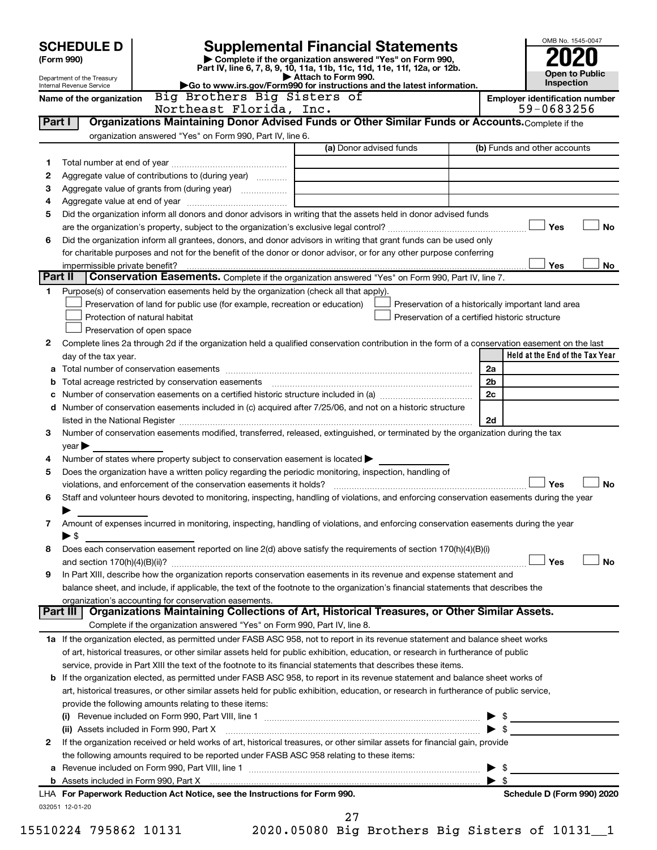|         | <b>Supplemental Financial Statements</b><br><b>SCHEDULE D</b><br>Complete if the organization answered "Yes" on Form 990,<br>(Form 990)<br>Part IV, line 6, 7, 8, 9, 10, 11a, 11b, 11c, 11d, 11e, 11f, 12a, or 12b.<br>Attach to Form 990.<br>Department of the Treasury<br>Go to www.irs.gov/Form990 for instructions and the latest information.<br>Internal Revenue Service |                                                        |                                                                                                        |                         |                                                                                                                                                                                                                                         | <b>Open to Public</b><br>Inspection |                                       |           |
|---------|--------------------------------------------------------------------------------------------------------------------------------------------------------------------------------------------------------------------------------------------------------------------------------------------------------------------------------------------------------------------------------|--------------------------------------------------------|--------------------------------------------------------------------------------------------------------|-------------------------|-----------------------------------------------------------------------------------------------------------------------------------------------------------------------------------------------------------------------------------------|-------------------------------------|---------------------------------------|-----------|
|         | Name of the organization                                                                                                                                                                                                                                                                                                                                                       |                                                        | Big Brothers Big Sisters of                                                                            |                         |                                                                                                                                                                                                                                         |                                     | <b>Employer identification number</b> |           |
|         |                                                                                                                                                                                                                                                                                                                                                                                |                                                        | Northeast Florida, Inc.                                                                                |                         |                                                                                                                                                                                                                                         |                                     | 59-0683256                            |           |
| Part I  |                                                                                                                                                                                                                                                                                                                                                                                |                                                        |                                                                                                        |                         | Organizations Maintaining Donor Advised Funds or Other Similar Funds or Accounts. Complete if the                                                                                                                                       |                                     |                                       |           |
|         |                                                                                                                                                                                                                                                                                                                                                                                |                                                        | organization answered "Yes" on Form 990, Part IV, line 6.                                              |                         |                                                                                                                                                                                                                                         |                                     |                                       |           |
|         |                                                                                                                                                                                                                                                                                                                                                                                |                                                        |                                                                                                        | (a) Donor advised funds |                                                                                                                                                                                                                                         |                                     | (b) Funds and other accounts          |           |
| 1       |                                                                                                                                                                                                                                                                                                                                                                                |                                                        |                                                                                                        |                         |                                                                                                                                                                                                                                         |                                     |                                       |           |
| 2       |                                                                                                                                                                                                                                                                                                                                                                                |                                                        | Aggregate value of contributions to (during year)                                                      |                         |                                                                                                                                                                                                                                         |                                     |                                       |           |
| з       |                                                                                                                                                                                                                                                                                                                                                                                |                                                        | Aggregate value of grants from (during year)                                                           |                         |                                                                                                                                                                                                                                         |                                     |                                       |           |
| 4       |                                                                                                                                                                                                                                                                                                                                                                                |                                                        |                                                                                                        |                         |                                                                                                                                                                                                                                         |                                     |                                       |           |
| 5       |                                                                                                                                                                                                                                                                                                                                                                                |                                                        |                                                                                                        |                         | Did the organization inform all donors and donor advisors in writing that the assets held in donor advised funds                                                                                                                        |                                     |                                       |           |
| 6       | impermissible private benefit?                                                                                                                                                                                                                                                                                                                                                 |                                                        |                                                                                                        |                         | Did the organization inform all grantees, donors, and donor advisors in writing that grant funds can be used only<br>for charitable purposes and not for the benefit of the donor or donor advisor, or for any other purpose conferring |                                     | Yes<br>Yes                            | No<br>No  |
| Part II |                                                                                                                                                                                                                                                                                                                                                                                |                                                        |                                                                                                        |                         | Conservation Easements. Complete if the organization answered "Yes" on Form 990, Part IV, line 7.                                                                                                                                       |                                     |                                       |           |
| 1.      |                                                                                                                                                                                                                                                                                                                                                                                |                                                        | Purpose(s) of conservation easements held by the organization (check all that apply).                  |                         |                                                                                                                                                                                                                                         |                                     |                                       |           |
|         |                                                                                                                                                                                                                                                                                                                                                                                |                                                        | Preservation of land for public use (for example, recreation or education)                             |                         | Preservation of a historically important land area                                                                                                                                                                                      |                                     |                                       |           |
|         |                                                                                                                                                                                                                                                                                                                                                                                | Protection of natural habitat                          |                                                                                                        |                         | Preservation of a certified historic structure                                                                                                                                                                                          |                                     |                                       |           |
|         |                                                                                                                                                                                                                                                                                                                                                                                | Preservation of open space                             |                                                                                                        |                         |                                                                                                                                                                                                                                         |                                     |                                       |           |
| 2       |                                                                                                                                                                                                                                                                                                                                                                                |                                                        |                                                                                                        |                         | Complete lines 2a through 2d if the organization held a qualified conservation contribution in the form of a conservation easement on the last                                                                                          |                                     |                                       |           |
|         | day of the tax year.                                                                                                                                                                                                                                                                                                                                                           |                                                        |                                                                                                        |                         |                                                                                                                                                                                                                                         |                                     | Held at the End of the Tax Year       |           |
| а       |                                                                                                                                                                                                                                                                                                                                                                                |                                                        |                                                                                                        |                         |                                                                                                                                                                                                                                         | 2a                                  |                                       |           |
| b       |                                                                                                                                                                                                                                                                                                                                                                                |                                                        |                                                                                                        |                         |                                                                                                                                                                                                                                         | 2 <sub>b</sub>                      |                                       |           |
| с       |                                                                                                                                                                                                                                                                                                                                                                                |                                                        |                                                                                                        |                         |                                                                                                                                                                                                                                         | 2c                                  |                                       |           |
| d       |                                                                                                                                                                                                                                                                                                                                                                                |                                                        |                                                                                                        |                         | Number of conservation easements included in (c) acquired after 7/25/06, and not on a historic structure                                                                                                                                |                                     |                                       |           |
|         |                                                                                                                                                                                                                                                                                                                                                                                |                                                        |                                                                                                        |                         |                                                                                                                                                                                                                                         | 2d                                  |                                       |           |
| 3       |                                                                                                                                                                                                                                                                                                                                                                                |                                                        |                                                                                                        |                         | Number of conservation easements modified, transferred, released, extinguished, or terminated by the organization during the tax                                                                                                        |                                     |                                       |           |
|         | $\vee$ ear $\blacktriangleright$                                                                                                                                                                                                                                                                                                                                               |                                                        |                                                                                                        |                         |                                                                                                                                                                                                                                         |                                     |                                       |           |
| 4       |                                                                                                                                                                                                                                                                                                                                                                                |                                                        | Number of states where property subject to conservation easement is located $\blacktriangleright$      |                         |                                                                                                                                                                                                                                         |                                     |                                       |           |
| 5       |                                                                                                                                                                                                                                                                                                                                                                                |                                                        | Does the organization have a written policy regarding the periodic monitoring, inspection, handling of |                         |                                                                                                                                                                                                                                         |                                     |                                       |           |
|         |                                                                                                                                                                                                                                                                                                                                                                                |                                                        |                                                                                                        |                         |                                                                                                                                                                                                                                         |                                     | Yes                                   | <b>No</b> |
| 6       |                                                                                                                                                                                                                                                                                                                                                                                |                                                        |                                                                                                        |                         | Staff and volunteer hours devoted to monitoring, inspecting, handling of violations, and enforcing conservation easements during the year                                                                                               |                                     |                                       |           |
|         |                                                                                                                                                                                                                                                                                                                                                                                |                                                        |                                                                                                        |                         |                                                                                                                                                                                                                                         |                                     |                                       |           |
| 7       |                                                                                                                                                                                                                                                                                                                                                                                |                                                        |                                                                                                        |                         | Amount of expenses incurred in monitoring, inspecting, handling of violations, and enforcing conservation easements during the year                                                                                                     |                                     |                                       |           |
|         | $\blacktriangleright$ \$                                                                                                                                                                                                                                                                                                                                                       |                                                        |                                                                                                        |                         |                                                                                                                                                                                                                                         |                                     |                                       |           |
| 8       |                                                                                                                                                                                                                                                                                                                                                                                |                                                        |                                                                                                        |                         | Does each conservation easement reported on line 2(d) above satisfy the requirements of section 170(h)(4)(B)(i)                                                                                                                         |                                     |                                       |           |
|         |                                                                                                                                                                                                                                                                                                                                                                                |                                                        |                                                                                                        |                         |                                                                                                                                                                                                                                         |                                     | Yes                                   | <b>No</b> |
| 9       |                                                                                                                                                                                                                                                                                                                                                                                |                                                        |                                                                                                        |                         | In Part XIII, describe how the organization reports conservation easements in its revenue and expense statement and                                                                                                                     |                                     |                                       |           |
|         |                                                                                                                                                                                                                                                                                                                                                                                |                                                        |                                                                                                        |                         | balance sheet, and include, if applicable, the text of the footnote to the organization's financial statements that describes the                                                                                                       |                                     |                                       |           |
|         | Part III                                                                                                                                                                                                                                                                                                                                                                       | organization's accounting for conservation easements.  |                                                                                                        |                         | Organizations Maintaining Collections of Art, Historical Treasures, or Other Similar Assets.                                                                                                                                            |                                     |                                       |           |
|         |                                                                                                                                                                                                                                                                                                                                                                                |                                                        | Complete if the organization answered "Yes" on Form 990, Part IV, line 8.                              |                         |                                                                                                                                                                                                                                         |                                     |                                       |           |
|         |                                                                                                                                                                                                                                                                                                                                                                                |                                                        |                                                                                                        |                         |                                                                                                                                                                                                                                         |                                     |                                       |           |
|         |                                                                                                                                                                                                                                                                                                                                                                                |                                                        |                                                                                                        |                         | 1a If the organization elected, as permitted under FASB ASC 958, not to report in its revenue statement and balance sheet works                                                                                                         |                                     |                                       |           |
|         |                                                                                                                                                                                                                                                                                                                                                                                |                                                        |                                                                                                        |                         | of art, historical treasures, or other similar assets held for public exhibition, education, or research in furtherance of public                                                                                                       |                                     |                                       |           |
|         |                                                                                                                                                                                                                                                                                                                                                                                |                                                        |                                                                                                        |                         | service, provide in Part XIII the text of the footnote to its financial statements that describes these items.                                                                                                                          |                                     |                                       |           |
|         |                                                                                                                                                                                                                                                                                                                                                                                |                                                        |                                                                                                        |                         | <b>b</b> If the organization elected, as permitted under FASB ASC 958, to report in its revenue statement and balance sheet works of                                                                                                    |                                     |                                       |           |
|         |                                                                                                                                                                                                                                                                                                                                                                                | provide the following amounts relating to these items: |                                                                                                        |                         | art, historical treasures, or other similar assets held for public exhibition, education, or research in furtherance of public service,                                                                                                 |                                     |                                       |           |
|         |                                                                                                                                                                                                                                                                                                                                                                                |                                                        |                                                                                                        |                         |                                                                                                                                                                                                                                         |                                     |                                       |           |
|         |                                                                                                                                                                                                                                                                                                                                                                                |                                                        |                                                                                                        |                         | (i) Revenue included on Form 990, Part VIII, line 1 $\ldots$ $\ldots$ $\ldots$ $\ldots$ $\ldots$ $\ldots$ $\ldots$ $\ldots$ $\ldots$ $\ldots$ $\ldots$ $\ldots$ $\ldots$                                                                |                                     |                                       |           |
| 2       |                                                                                                                                                                                                                                                                                                                                                                                |                                                        |                                                                                                        |                         | If the organization received or held works of art, historical treasures, or other similar assets for financial gain, provide                                                                                                            |                                     |                                       |           |
|         |                                                                                                                                                                                                                                                                                                                                                                                |                                                        | the following amounts required to be reported under FASB ASC 958 relating to these items:              |                         |                                                                                                                                                                                                                                         |                                     |                                       |           |
|         |                                                                                                                                                                                                                                                                                                                                                                                |                                                        |                                                                                                        |                         |                                                                                                                                                                                                                                         | $\blacktriangleright$               | - \$                                  |           |
|         |                                                                                                                                                                                                                                                                                                                                                                                |                                                        |                                                                                                        |                         |                                                                                                                                                                                                                                         | $\blacktriangleright$ \$            |                                       |           |
|         |                                                                                                                                                                                                                                                                                                                                                                                |                                                        | LHA For Paperwork Reduction Act Notice, see the Instructions for Form 990.                             |                         |                                                                                                                                                                                                                                         |                                     | Schedule D (Form 990) 2020            |           |
|         | 032051 12-01-20                                                                                                                                                                                                                                                                                                                                                                |                                                        |                                                                                                        |                         |                                                                                                                                                                                                                                         |                                     |                                       |           |
|         |                                                                                                                                                                                                                                                                                                                                                                                |                                                        |                                                                                                        | 27                      |                                                                                                                                                                                                                                         |                                     |                                       |           |
|         | 15510224 795862 10131                                                                                                                                                                                                                                                                                                                                                          |                                                        |                                                                                                        |                         | 2020.05080 Big Brothers Big Sisters of 10131_1                                                                                                                                                                                          |                                     |                                       |           |
|         |                                                                                                                                                                                                                                                                                                                                                                                |                                                        |                                                                                                        |                         |                                                                                                                                                                                                                                         |                                     |                                       |           |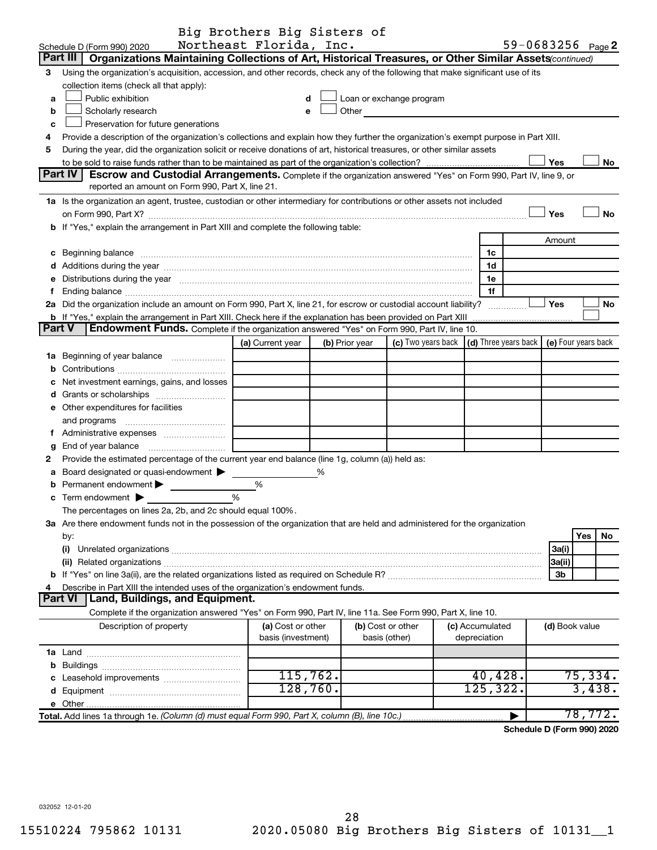|        |                                                                                                                                                                                                                                | Big Brothers Big Sisters of |   |                |                                                                                                                                                                                                                                |                                                                             |                          |                   |
|--------|--------------------------------------------------------------------------------------------------------------------------------------------------------------------------------------------------------------------------------|-----------------------------|---|----------------|--------------------------------------------------------------------------------------------------------------------------------------------------------------------------------------------------------------------------------|-----------------------------------------------------------------------------|--------------------------|-------------------|
|        | Schedule D (Form 990) 2020                                                                                                                                                                                                     | Northeast Florida, Inc.     |   |                |                                                                                                                                                                                                                                |                                                                             |                          | 59-0683256 Page 2 |
|        | Part III<br>Organizations Maintaining Collections of Art, Historical Treasures, or Other Similar Assets (continued)                                                                                                            |                             |   |                |                                                                                                                                                                                                                                |                                                                             |                          |                   |
| 3      | Using the organization's acquisition, accession, and other records, check any of the following that make significant use of its                                                                                                |                             |   |                |                                                                                                                                                                                                                                |                                                                             |                          |                   |
|        | collection items (check all that apply):                                                                                                                                                                                       |                             |   |                |                                                                                                                                                                                                                                |                                                                             |                          |                   |
| a      | Public exhibition                                                                                                                                                                                                              | d                           |   |                | Loan or exchange program                                                                                                                                                                                                       |                                                                             |                          |                   |
| b      | Scholarly research                                                                                                                                                                                                             | е                           |   |                | Other and the control of the control of the control of the control of the control of the control of the control of the control of the control of the control of the control of the control of the control of the control of th |                                                                             |                          |                   |
| c      | Preservation for future generations                                                                                                                                                                                            |                             |   |                |                                                                                                                                                                                                                                |                                                                             |                          |                   |
| 4      | Provide a description of the organization's collections and explain how they further the organization's exempt purpose in Part XIII.                                                                                           |                             |   |                |                                                                                                                                                                                                                                |                                                                             |                          |                   |
| 5      | During the year, did the organization solicit or receive donations of art, historical treasures, or other similar assets                                                                                                       |                             |   |                |                                                                                                                                                                                                                                |                                                                             |                          |                   |
|        |                                                                                                                                                                                                                                |                             |   |                |                                                                                                                                                                                                                                |                                                                             | Yes                      | No.               |
|        | Part IV<br>Escrow and Custodial Arrangements. Complete if the organization answered "Yes" on Form 990, Part IV, line 9, or                                                                                                     |                             |   |                |                                                                                                                                                                                                                                |                                                                             |                          |                   |
|        | reported an amount on Form 990, Part X, line 21.                                                                                                                                                                               |                             |   |                |                                                                                                                                                                                                                                |                                                                             |                          |                   |
|        | 1a Is the organization an agent, trustee, custodian or other intermediary for contributions or other assets not included                                                                                                       |                             |   |                |                                                                                                                                                                                                                                |                                                                             |                          |                   |
|        | on Form 990, Part X? [11] matter and matter and matter and matter and matter and matter and matter and matter                                                                                                                  |                             |   |                |                                                                                                                                                                                                                                |                                                                             | Yes                      | <b>No</b>         |
|        | b If "Yes," explain the arrangement in Part XIII and complete the following table:                                                                                                                                             |                             |   |                |                                                                                                                                                                                                                                |                                                                             |                          |                   |
|        |                                                                                                                                                                                                                                |                             |   |                |                                                                                                                                                                                                                                |                                                                             | Amount                   |                   |
|        | c Beginning balance measurements and the contract of the contract of the contract of the contract of the contract of the contract of the contract of the contract of the contract of the contract of the contract of the contr |                             |   |                |                                                                                                                                                                                                                                | 1c                                                                          |                          |                   |
|        |                                                                                                                                                                                                                                |                             |   |                |                                                                                                                                                                                                                                | 1d                                                                          |                          |                   |
|        | e Distributions during the year manufactured and contain an account of the year manufactured and the year manufactured and the year manufactured and the year manufactured and the year manufactured and the year manufactured |                             |   |                |                                                                                                                                                                                                                                | 1e                                                                          |                          |                   |
|        |                                                                                                                                                                                                                                |                             |   |                |                                                                                                                                                                                                                                | 1f                                                                          |                          |                   |
|        | 2a Did the organization include an amount on Form 990, Part X, line 21, for escrow or custodial account liability?                                                                                                             |                             |   |                |                                                                                                                                                                                                                                |                                                                             | Yes                      | No                |
| Part V | b If "Yes," explain the arrangement in Part XIII. Check here if the explanation has been provided on Part XIII<br><b>Endowment Funds.</b> Complete if the organization answered "Yes" on Form 990, Part IV, line 10.           |                             |   |                |                                                                                                                                                                                                                                |                                                                             |                          |                   |
|        |                                                                                                                                                                                                                                |                             |   |                |                                                                                                                                                                                                                                |                                                                             |                          |                   |
|        |                                                                                                                                                                                                                                | (a) Current year            |   | (b) Prior year |                                                                                                                                                                                                                                | (c) Two years back $\vert$ (d) Three years back $\vert$ (e) Four years back |                          |                   |
|        | 1a Beginning of year balance                                                                                                                                                                                                   |                             |   |                |                                                                                                                                                                                                                                |                                                                             |                          |                   |
| b      |                                                                                                                                                                                                                                |                             |   |                |                                                                                                                                                                                                                                |                                                                             |                          |                   |
|        | Net investment earnings, gains, and losses                                                                                                                                                                                     |                             |   |                |                                                                                                                                                                                                                                |                                                                             |                          |                   |
|        |                                                                                                                                                                                                                                |                             |   |                |                                                                                                                                                                                                                                |                                                                             |                          |                   |
|        | e Other expenditures for facilities                                                                                                                                                                                            |                             |   |                |                                                                                                                                                                                                                                |                                                                             |                          |                   |
|        | and programs                                                                                                                                                                                                                   |                             |   |                |                                                                                                                                                                                                                                |                                                                             |                          |                   |
| Ť.     |                                                                                                                                                                                                                                |                             |   |                |                                                                                                                                                                                                                                |                                                                             |                          |                   |
| g      | End of year balance                                                                                                                                                                                                            |                             |   |                |                                                                                                                                                                                                                                |                                                                             |                          |                   |
| 2      | Provide the estimated percentage of the current year end balance (line 1g, column (a)) held as:                                                                                                                                |                             |   |                |                                                                                                                                                                                                                                |                                                                             |                          |                   |
| а      | Board designated or quasi-endowment                                                                                                                                                                                            |                             | ℅ |                |                                                                                                                                                                                                                                |                                                                             |                          |                   |
| b      | Permanent endowment                                                                                                                                                                                                            | %                           |   |                |                                                                                                                                                                                                                                |                                                                             |                          |                   |
|        | Term endowment $\blacktriangleright$<br>The percentages on lines 2a, 2b, and 2c should equal 100%.                                                                                                                             | %                           |   |                |                                                                                                                                                                                                                                |                                                                             |                          |                   |
|        |                                                                                                                                                                                                                                |                             |   |                |                                                                                                                                                                                                                                |                                                                             |                          |                   |
|        | 3a Are there endowment funds not in the possession of the organization that are held and administered for the organization                                                                                                     |                             |   |                |                                                                                                                                                                                                                                |                                                                             |                          | Yes               |
|        | by:                                                                                                                                                                                                                            |                             |   |                |                                                                                                                                                                                                                                |                                                                             |                          | No                |
|        | (i)                                                                                                                                                                                                                            |                             |   |                |                                                                                                                                                                                                                                |                                                                             | 3a(i)                    |                   |
|        |                                                                                                                                                                                                                                |                             |   |                |                                                                                                                                                                                                                                |                                                                             | 3a(ii)<br>3 <sub>b</sub> |                   |
| 4      | Describe in Part XIII the intended uses of the organization's endowment funds.                                                                                                                                                 |                             |   |                |                                                                                                                                                                                                                                |                                                                             |                          |                   |
|        | Part VI<br>Land, Buildings, and Equipment.                                                                                                                                                                                     |                             |   |                |                                                                                                                                                                                                                                |                                                                             |                          |                   |
|        | Complete if the organization answered "Yes" on Form 990, Part IV, line 11a. See Form 990, Part X, line 10.                                                                                                                     |                             |   |                |                                                                                                                                                                                                                                |                                                                             |                          |                   |
|        | Description of property                                                                                                                                                                                                        | (a) Cost or other           |   |                | (b) Cost or other                                                                                                                                                                                                              | (c) Accumulated                                                             | (d) Book value           |                   |
|        |                                                                                                                                                                                                                                | basis (investment)          |   |                | basis (other)                                                                                                                                                                                                                  | depreciation                                                                |                          |                   |
|        |                                                                                                                                                                                                                                |                             |   |                |                                                                                                                                                                                                                                |                                                                             |                          |                   |
|        |                                                                                                                                                                                                                                |                             |   |                |                                                                                                                                                                                                                                |                                                                             |                          |                   |
|        |                                                                                                                                                                                                                                | 115,762.                    |   |                |                                                                                                                                                                                                                                | 40,428.                                                                     |                          | 75,334.           |
|        |                                                                                                                                                                                                                                | 128,760.                    |   |                |                                                                                                                                                                                                                                | 125,322.                                                                    |                          | 3,438.            |
|        |                                                                                                                                                                                                                                |                             |   |                |                                                                                                                                                                                                                                |                                                                             |                          |                   |
|        |                                                                                                                                                                                                                                |                             |   |                |                                                                                                                                                                                                                                | ▶                                                                           |                          | 78,772.           |
|        |                                                                                                                                                                                                                                |                             |   |                |                                                                                                                                                                                                                                |                                                                             |                          |                   |

**Schedule D (Form 990) 2020**

032052 12-01-20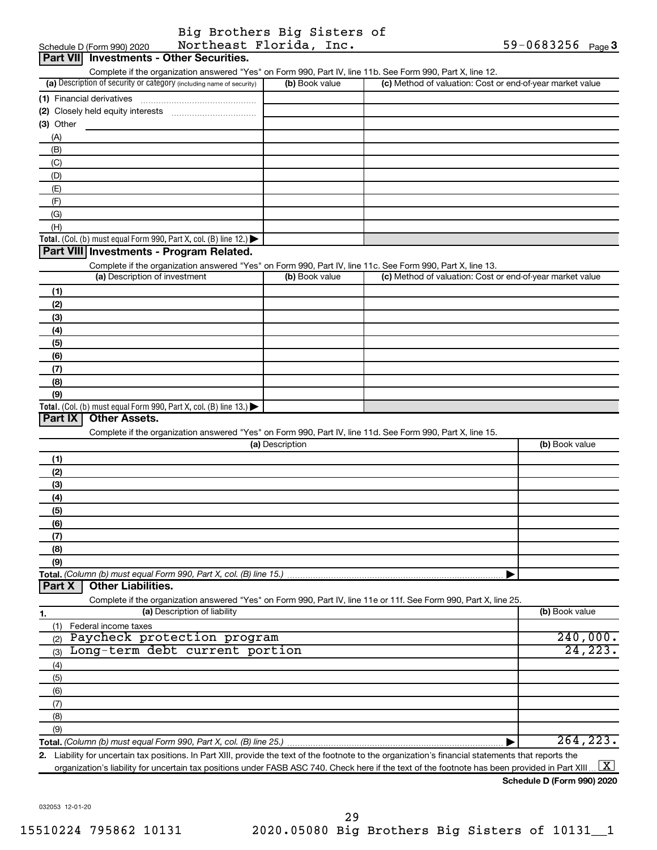|                            | Big Brothers Big Sisters of |                               |  |
|----------------------------|-----------------------------|-------------------------------|--|
| Schedule D (Form 990) 2020 | Northeast Florida, Inc.     | 59-0683256 $_{\text{Page}}$ 3 |  |

| Part VII Investments - Other Securities.                                                                                                                                           |                 |                                                           |                |
|------------------------------------------------------------------------------------------------------------------------------------------------------------------------------------|-----------------|-----------------------------------------------------------|----------------|
| Complete if the organization answered "Yes" on Form 990, Part IV, line 11b. See Form 990, Part X, line 12.<br>(a) Description of security or category (including name of security) | (b) Book value  | (c) Method of valuation: Cost or end-of-year market value |                |
| (1) Financial derivatives                                                                                                                                                          |                 |                                                           |                |
|                                                                                                                                                                                    |                 |                                                           |                |
| $(3)$ Other                                                                                                                                                                        |                 |                                                           |                |
| (A)                                                                                                                                                                                |                 |                                                           |                |
| (B)                                                                                                                                                                                |                 |                                                           |                |
| (C)                                                                                                                                                                                |                 |                                                           |                |
| (D)                                                                                                                                                                                |                 |                                                           |                |
| (E)                                                                                                                                                                                |                 |                                                           |                |
| (F)                                                                                                                                                                                |                 |                                                           |                |
| (G)                                                                                                                                                                                |                 |                                                           |                |
| (H)                                                                                                                                                                                |                 |                                                           |                |
| Total. (Col. (b) must equal Form 990, Part X, col. (B) line 12.) $\blacktriangleright$                                                                                             |                 |                                                           |                |
| Part VIII Investments - Program Related.                                                                                                                                           |                 |                                                           |                |
| Complete if the organization answered "Yes" on Form 990, Part IV, line 11c. See Form 990, Part X, line 13.                                                                         |                 |                                                           |                |
| (a) Description of investment                                                                                                                                                      | (b) Book value  | (c) Method of valuation: Cost or end-of-year market value |                |
| (1)                                                                                                                                                                                |                 |                                                           |                |
| (2)                                                                                                                                                                                |                 |                                                           |                |
| (3)                                                                                                                                                                                |                 |                                                           |                |
| (4)                                                                                                                                                                                |                 |                                                           |                |
| (5)                                                                                                                                                                                |                 |                                                           |                |
| (6)                                                                                                                                                                                |                 |                                                           |                |
| (7)                                                                                                                                                                                |                 |                                                           |                |
| (8)                                                                                                                                                                                |                 |                                                           |                |
| (9)                                                                                                                                                                                |                 |                                                           |                |
| Total. (Col. (b) must equal Form 990, Part X, col. (B) line 13.) $\blacktriangleright$<br>Part IX<br><b>Other Assets.</b>                                                          |                 |                                                           |                |
| Complete if the organization answered "Yes" on Form 990, Part IV, line 11d. See Form 990, Part X, line 15.                                                                         |                 |                                                           |                |
|                                                                                                                                                                                    | (a) Description |                                                           | (b) Book value |
| (1)                                                                                                                                                                                |                 |                                                           |                |
| (2)                                                                                                                                                                                |                 |                                                           |                |
| (3)                                                                                                                                                                                |                 |                                                           |                |
| (4)                                                                                                                                                                                |                 |                                                           |                |
| (5)                                                                                                                                                                                |                 |                                                           |                |
| (6)                                                                                                                                                                                |                 |                                                           |                |
| (7)                                                                                                                                                                                |                 |                                                           |                |
| (8)                                                                                                                                                                                |                 |                                                           |                |
| (9)                                                                                                                                                                                |                 |                                                           |                |
| Total. (Column (b) must equal Form 990, Part X, col. (B) line 15.)                                                                                                                 |                 |                                                           |                |
| <b>Other Liabilities.</b><br>Part X                                                                                                                                                |                 |                                                           |                |
| Complete if the organization answered "Yes" on Form 990, Part IV, line 11e or 11f. See Form 990, Part X, line 25.                                                                  |                 |                                                           |                |
| (a) Description of liability<br>1.                                                                                                                                                 |                 |                                                           | (b) Book value |
| Federal income taxes<br>(1)                                                                                                                                                        |                 |                                                           |                |
| Paycheck protection program<br>(2)                                                                                                                                                 |                 |                                                           | 240,000.       |
| Long-term debt current portion<br>(3)                                                                                                                                              |                 |                                                           | 24, 223.       |
| (4)                                                                                                                                                                                |                 |                                                           |                |
| (5)                                                                                                                                                                                |                 |                                                           |                |
| (6)                                                                                                                                                                                |                 |                                                           |                |
| (7)                                                                                                                                                                                |                 |                                                           |                |
| (8)                                                                                                                                                                                |                 |                                                           |                |
| (9)                                                                                                                                                                                |                 |                                                           |                |
| Total. (Column (b) must equal Form 990, Part X, col. (B) line 25.)                                                                                                                 |                 |                                                           | 264, 223.      |
| 2. Liability for uncertain tax positions. In Part XIII, provide the text of the footnote to the organization's financial statements that reports the                               |                 |                                                           |                |

organization's liability for uncertain tax positions under FASB ASC 740. Check here if the text of the footnote has been provided in Part XIII ...  $\fbox{\bf X}$ 

**Schedule D (Form 990) 2020**

032053 12-01-20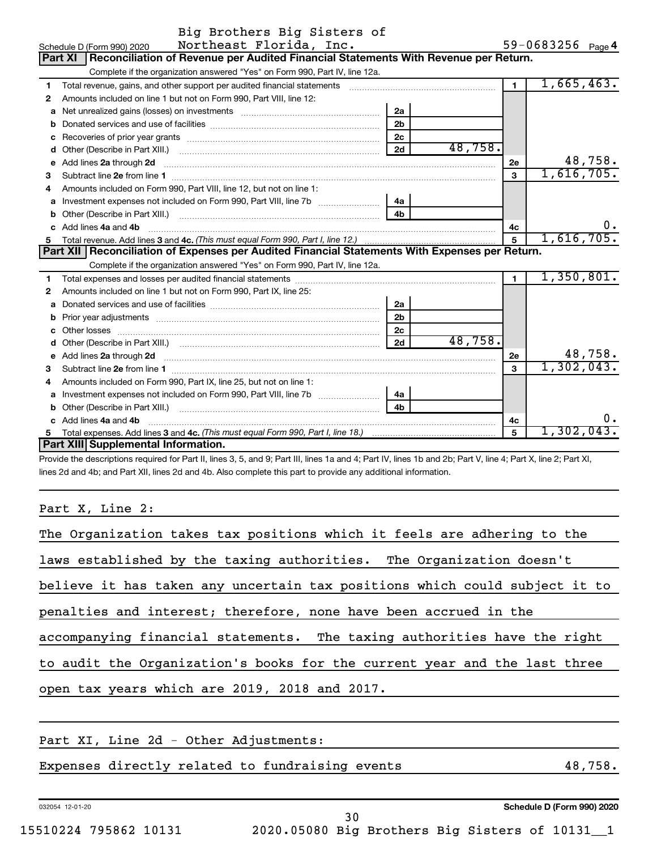|   | Big Brothers Big Sisters of                                                                                                                                                                                                                                                                                                                               |                |                   |                |            |
|---|-----------------------------------------------------------------------------------------------------------------------------------------------------------------------------------------------------------------------------------------------------------------------------------------------------------------------------------------------------------|----------------|-------------------|----------------|------------|
|   | Northeast Florida, Inc.<br>Schedule D (Form 990) 2020                                                                                                                                                                                                                                                                                                     |                | 59-0683256 Page 4 |                |            |
|   | Reconciliation of Revenue per Audited Financial Statements With Revenue per Return.<br><b>Part XI</b>                                                                                                                                                                                                                                                     |                |                   |                |            |
|   | Complete if the organization answered "Yes" on Form 990, Part IV, line 12a.                                                                                                                                                                                                                                                                               |                |                   |                |            |
| 1 | Total revenue, gains, and other support per audited financial statements                                                                                                                                                                                                                                                                                  |                |                   | $\overline{1}$ | 1,665,463. |
| 2 | Amounts included on line 1 but not on Form 990, Part VIII, line 12:                                                                                                                                                                                                                                                                                       |                |                   |                |            |
| a |                                                                                                                                                                                                                                                                                                                                                           | 2a             |                   |                |            |
| b |                                                                                                                                                                                                                                                                                                                                                           | 2 <sub>b</sub> |                   |                |            |
| c |                                                                                                                                                                                                                                                                                                                                                           | 2c             |                   |                |            |
| d |                                                                                                                                                                                                                                                                                                                                                           | 2d             | 48,758.           |                |            |
| е | Add lines 2a through 2d                                                                                                                                                                                                                                                                                                                                   |                |                   | 2e             | 48,758.    |
| З | Subtract line 2e from line 1                                                                                                                                                                                                                                                                                                                              |                |                   | 3              | 1,616,705. |
| 4 | Amounts included on Form 990, Part VIII, line 12, but not on line 1:                                                                                                                                                                                                                                                                                      |                |                   |                |            |
| a |                                                                                                                                                                                                                                                                                                                                                           | 4a             |                   |                |            |
| b |                                                                                                                                                                                                                                                                                                                                                           | 4 <sub>h</sub> |                   |                |            |
|   | c Add lines 4a and 4b                                                                                                                                                                                                                                                                                                                                     |                |                   | 4с             | 0.         |
| 5 |                                                                                                                                                                                                                                                                                                                                                           |                |                   |                | 1,616,705. |
|   | Part XII   Reconciliation of Expenses per Audited Financial Statements With Expenses per Return.                                                                                                                                                                                                                                                          |                |                   |                |            |
|   | Complete if the organization answered "Yes" on Form 990, Part IV, line 12a.                                                                                                                                                                                                                                                                               |                |                   |                |            |
| 1 |                                                                                                                                                                                                                                                                                                                                                           |                |                   | $\blacksquare$ | 1,350,801. |
| 2 | Amounts included on line 1 but not on Form 990, Part IX, line 25:                                                                                                                                                                                                                                                                                         |                |                   |                |            |
| a |                                                                                                                                                                                                                                                                                                                                                           | 2a             |                   |                |            |
| b |                                                                                                                                                                                                                                                                                                                                                           | 2 <sub>b</sub> |                   |                |            |
|   |                                                                                                                                                                                                                                                                                                                                                           | 2 <sub>c</sub> |                   |                |            |
| d |                                                                                                                                                                                                                                                                                                                                                           | 2d             | 48,758.           |                |            |
| e | Add lines 2a through 2d <b>continuum continuum contract and all the contract of the contract of the contract of the contract of the contract of the contract of the contract of the contract of the contract of the contract of </b>                                                                                                                      |                |                   | 2e             | 48,758.    |
| з |                                                                                                                                                                                                                                                                                                                                                           |                |                   | $\mathbf{a}$   | 1,302,043. |
| 4 | Amounts included on Form 990, Part IX, line 25, but not on line 1:                                                                                                                                                                                                                                                                                        |                |                   |                |            |
| a |                                                                                                                                                                                                                                                                                                                                                           | 4a             |                   |                |            |
| b |                                                                                                                                                                                                                                                                                                                                                           | 4h             |                   |                |            |
|   | Add lines 4a and 4b<br>$\mathcal{L} = \left\{ \begin{bmatrix} 1 & 0 & 0 & 0 \\ 0 & 0 & 0 & 0 \\ 0 & 0 & 0 & 0 \\ 0 & 0 & 0 & 0 \\ 0 & 0 & 0 & 0 \\ 0 & 0 & 0 & 0 & 0 \\ 0 & 0 & 0 & 0 & 0 \\ 0 & 0 & 0 & 0 & 0 \\ 0 & 0 & 0 & 0 & 0 \\ 0 & 0 & 0 & 0 & 0 \\ 0 & 0 & 0 & 0 & 0 & 0 \\ 0 & 0 & 0 & 0 & 0 & 0 \\ 0 & 0 & 0 & 0 & 0 & 0 & 0 \\ 0 & 0 & 0 & 0$ |                |                   | 4c             |            |
|   |                                                                                                                                                                                                                                                                                                                                                           |                |                   | 5              | 1,302,043. |
|   | Part XIII Supplemental Information.                                                                                                                                                                                                                                                                                                                       |                |                   |                |            |

Provide the descriptions required for Part II, lines 3, 5, and 9; Part III, lines 1a and 4; Part IV, lines 1b and 2b; Part V, line 4; Part X, line 2; Part XI, lines 2d and 4b; and Part XII, lines 2d and 4b. Also complete this part to provide any additional information.

#### Part X, Line 2:

| The Organization takes tax positions which it feels are adhering to the    |         |
|----------------------------------------------------------------------------|---------|
| laws established by the taxing authorities. The Organization doesn't       |         |
| believe it has taken any uncertain tax positions which could subject it to |         |
| penalties and interest; therefore, none have been accrued in the           |         |
| accompanying financial statements. The taxing authorities have the right   |         |
| to audit the Organization's books for the current year and the last three  |         |
| open tax years which are 2019, 2018 and 2017.                              |         |
|                                                                            |         |
| Part XI, Line 2d - Other Adjustments:                                      |         |
| Expenses directly related to fundraising events                            | 48,758. |

032054 12-01-20

**Schedule D (Form 990) 2020**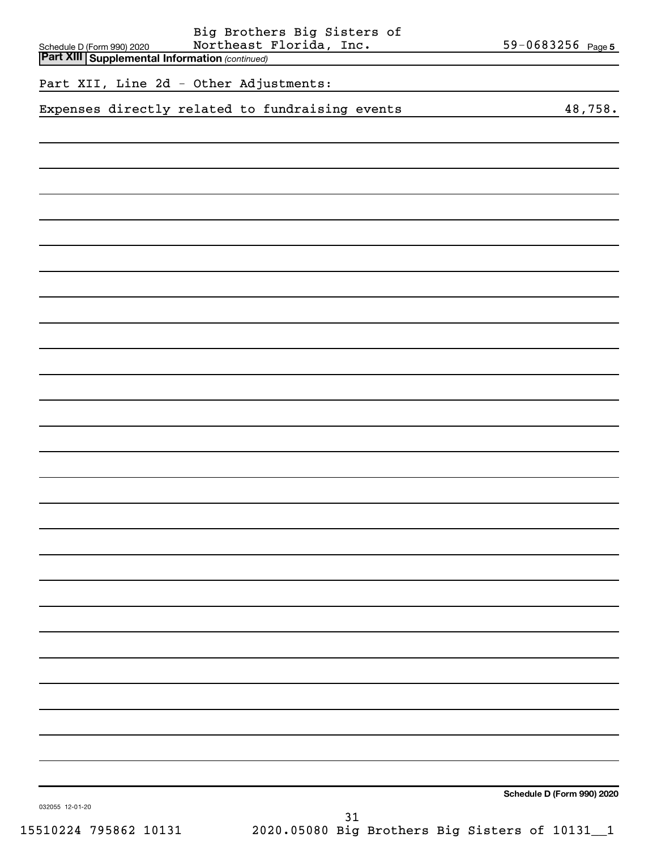| Schedule D (Form 990) 2020<br><b>Part XIII Supplemental Information (continued)</b> | Big Brothers Big Sisters of<br>Northeast Florida, Inc. | 59-0683256 Page 5          |
|-------------------------------------------------------------------------------------|--------------------------------------------------------|----------------------------|
|                                                                                     | Part XII, Line 2d - Other Adjustments:                 |                            |
|                                                                                     | Expenses directly related to fundraising events        | 48,758.                    |
|                                                                                     |                                                        |                            |
|                                                                                     |                                                        |                            |
|                                                                                     |                                                        |                            |
|                                                                                     |                                                        |                            |
|                                                                                     |                                                        |                            |
|                                                                                     |                                                        |                            |
|                                                                                     |                                                        |                            |
|                                                                                     |                                                        |                            |
|                                                                                     |                                                        |                            |
|                                                                                     |                                                        |                            |
|                                                                                     |                                                        |                            |
|                                                                                     |                                                        |                            |
|                                                                                     |                                                        |                            |
|                                                                                     |                                                        |                            |
|                                                                                     |                                                        |                            |
|                                                                                     |                                                        |                            |
|                                                                                     |                                                        |                            |
|                                                                                     |                                                        |                            |
|                                                                                     |                                                        |                            |
|                                                                                     |                                                        |                            |
|                                                                                     |                                                        |                            |
|                                                                                     |                                                        |                            |
|                                                                                     |                                                        |                            |
|                                                                                     |                                                        |                            |
|                                                                                     |                                                        |                            |
|                                                                                     |                                                        | Schedule D (Form 990) 2020 |
| 032055 12-01-20                                                                     | $31\,$                                                 |                            |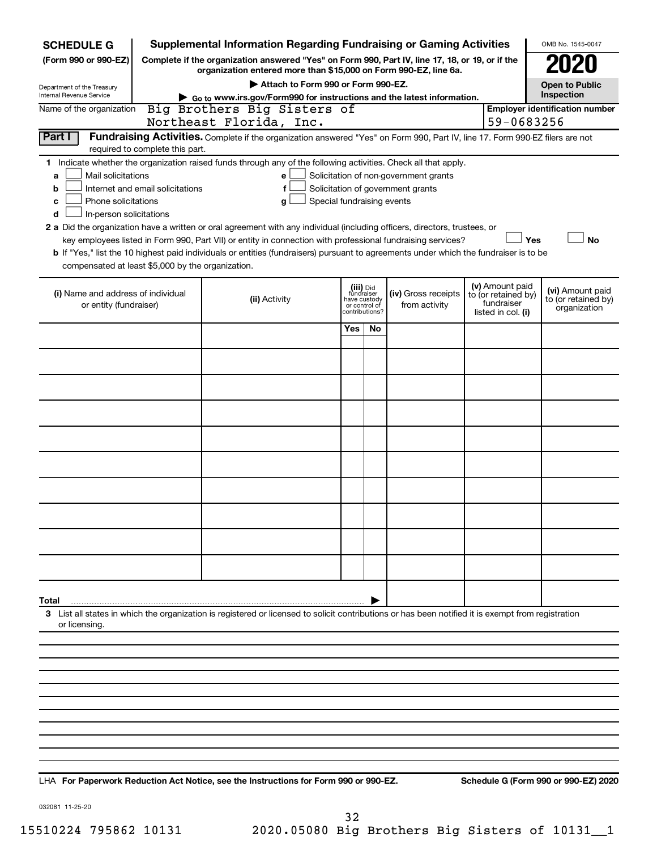| <b>SCHEDULE G</b>                                                                                                                             |                                  | <b>Supplemental Information Regarding Fundraising or Gaming Activities</b>                                                                                                                                                                                                                                                                                                                                                                                                                                                                         |                                                                            |    |                                                                            |                                                                            |            | OMB No. 1545-0047                                       |
|-----------------------------------------------------------------------------------------------------------------------------------------------|----------------------------------|----------------------------------------------------------------------------------------------------------------------------------------------------------------------------------------------------------------------------------------------------------------------------------------------------------------------------------------------------------------------------------------------------------------------------------------------------------------------------------------------------------------------------------------------------|----------------------------------------------------------------------------|----|----------------------------------------------------------------------------|----------------------------------------------------------------------------|------------|---------------------------------------------------------|
| (Form 990 or 990-EZ)                                                                                                                          |                                  | Complete if the organization answered "Yes" on Form 990, Part IV, line 17, 18, or 19, or if the<br>organization entered more than \$15,000 on Form 990-EZ, line 6a.                                                                                                                                                                                                                                                                                                                                                                                |                                                                            |    |                                                                            |                                                                            |            |                                                         |
| Department of the Treasury                                                                                                                    |                                  | Attach to Form 990 or Form 990-EZ.                                                                                                                                                                                                                                                                                                                                                                                                                                                                                                                 |                                                                            |    |                                                                            |                                                                            |            | <b>Open to Public</b>                                   |
| Internal Revenue Service<br>Name of the organization                                                                                          |                                  | Go to www.irs.gov/Form990 for instructions and the latest information.<br>Big Brothers Big Sisters of                                                                                                                                                                                                                                                                                                                                                                                                                                              |                                                                            |    |                                                                            |                                                                            |            | Inspection<br><b>Employer identification number</b>     |
|                                                                                                                                               |                                  | Northeast Florida, Inc.                                                                                                                                                                                                                                                                                                                                                                                                                                                                                                                            |                                                                            |    |                                                                            |                                                                            | 59-0683256 |                                                         |
| Part I                                                                                                                                        | required to complete this part.  | Fundraising Activities. Complete if the organization answered "Yes" on Form 990, Part IV, line 17. Form 990-EZ filers are not                                                                                                                                                                                                                                                                                                                                                                                                                      |                                                                            |    |                                                                            |                                                                            |            |                                                         |
| Mail solicitations<br>a<br>b<br>Phone solicitations<br>c<br>In-person solicitations<br>d<br>compensated at least \$5,000 by the organization. | Internet and email solicitations | 1 Indicate whether the organization raised funds through any of the following activities. Check all that apply.<br>е<br>f<br>Special fundraising events<br>g<br>2 a Did the organization have a written or oral agreement with any individual (including officers, directors, trustees, or<br>key employees listed in Form 990, Part VII) or entity in connection with professional fundraising services?<br>b If "Yes," list the 10 highest paid individuals or entities (fundraisers) pursuant to agreements under which the fundraiser is to be |                                                                            |    | Solicitation of non-government grants<br>Solicitation of government grants |                                                                            | Yes        | <b>No</b>                                               |
| (i) Name and address of individual<br>or entity (fundraiser)                                                                                  |                                  | (ii) Activity                                                                                                                                                                                                                                                                                                                                                                                                                                                                                                                                      | (iii) Did<br>fundraiser<br>have custody<br>or control of<br>contributions? |    | (iv) Gross receipts<br>from activity                                       | (v) Amount paid<br>to (or retained by)<br>fundraiser<br>listed in col. (i) |            | (vi) Amount paid<br>to (or retained by)<br>organization |
|                                                                                                                                               |                                  |                                                                                                                                                                                                                                                                                                                                                                                                                                                                                                                                                    | Yes                                                                        | No |                                                                            |                                                                            |            |                                                         |
|                                                                                                                                               |                                  |                                                                                                                                                                                                                                                                                                                                                                                                                                                                                                                                                    |                                                                            |    |                                                                            |                                                                            |            |                                                         |
|                                                                                                                                               |                                  |                                                                                                                                                                                                                                                                                                                                                                                                                                                                                                                                                    |                                                                            |    |                                                                            |                                                                            |            |                                                         |
|                                                                                                                                               |                                  |                                                                                                                                                                                                                                                                                                                                                                                                                                                                                                                                                    |                                                                            |    |                                                                            |                                                                            |            |                                                         |
|                                                                                                                                               |                                  |                                                                                                                                                                                                                                                                                                                                                                                                                                                                                                                                                    |                                                                            |    |                                                                            |                                                                            |            |                                                         |
|                                                                                                                                               |                                  |                                                                                                                                                                                                                                                                                                                                                                                                                                                                                                                                                    |                                                                            |    |                                                                            |                                                                            |            |                                                         |
|                                                                                                                                               |                                  |                                                                                                                                                                                                                                                                                                                                                                                                                                                                                                                                                    |                                                                            |    |                                                                            |                                                                            |            |                                                         |
|                                                                                                                                               |                                  |                                                                                                                                                                                                                                                                                                                                                                                                                                                                                                                                                    |                                                                            |    |                                                                            |                                                                            |            |                                                         |
|                                                                                                                                               |                                  |                                                                                                                                                                                                                                                                                                                                                                                                                                                                                                                                                    |                                                                            |    |                                                                            |                                                                            |            |                                                         |
|                                                                                                                                               |                                  |                                                                                                                                                                                                                                                                                                                                                                                                                                                                                                                                                    |                                                                            |    |                                                                            |                                                                            |            |                                                         |
| Total                                                                                                                                         |                                  |                                                                                                                                                                                                                                                                                                                                                                                                                                                                                                                                                    |                                                                            |    |                                                                            |                                                                            |            |                                                         |
| or licensing.                                                                                                                                 |                                  | 3 List all states in which the organization is registered or licensed to solicit contributions or has been notified it is exempt from registration                                                                                                                                                                                                                                                                                                                                                                                                 |                                                                            |    |                                                                            |                                                                            |            |                                                         |
|                                                                                                                                               |                                  |                                                                                                                                                                                                                                                                                                                                                                                                                                                                                                                                                    |                                                                            |    |                                                                            |                                                                            |            |                                                         |
|                                                                                                                                               |                                  |                                                                                                                                                                                                                                                                                                                                                                                                                                                                                                                                                    |                                                                            |    |                                                                            |                                                                            |            |                                                         |
|                                                                                                                                               |                                  |                                                                                                                                                                                                                                                                                                                                                                                                                                                                                                                                                    |                                                                            |    |                                                                            |                                                                            |            |                                                         |
|                                                                                                                                               |                                  |                                                                                                                                                                                                                                                                                                                                                                                                                                                                                                                                                    |                                                                            |    |                                                                            |                                                                            |            |                                                         |
|                                                                                                                                               |                                  |                                                                                                                                                                                                                                                                                                                                                                                                                                                                                                                                                    |                                                                            |    |                                                                            |                                                                            |            |                                                         |
|                                                                                                                                               |                                  |                                                                                                                                                                                                                                                                                                                                                                                                                                                                                                                                                    |                                                                            |    |                                                                            |                                                                            |            |                                                         |
|                                                                                                                                               |                                  |                                                                                                                                                                                                                                                                                                                                                                                                                                                                                                                                                    |                                                                            |    |                                                                            |                                                                            |            |                                                         |

**For Paperwork Reduction Act Notice, see the Instructions for Form 990 or 990-EZ. Schedule G (Form 990 or 990-EZ) 2020** LHA

032081 11-25-20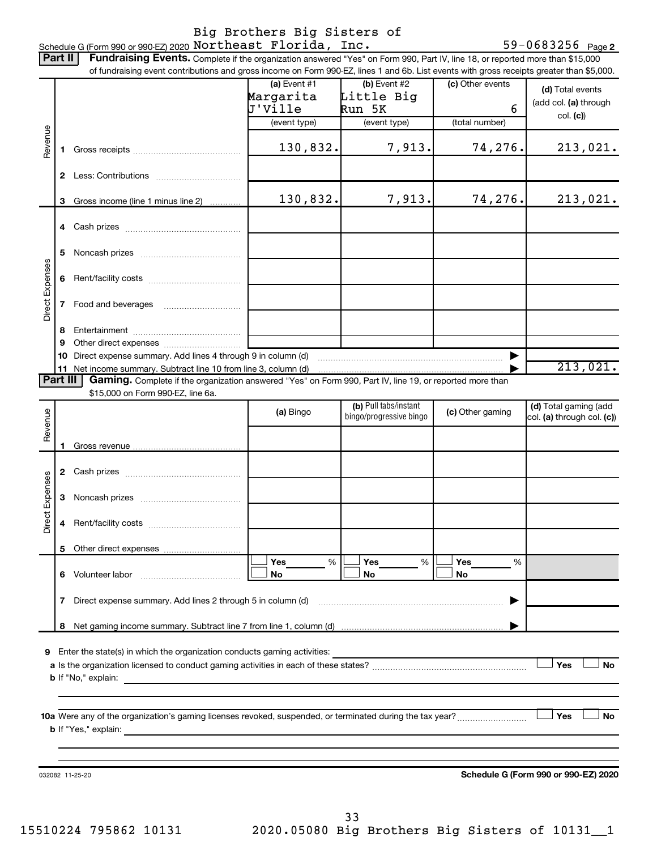#### Schedule G (Form 990 or 990-EZ) 2020  ${\tt Northeast \ Florida}$  ,  ${\tt Inc.}$  59  $-$  0683256  $\,$   $_{\tt Page}$ Big Brothers Big Sisters of

59-0683256 Page 2

| Part II         |    | <b>Fundraising Events.</b> Complete if the organization answered "Yes" on Form 990, Part IV, line 18, or reported more than \$15,000      |                                                |                                                  |                  |                                                     |
|-----------------|----|-------------------------------------------------------------------------------------------------------------------------------------------|------------------------------------------------|--------------------------------------------------|------------------|-----------------------------------------------------|
|                 |    | of fundraising event contributions and gross income on Form 990-EZ, lines 1 and 6b. List events with gross receipts greater than \$5,000. | (a) Event #1                                   | (b) Event #2                                     | (c) Other events |                                                     |
|                 |    |                                                                                                                                           |                                                | Little Big                                       |                  | (d) Total events                                    |
|                 |    |                                                                                                                                           | Margarita                                      |                                                  |                  | (add col. (a) through                               |
|                 |    |                                                                                                                                           | <b>J'Ville</b>                                 | Run 5K                                           | 6                | col. (c)                                            |
|                 |    |                                                                                                                                           | (event type)                                   | (event type)                                     | (total number)   |                                                     |
| Revenue         | 1. |                                                                                                                                           | 130,832.                                       | 7,913.                                           | 74,276.          | 213,021.                                            |
|                 |    |                                                                                                                                           |                                                |                                                  |                  |                                                     |
|                 |    |                                                                                                                                           |                                                |                                                  |                  |                                                     |
|                 | 3  | Gross income (line 1 minus line 2)                                                                                                        | 130,832.                                       | 7,913.                                           | 74,276.          | 213,021.                                            |
|                 |    |                                                                                                                                           |                                                |                                                  |                  |                                                     |
|                 | 5  |                                                                                                                                           |                                                |                                                  |                  |                                                     |
|                 | 6  |                                                                                                                                           |                                                |                                                  |                  |                                                     |
| Direct Expenses | 7  |                                                                                                                                           |                                                |                                                  |                  |                                                     |
|                 | 8  |                                                                                                                                           | <u>and the state of the state of the state</u> |                                                  |                  |                                                     |
|                 | 9  |                                                                                                                                           |                                                |                                                  |                  |                                                     |
|                 | 10 |                                                                                                                                           |                                                |                                                  |                  |                                                     |
|                 |    |                                                                                                                                           |                                                |                                                  |                  | 213,021.                                            |
| Part III        |    | Gaming. Complete if the organization answered "Yes" on Form 990, Part IV, line 19, or reported more than                                  |                                                |                                                  |                  |                                                     |
|                 |    | \$15,000 on Form 990-EZ, line 6a.                                                                                                         |                                                |                                                  |                  |                                                     |
| Revenue         |    |                                                                                                                                           | (a) Bingo                                      | (b) Pull tabs/instant<br>bingo/progressive bingo | (c) Other gaming | (d) Total gaming (add<br>col. (a) through col. (c)) |
|                 | 1  |                                                                                                                                           |                                                |                                                  |                  |                                                     |
|                 |    |                                                                                                                                           |                                                |                                                  |                  |                                                     |
|                 |    |                                                                                                                                           |                                                |                                                  |                  |                                                     |
| Direct Expenses | 3  |                                                                                                                                           |                                                |                                                  |                  |                                                     |
|                 |    |                                                                                                                                           |                                                |                                                  |                  |                                                     |
|                 |    |                                                                                                                                           |                                                |                                                  |                  |                                                     |
|                 |    |                                                                                                                                           | Yes<br>$\%$                                    | Yes<br>%                                         | Yes<br>%         |                                                     |
|                 |    |                                                                                                                                           | No                                             | No                                               | No               |                                                     |
|                 |    | 7 Direct expense summary. Add lines 2 through 5 in column (d) manufactured expenses summary. Add lines 2 through 5 in column (d)          |                                                |                                                  |                  |                                                     |
|                 |    |                                                                                                                                           |                                                |                                                  |                  |                                                     |
|                 |    |                                                                                                                                           |                                                |                                                  |                  |                                                     |
| 9               |    |                                                                                                                                           |                                                |                                                  |                  |                                                     |
|                 |    |                                                                                                                                           |                                                |                                                  |                  | Yes<br><b>No</b>                                    |
|                 |    |                                                                                                                                           |                                                |                                                  |                  |                                                     |
|                 |    |                                                                                                                                           |                                                |                                                  |                  |                                                     |
|                 |    |                                                                                                                                           |                                                |                                                  |                  |                                                     |
|                 |    | 10a Were any of the organization's gaming licenses revoked, suspended, or terminated during the tax year?                                 |                                                |                                                  |                  | Yes<br><b>No</b>                                    |
|                 |    |                                                                                                                                           |                                                |                                                  |                  |                                                     |
|                 |    |                                                                                                                                           |                                                |                                                  |                  |                                                     |
|                 |    |                                                                                                                                           |                                                |                                                  |                  |                                                     |
|                 |    | 032082 11-25-20                                                                                                                           |                                                |                                                  |                  | Schedule G (Form 990 or 990-EZ) 2020                |
|                 |    |                                                                                                                                           |                                                |                                                  |                  |                                                     |
|                 |    |                                                                                                                                           |                                                |                                                  |                  |                                                     |

15510224 795862 10131 2020.05080 Big Brothers Big Sisters of 10131\_\_1 33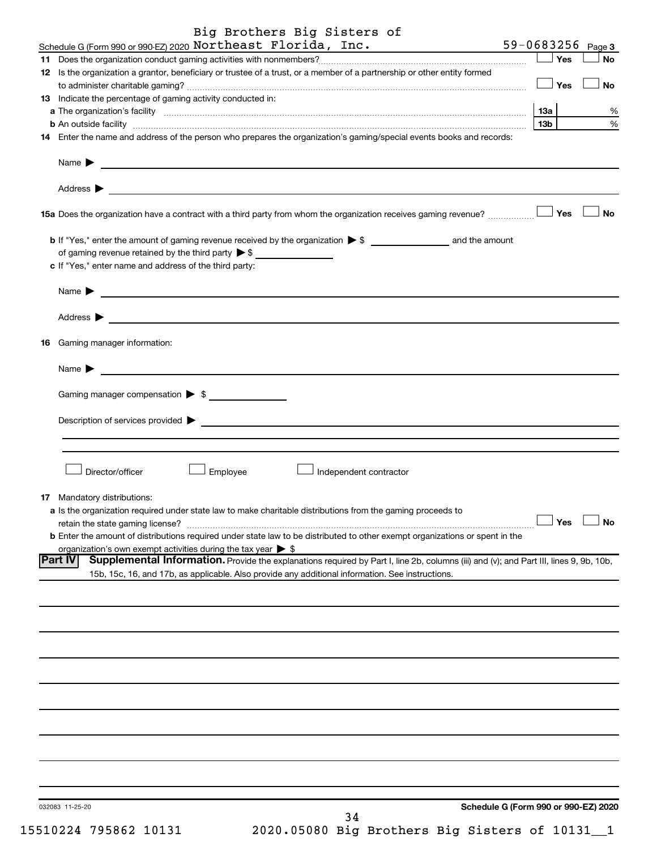| Big Brothers Big Sisters of<br>Schedule G (Form 990 or 990-EZ) 2020 Northeast Florida, Inc.                                                                                                                                                                    | 59-0683256 $Page 3$ |    |
|----------------------------------------------------------------------------------------------------------------------------------------------------------------------------------------------------------------------------------------------------------------|---------------------|----|
| <u> 1980 - Johann Barbara, martxa al</u>                                                                                                                                                                                                                       |                     |    |
|                                                                                                                                                                                                                                                                | Yes                 | No |
| 12 Is the organization a grantor, beneficiary or trustee of a trust, or a member of a partnership or other entity formed                                                                                                                                       |                     |    |
|                                                                                                                                                                                                                                                                | <b>Nes</b>          | No |
| 13 Indicate the percentage of gaming activity conducted in:                                                                                                                                                                                                    |                     |    |
|                                                                                                                                                                                                                                                                | 13а                 | %  |
|                                                                                                                                                                                                                                                                | 13b                 | %  |
| 14 Enter the name and address of the person who prepares the organization's gaming/special events books and records:                                                                                                                                           |                     |    |
| Name $\blacktriangleright$<br><u> 1989 - Johann Stein, mars an deus Amerikaansk kommunister (</u>                                                                                                                                                              |                     |    |
| Address $\blacktriangleright$<br>the control of the control of the control of the control of the control of the control of the control of the control of the control of the control of the control of the control of the control of the control of the control |                     |    |
|                                                                                                                                                                                                                                                                | Yes                 | No |
|                                                                                                                                                                                                                                                                |                     |    |
| of gaming revenue retained by the third party $\triangleright$ \$                                                                                                                                                                                              |                     |    |
| c If "Yes," enter name and address of the third party:                                                                                                                                                                                                         |                     |    |
|                                                                                                                                                                                                                                                                |                     |    |
| Name $\blacktriangleright$                                                                                                                                                                                                                                     |                     |    |
| Address $\blacktriangleright$                                                                                                                                                                                                                                  |                     |    |
| <b>16</b> Gaming manager information:                                                                                                                                                                                                                          |                     |    |
| Name $\blacktriangleright$                                                                                                                                                                                                                                     |                     |    |
| Gaming manager compensation > \$                                                                                                                                                                                                                               |                     |    |
| Description of services provided ><br><u> 1989 - Johann John Stein, markin film fan de ferfingen fan de ferfingen fan de ferfingen fan de ferfingen fan</u>                                                                                                    |                     |    |
|                                                                                                                                                                                                                                                                |                     |    |
|                                                                                                                                                                                                                                                                |                     |    |
| Director/officer<br>Employee<br>Independent contractor                                                                                                                                                                                                         |                     |    |
| 17 Mandatory distributions:                                                                                                                                                                                                                                    |                     |    |
| a Is the organization required under state law to make charitable distributions from the gaming proceeds to                                                                                                                                                    |                     |    |
| retain the state gaming license?                                                                                                                                                                                                                               | Yes                 | No |
| <b>b</b> Enter the amount of distributions required under state law to be distributed to other exempt organizations or spent in the                                                                                                                            |                     |    |
| organization's own exempt activities during the tax year $\triangleright$ \$                                                                                                                                                                                   |                     |    |
| Part IV<br>Supplemental Information. Provide the explanations required by Part I, line 2b, columns (iii) and (v); and Part III, lines 9, 9b, 10b,                                                                                                              |                     |    |
| 15b, 15c, 16, and 17b, as applicable. Also provide any additional information. See instructions.                                                                                                                                                               |                     |    |
|                                                                                                                                                                                                                                                                |                     |    |
|                                                                                                                                                                                                                                                                |                     |    |
|                                                                                                                                                                                                                                                                |                     |    |
|                                                                                                                                                                                                                                                                |                     |    |
|                                                                                                                                                                                                                                                                |                     |    |
|                                                                                                                                                                                                                                                                |                     |    |
|                                                                                                                                                                                                                                                                |                     |    |
|                                                                                                                                                                                                                                                                |                     |    |
|                                                                                                                                                                                                                                                                |                     |    |
|                                                                                                                                                                                                                                                                |                     |    |
|                                                                                                                                                                                                                                                                |                     |    |
|                                                                                                                                                                                                                                                                |                     |    |
|                                                                                                                                                                                                                                                                |                     |    |
|                                                                                                                                                                                                                                                                |                     |    |
|                                                                                                                                                                                                                                                                |                     |    |
|                                                                                                                                                                                                                                                                |                     |    |
|                                                                                                                                                                                                                                                                |                     |    |
| Schedule G (Form 990 or 990-EZ) 2020<br>032083 11-25-20                                                                                                                                                                                                        |                     |    |
| 34                                                                                                                                                                                                                                                             |                     |    |

15510224 795862 10131 2020.05080 Big Brothers Big Sisters of 10131\_\_1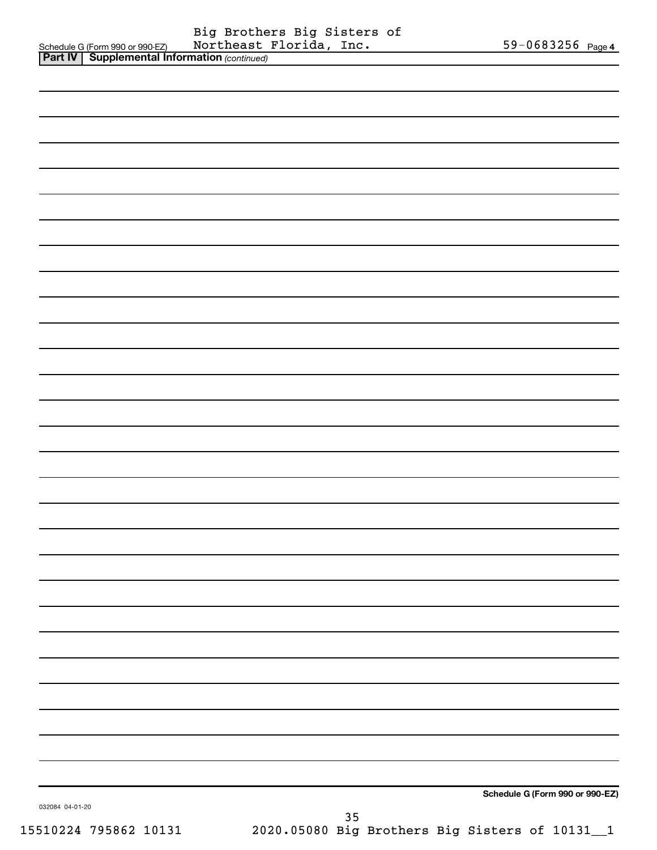| <b>Part IV   Supplemental Information (continued)</b> |                                 |
|-------------------------------------------------------|---------------------------------|
|                                                       |                                 |
|                                                       |                                 |
|                                                       |                                 |
|                                                       |                                 |
|                                                       |                                 |
|                                                       |                                 |
|                                                       |                                 |
|                                                       |                                 |
|                                                       |                                 |
|                                                       |                                 |
|                                                       |                                 |
|                                                       |                                 |
|                                                       |                                 |
|                                                       |                                 |
|                                                       |                                 |
|                                                       |                                 |
|                                                       |                                 |
|                                                       |                                 |
|                                                       |                                 |
|                                                       |                                 |
|                                                       |                                 |
|                                                       |                                 |
|                                                       |                                 |
|                                                       |                                 |
|                                                       |                                 |
|                                                       |                                 |
|                                                       |                                 |
|                                                       |                                 |
|                                                       |                                 |
|                                                       | Schedule G (Form 990 or 990-EZ) |
| 032084 04-01-20                                       |                                 |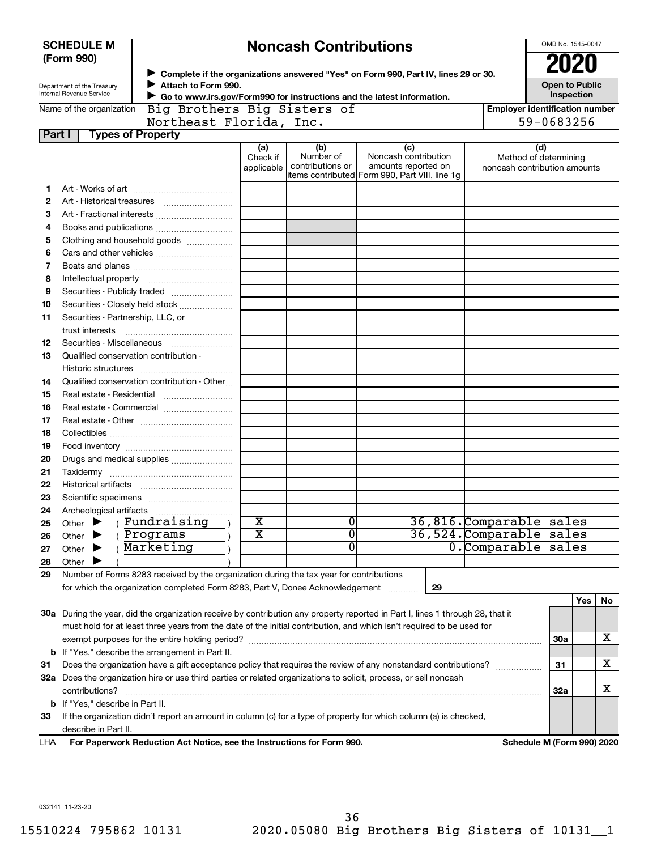|          | <b>SCHEDULE M</b><br>(Form 990)                        |                                                                                                                                |                               | <b>Noncash Contributions</b>         |                                                                                                      |                                                       | OMB No. 1545-0047                   |     |    |
|----------|--------------------------------------------------------|--------------------------------------------------------------------------------------------------------------------------------|-------------------------------|--------------------------------------|------------------------------------------------------------------------------------------------------|-------------------------------------------------------|-------------------------------------|-----|----|
|          |                                                        | > Complete if the organizations answered "Yes" on Form 990, Part IV, lines 29 or 30.                                           |                               |                                      |                                                                                                      |                                                       | <b>2020</b>                         |     |    |
|          | Department of the Treasury<br>Internal Revenue Service | Attach to Form 990.<br>Go to www.irs.gov/Form990 for instructions and the latest information.                                  |                               |                                      |                                                                                                      |                                                       | <b>Open to Public</b><br>Inspection |     |    |
|          | Name of the organization                               | Big Brothers Big Sisters of                                                                                                    |                               |                                      |                                                                                                      | <b>Employer identification number</b>                 |                                     |     |    |
|          |                                                        | Northeast Florida, Inc.                                                                                                        |                               |                                      |                                                                                                      |                                                       | 59-0683256                          |     |    |
| Part I   |                                                        | <b>Types of Property</b>                                                                                                       |                               |                                      |                                                                                                      |                                                       |                                     |     |    |
|          |                                                        |                                                                                                                                | (a)<br>Check if<br>applicable | (b)<br>Number of<br>contributions or | (c)<br>Noncash contribution<br>amounts reported on<br>items contributed Form 990, Part VIII, line 1g | Method of determining<br>noncash contribution amounts | (d)                                 |     |    |
| 1        |                                                        |                                                                                                                                |                               |                                      |                                                                                                      |                                                       |                                     |     |    |
| 2        |                                                        |                                                                                                                                |                               |                                      |                                                                                                      |                                                       |                                     |     |    |
| З        |                                                        | Art - Fractional interests                                                                                                     |                               |                                      |                                                                                                      |                                                       |                                     |     |    |
| 4        |                                                        |                                                                                                                                |                               |                                      |                                                                                                      |                                                       |                                     |     |    |
| 5        |                                                        | Clothing and household goods                                                                                                   |                               |                                      |                                                                                                      |                                                       |                                     |     |    |
| 6        |                                                        |                                                                                                                                |                               |                                      |                                                                                                      |                                                       |                                     |     |    |
| 7        |                                                        |                                                                                                                                |                               |                                      |                                                                                                      |                                                       |                                     |     |    |
| 8        |                                                        |                                                                                                                                |                               |                                      |                                                                                                      |                                                       |                                     |     |    |
| 9        |                                                        | Securities - Publicly traded                                                                                                   |                               |                                      |                                                                                                      |                                                       |                                     |     |    |
| 10       |                                                        | Securities - Closely held stock                                                                                                |                               |                                      |                                                                                                      |                                                       |                                     |     |    |
| 11       | Securities - Partnership, LLC, or                      |                                                                                                                                |                               |                                      |                                                                                                      |                                                       |                                     |     |    |
|          |                                                        |                                                                                                                                |                               |                                      |                                                                                                      |                                                       |                                     |     |    |
| 12       |                                                        | Securities - Miscellaneous                                                                                                     |                               |                                      |                                                                                                      |                                                       |                                     |     |    |
| 13       | Qualified conservation contribution -                  |                                                                                                                                |                               |                                      |                                                                                                      |                                                       |                                     |     |    |
|          |                                                        |                                                                                                                                |                               |                                      |                                                                                                      |                                                       |                                     |     |    |
| 14       |                                                        | Qualified conservation contribution - Other                                                                                    |                               |                                      |                                                                                                      |                                                       |                                     |     |    |
| 15       |                                                        |                                                                                                                                |                               |                                      |                                                                                                      |                                                       |                                     |     |    |
| 16       |                                                        | Real estate - Commercial                                                                                                       |                               |                                      |                                                                                                      |                                                       |                                     |     |    |
| 17       |                                                        |                                                                                                                                |                               |                                      |                                                                                                      |                                                       |                                     |     |    |
| 18       |                                                        |                                                                                                                                |                               |                                      |                                                                                                      |                                                       |                                     |     |    |
| 19<br>20 |                                                        |                                                                                                                                |                               |                                      |                                                                                                      |                                                       |                                     |     |    |
| 21       |                                                        | Drugs and medical supplies                                                                                                     |                               |                                      |                                                                                                      |                                                       |                                     |     |    |
| 22       |                                                        |                                                                                                                                |                               |                                      |                                                                                                      |                                                       |                                     |     |    |
| 23       |                                                        |                                                                                                                                |                               |                                      |                                                                                                      |                                                       |                                     |     |    |
| 24       | Archeological artifacts                                |                                                                                                                                |                               |                                      |                                                                                                      |                                                       |                                     |     |    |
| 25       | Other<br>▸                                             | Fundraising                                                                                                                    | $\overline{\text{X}}$         | $\overline{0}$                       |                                                                                                      | 36,816.Comparable sales                               |                                     |     |    |
| 26       | Other                                                  | Programs                                                                                                                       | X                             | 0                                    |                                                                                                      | 36,524.Comparable                                     | sales                               |     |    |
| 27       | Other                                                  | Marketing                                                                                                                      |                               | 0                                    |                                                                                                      | 0.Comparable sales                                    |                                     |     |    |
| 28       | Other                                                  |                                                                                                                                |                               |                                      |                                                                                                      |                                                       |                                     |     |    |
| 29       |                                                        | Number of Forms 8283 received by the organization during the tax year for contributions                                        |                               |                                      |                                                                                                      |                                                       |                                     |     |    |
|          |                                                        | for which the organization completed Form 8283, Part V, Donee Acknowledgement                                                  |                               |                                      | 29                                                                                                   |                                                       |                                     |     |    |
|          |                                                        |                                                                                                                                |                               |                                      |                                                                                                      |                                                       |                                     | Yes | No |
|          |                                                        | 30a During the year, did the organization receive by contribution any property reported in Part I, lines 1 through 28, that it |                               |                                      |                                                                                                      |                                                       |                                     |     |    |
|          |                                                        | must hold for at least three years from the date of the initial contribution, and which isn't required to be used for          |                               |                                      |                                                                                                      |                                                       |                                     |     |    |
|          |                                                        |                                                                                                                                |                               |                                      |                                                                                                      |                                                       | 30a                                 |     | х  |
|          |                                                        | <b>b</b> If "Yes," describe the arrangement in Part II.                                                                        |                               |                                      |                                                                                                      |                                                       |                                     |     |    |
| 31       |                                                        | Does the organization have a gift acceptance policy that requires the review of any nonstandard contributions?                 |                               |                                      |                                                                                                      |                                                       | 31                                  |     | x  |
|          |                                                        | 32a Does the organization hire or use third parties or related organizations to solicit, process, or sell noncash              |                               |                                      |                                                                                                      |                                                       |                                     |     |    |
|          | contributions?                                         |                                                                                                                                |                               |                                      |                                                                                                      |                                                       | <b>32a</b>                          |     | x  |
|          | <b>b</b> If "Yes," describe in Part II.                |                                                                                                                                |                               |                                      |                                                                                                      |                                                       |                                     |     |    |
| 33       |                                                        | If the organization didn't report an amount in column (c) for a type of property for which column (a) is checked,              |                               |                                      |                                                                                                      |                                                       |                                     |     |    |
|          | describe in Part II.                                   |                                                                                                                                |                               |                                      |                                                                                                      |                                                       |                                     |     |    |
| LHA      |                                                        | For Paperwork Reduction Act Notice, see the Instructions for Form 990.                                                         |                               |                                      |                                                                                                      | Schedule M (Form 990) 2020                            |                                     |     |    |

032141 11-23-20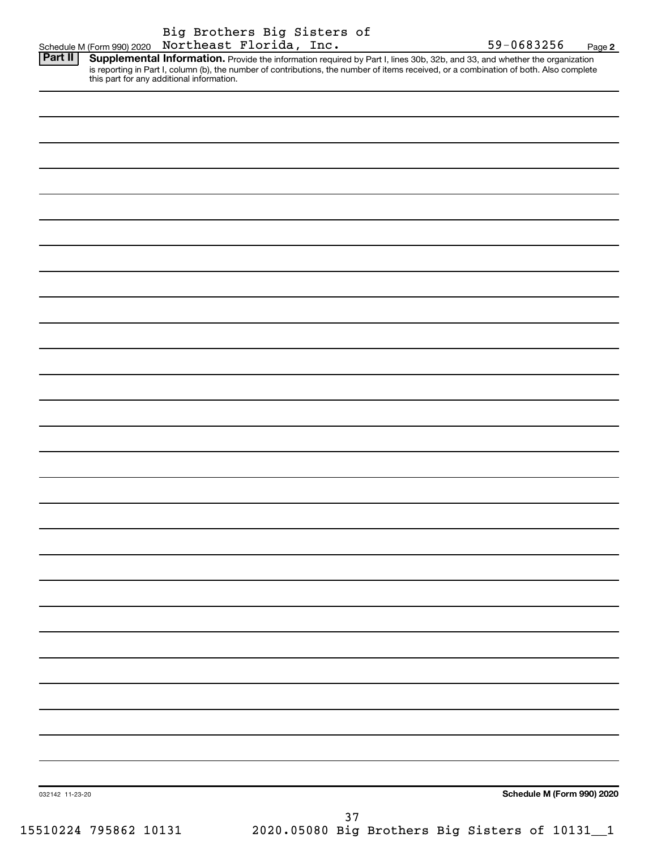| Part II         | Schedule M (Form 990) 2020<br>Nortneast riorida,<br>$\texttt{Inc.}$                                                                                                                                                                                                  | 59-0683256                 | Page 2 |
|-----------------|----------------------------------------------------------------------------------------------------------------------------------------------------------------------------------------------------------------------------------------------------------------------|----------------------------|--------|
|                 | Supplemental Information. Provide the information required by Part I, lines 30b, 32b, and 33, and whether the organization<br>is reporting in Part I, column (b), the number of contributions, the number of items received, or a combination of both. Also complete |                            |        |
|                 | this part for any additional information.                                                                                                                                                                                                                            |                            |        |
|                 |                                                                                                                                                                                                                                                                      |                            |        |
|                 |                                                                                                                                                                                                                                                                      |                            |        |
|                 |                                                                                                                                                                                                                                                                      |                            |        |
|                 |                                                                                                                                                                                                                                                                      |                            |        |
|                 |                                                                                                                                                                                                                                                                      |                            |        |
|                 |                                                                                                                                                                                                                                                                      |                            |        |
|                 |                                                                                                                                                                                                                                                                      |                            |        |
|                 |                                                                                                                                                                                                                                                                      |                            |        |
|                 |                                                                                                                                                                                                                                                                      |                            |        |
|                 |                                                                                                                                                                                                                                                                      |                            |        |
|                 |                                                                                                                                                                                                                                                                      |                            |        |
|                 |                                                                                                                                                                                                                                                                      |                            |        |
|                 |                                                                                                                                                                                                                                                                      |                            |        |
|                 |                                                                                                                                                                                                                                                                      |                            |        |
|                 |                                                                                                                                                                                                                                                                      |                            |        |
|                 |                                                                                                                                                                                                                                                                      |                            |        |
|                 |                                                                                                                                                                                                                                                                      |                            |        |
|                 |                                                                                                                                                                                                                                                                      |                            |        |
|                 |                                                                                                                                                                                                                                                                      |                            |        |
|                 |                                                                                                                                                                                                                                                                      |                            |        |
|                 |                                                                                                                                                                                                                                                                      |                            |        |
|                 |                                                                                                                                                                                                                                                                      |                            |        |
|                 |                                                                                                                                                                                                                                                                      |                            |        |
|                 |                                                                                                                                                                                                                                                                      |                            |        |
|                 |                                                                                                                                                                                                                                                                      |                            |        |
|                 |                                                                                                                                                                                                                                                                      |                            |        |
|                 |                                                                                                                                                                                                                                                                      |                            |        |
|                 |                                                                                                                                                                                                                                                                      |                            |        |
|                 |                                                                                                                                                                                                                                                                      |                            |        |
|                 |                                                                                                                                                                                                                                                                      |                            |        |
|                 |                                                                                                                                                                                                                                                                      |                            |        |
|                 |                                                                                                                                                                                                                                                                      |                            |        |
|                 |                                                                                                                                                                                                                                                                      |                            |        |
|                 |                                                                                                                                                                                                                                                                      |                            |        |
|                 |                                                                                                                                                                                                                                                                      |                            |        |
|                 |                                                                                                                                                                                                                                                                      |                            |        |
|                 |                                                                                                                                                                                                                                                                      |                            |        |
|                 |                                                                                                                                                                                                                                                                      |                            |        |
|                 |                                                                                                                                                                                                                                                                      |                            |        |
|                 |                                                                                                                                                                                                                                                                      |                            |        |
|                 |                                                                                                                                                                                                                                                                      |                            |        |
| 032142 11-23-20 |                                                                                                                                                                                                                                                                      | Schedule M (Form 990) 2020 |        |